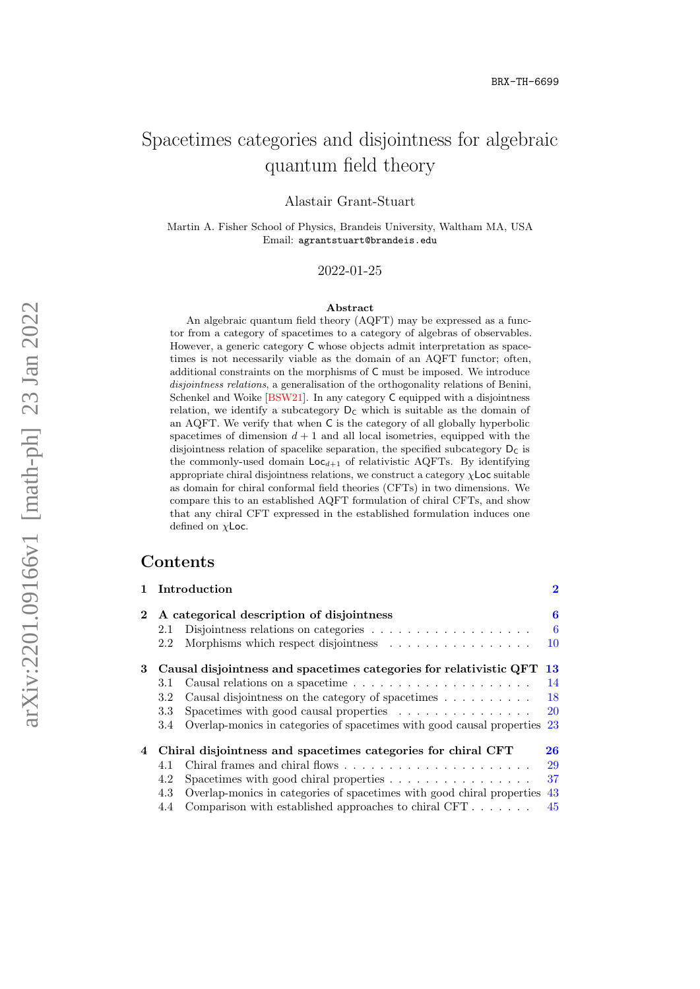# Spacetimes categories and disjointness for algebraic quantum field theory

Alastair Grant-Stuart

Martin A. Fisher School of Physics, Brandeis University, Waltham MA, USA Email: agrantstuart@brandeis.edu

2022-01-25

#### Abstract

An algebraic quantum field theory (AQFT) may be expressed as a functor from a category of spacetimes to a category of algebras of observables. However, a generic category C whose objects admit interpretation as spacetimes is not necessarily viable as the domain of an AQFT functor; often, additional constraints on the morphisms of C must be imposed. We introduce disjointness relations, a generalisation of the orthogonality relations of Benini, Schenkel and Woike [\[BSW21\]](#page-50-0). In any category C equipped with a disjointness relation, we identify a subcategory  $D<sub>C</sub>$  which is suitable as the domain of an AQFT. We verify that when C is the category of all globally hyperbolic spacetimes of dimension  $d + 1$  and all local isometries, equipped with the disjointness relation of spacelike separation, the specified subcategory  $D_C$  is the commonly-used domain  $Loc_{d+1}$  of relativistic AQFTs. By identifying appropriate chiral disjointness relations, we construct a category  $\chi$ **Loc** suitable as domain for chiral conformal field theories (CFTs) in two dimensions. We compare this to an established AQFT formulation of chiral CFTs, and show that any chiral CFT expressed in the established formulation induces one defined on  $\chi$ Loc.

## **Contents**

|   |                                                                    | 1 Introduction                                                                   | $\bf{2}$  |
|---|--------------------------------------------------------------------|----------------------------------------------------------------------------------|-----------|
|   |                                                                    | A categorical description of disjointness                                        |           |
|   | 2.1                                                                | Disjointness relations on categories $\ldots \ldots \ldots \ldots \ldots \ldots$ | -6        |
|   | 2.2                                                                | Morphisms which respect disjointness $\ldots \ldots \ldots \ldots \ldots$        | 10        |
| 3 | Causal disjointness and spacetimes categories for relativistic QFT |                                                                                  | 13        |
|   | 3.1                                                                |                                                                                  | 14        |
|   | 3.2                                                                | Causal disjointness on the category of spacetimes                                | 18        |
|   | 3.3                                                                | Spacetimes with good causal properties $\ldots \ldots \ldots \ldots$             | <b>20</b> |
|   | 3.4                                                                | Overlap-monics in categories of spacetimes with good causal properties           | 23        |
| 4 | Chiral disjointness and spacetimes categories for chiral CFT       |                                                                                  | 26        |
|   | 4.1                                                                |                                                                                  | 29        |
|   | 4.2                                                                | Spacetimes with good chiral properties $\dots \dots \dots \dots \dots$           | 37        |
|   | 4.3                                                                | Overlap-monics in categories of spacetimes with good chiral properties           | 43        |
|   | 4.4                                                                | Comparison with established approaches to chiral CFT                             | 45        |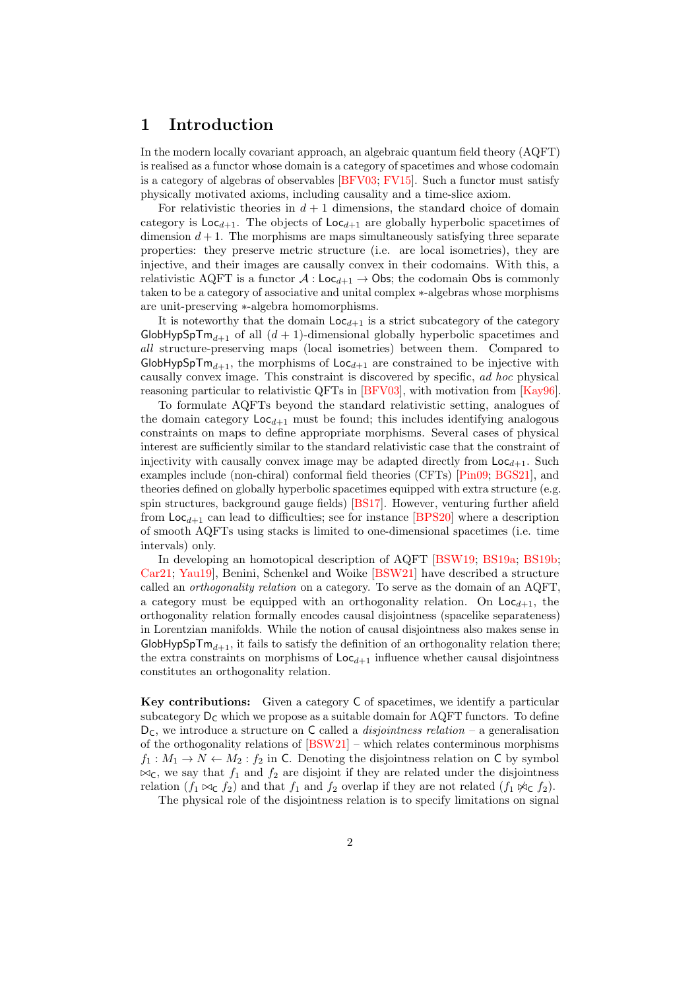## <span id="page-1-0"></span>1 Introduction

In the modern locally covariant approach, an algebraic quantum field theory (AQFT) is realised as a functor whose domain is a category of spacetimes and whose codomain is a category of algebras of observables [\[BFV03;](#page-50-1) [FV15\]](#page-50-2). Such a functor must satisfy physically motivated axioms, including causality and a time-slice axiom.

For relativistic theories in  $d + 1$  dimensions, the standard choice of domain category is  $\text{Loc}_{d+1}$ . The objects of  $\text{Loc}_{d+1}$  are globally hyperbolic spacetimes of dimension  $d+1$ . The morphisms are maps simultaneously satisfying three separate properties: they preserve metric structure (i.e. are local isometries), they are injective, and their images are causally convex in their codomains. With this, a relativistic AQFT is a functor  $A : Loc_{d+1} \rightarrow Obs$ ; the codomain Obs is commonly taken to be a category of associative and unital complex ∗-algebras whose morphisms are unit-preserving ∗-algebra homomorphisms.

It is noteworthy that the domain  $Loc_{d+1}$  is a strict subcategory of the category GlobHypSpT $m_{d+1}$  of all  $(d + 1)$ -dimensional globally hyperbolic spacetimes and all structure-preserving maps (local isometries) between them. Compared to GlobHypSpT $m_{d+1}$ , the morphisms of  $Loc_{d+1}$  are constrained to be injective with causally convex image. This constraint is discovered by specific, ad hoc physical reasoning particular to relativistic QFTs in [\[BFV03\]](#page-50-1), with motivation from [\[Kay96\]](#page-51-0).

To formulate AQFTs beyond the standard relativistic setting, analogues of the domain category  $Loc_{d+1}$  must be found; this includes identifying analogous constraints on maps to define appropriate morphisms. Several cases of physical interest are sufficiently similar to the standard relativistic case that the constraint of injectivity with causally convex image may be adapted directly from  $\text{Loc}_{d+1}$ . Such examples include (non-chiral) conformal field theories (CFTs) [\[Pin09;](#page-51-1) [BGS21\]](#page-50-3), and theories defined on globally hyperbolic spacetimes equipped with extra structure (e.g. spin structures, background gauge fields) [\[BS17\]](#page-50-4). However, venturing further afield from  $\text{Loc}_{d+1}$  can lead to difficulties; see for instance [\[BPS20\]](#page-50-5) where a description of smooth AQFTs using stacks is limited to one-dimensional spacetimes (i.e. time intervals) only.

In developing an homotopical description of AQFT [\[BSW19;](#page-50-6) [BS19a;](#page-50-7) [BS19b;](#page-50-8) [Car21;](#page-50-9) [Yau19\]](#page-52-0), Benini, Schenkel and Woike [\[BSW21\]](#page-50-0) have described a structure called an orthogonality relation on a category. To serve as the domain of an AQFT, a category must be equipped with an orthogonality relation. On  $\text{Loc}_{d+1}$ , the orthogonality relation formally encodes causal disjointness (spacelike separateness) in Lorentzian manifolds. While the notion of causal disjointness also makes sense in GlobHypSpT $m_{d+1}$ , it fails to satisfy the definition of an orthogonality relation there; the extra constraints on morphisms of  $\text{Loc}_{d+1}$  influence whether causal disjointness constitutes an orthogonality relation.

Key contributions: Given a category C of spacetimes, we identify a particular subcategory  $D_C$  which we propose as a suitable domain for AQFT functors. To define  $D_{\mathsf{C}}$ , we introduce a structure on  $\mathsf{C}$  called a *disjointness relation* – a generalisation of the orthogonality relations of [\[BSW21\]](#page-50-0) – which relates conterminous morphisms  $f_1: M_1 \to N \leftarrow M_2: f_2$  in C. Denoting the disjointness relation on C by symbol  $\bowtie_{\mathsf{C}}$ , we say that  $f_1$  and  $f_2$  are disjoint if they are related under the disjointness relation  $(f_1 \bowtie_{\mathsf{C}} f_2)$  and that  $f_1$  and  $f_2$  overlap if they are not related  $(f_1 \bowtie_{\mathsf{C}} f_2)$ .

The physical role of the disjointness relation is to specify limitations on signal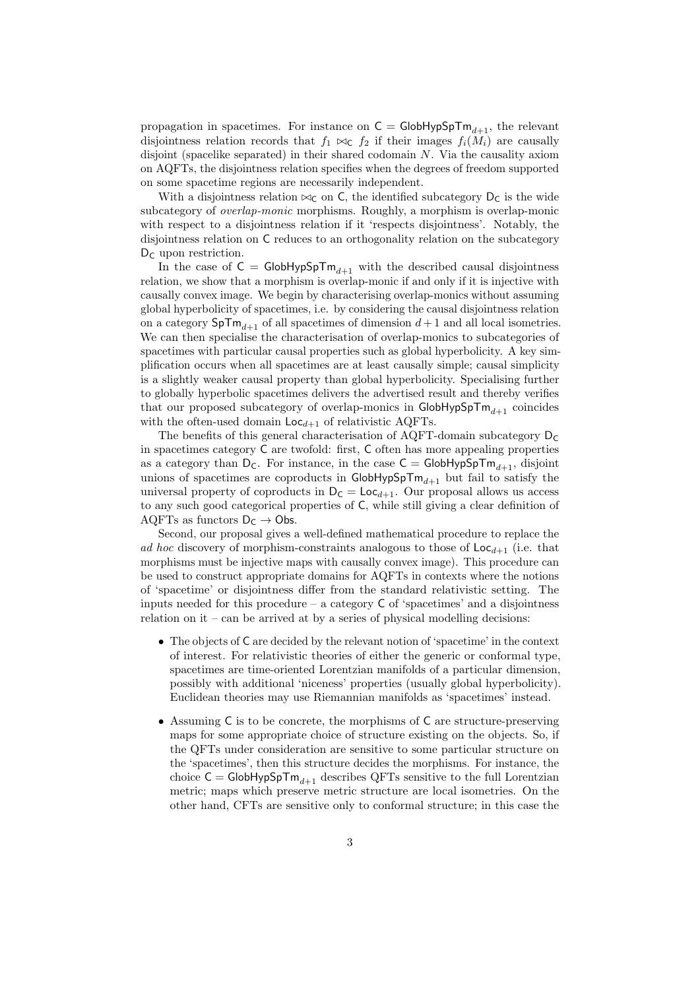propagation in spacetimes. For instance on  $C = \mathsf{GlobHypSpTm}_{d+1}$ , the relevant disjointness relation records that  $f_1 \bowtie_{\mathsf{C}} f_2$  if their images  $f_i(M_i)$  are causally disjoint (spacelike separated) in their shared codomain N. Via the causality axiom on AQFTs, the disjointness relation specifies when the degrees of freedom supported on some spacetime regions are necessarily independent.

With a disjointness relation  $\bowtie_C$  on C, the identified subcategory  $D_C$  is the wide subcategory of overlap-monic morphisms. Roughly, a morphism is overlap-monic with respect to a disjointness relation if it 'respects disjointness'. Notably, the disjointness relation on C reduces to an orthogonality relation on the subcategory  $D<sub>C</sub>$  upon restriction.

In the case of  $C = \text{GlobHypSpTm}_{d+1}$  with the described causal disjointness relation, we show that a morphism is overlap-monic if and only if it is injective with causally convex image. We begin by characterising overlap-monics without assuming global hyperbolicity of spacetimes, i.e. by considering the causal disjointness relation on a category  $SpTm_{d+1}$  of all spacetimes of dimension  $d+1$  and all local isometries. We can then specialise the characterisation of overlap-monics to subcategories of spacetimes with particular causal properties such as global hyperbolicity. A key simplification occurs when all spacetimes are at least causally simple; causal simplicity is a slightly weaker causal property than global hyperbolicity. Specialising further to globally hyperbolic spacetimes delivers the advertised result and thereby verifies that our proposed subcategory of overlap-monics in  $\mathsf{GlobHypSpTm}_{d+1}$  coincides with the often-used domain  $\text{Loc}_{d+1}$  of relativistic AQFTs.

The benefits of this general characterisation of AQFT-domain subcategory  $D_C$ in spacetimes category C are twofold: first, C often has more appealing properties as a category than  $D_C$ . For instance, in the case  $C = \text{GlobHypSpTm}_{d+1}$ , disjoint unions of spacetimes are coproducts in  $\mathsf{GlobHypSpTm}_{d+1}$  but fail to satisfy the universal property of coproducts in  $D_C = \text{Loc}_{d+1}$ . Our proposal allows us access to any such good categorical properties of C, while still giving a clear definition of AQFTs as functors  $D_C \rightarrow Obs$ .

Second, our proposal gives a well-defined mathematical procedure to replace the ad hoc discovery of morphism-constraints analogous to those of  $\text{Loc}_{d+1}$  (i.e. that morphisms must be injective maps with causally convex image). This procedure can be used to construct appropriate domains for AQFTs in contexts where the notions of 'spacetime' or disjointness differ from the standard relativistic setting. The inputs needed for this procedure – a category  $C$  of 'spacetimes' and a disjointness relation on it – can be arrived at by a series of physical modelling decisions:

- The objects of C are decided by the relevant notion of 'spacetime' in the context of interest. For relativistic theories of either the generic or conformal type, spacetimes are time-oriented Lorentzian manifolds of a particular dimension, possibly with additional 'niceness' properties (usually global hyperbolicity). Euclidean theories may use Riemannian manifolds as 'spacetimes' instead.
- Assuming C is to be concrete, the morphisms of C are structure-preserving maps for some appropriate choice of structure existing on the objects. So, if the QFTs under consideration are sensitive to some particular structure on the 'spacetimes', then this structure decides the morphisms. For instance, the choice  $C = \mathsf{GlobHypSpTm}_{d+1}$  describes QFTs sensitive to the full Lorentzian metric; maps which preserve metric structure are local isometries. On the other hand, CFTs are sensitive only to conformal structure; in this case the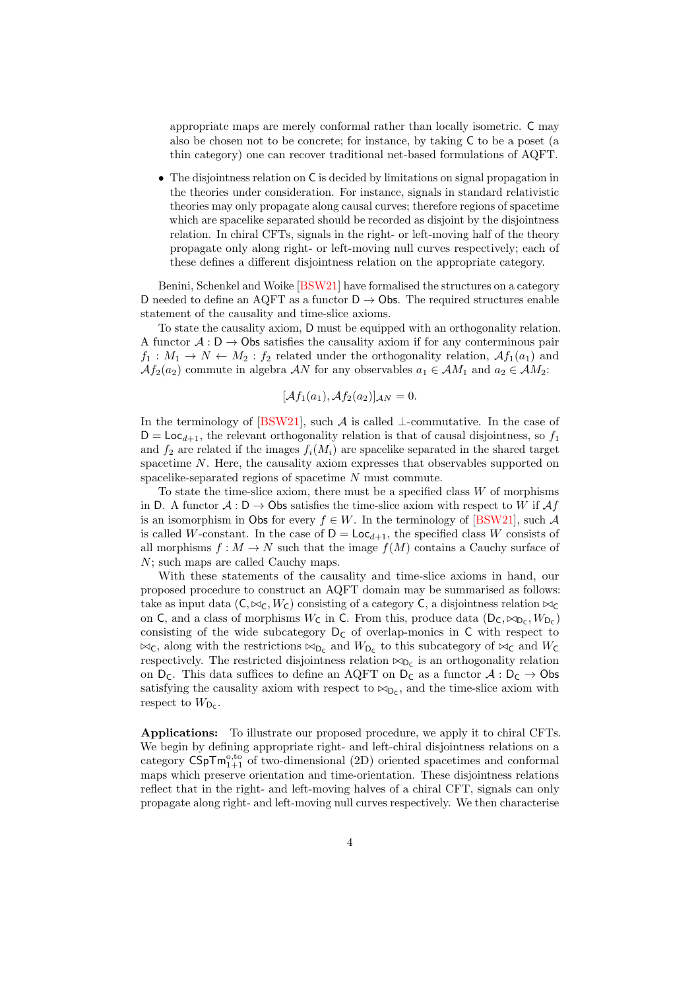appropriate maps are merely conformal rather than locally isometric. C may also be chosen not to be concrete; for instance, by taking C to be a poset (a thin category) one can recover traditional net-based formulations of AQFT.

• The disjointness relation on C is decided by limitations on signal propagation in the theories under consideration. For instance, signals in standard relativistic theories may only propagate along causal curves; therefore regions of spacetime which are spacelike separated should be recorded as disjoint by the disjointness relation. In chiral CFTs, signals in the right- or left-moving half of the theory propagate only along right- or left-moving null curves respectively; each of these defines a different disjointness relation on the appropriate category.

Benini, Schenkel and Woike [\[BSW21\]](#page-50-0) have formalised the structures on a category D needed to define an AQFT as a functor  $D \rightarrow \text{Obs}$ . The required structures enable statement of the causality and time-slice axioms.

To state the causality axiom, D must be equipped with an orthogonality relation. A functor  $A: D \to \mathsf{Obs}$  satisfies the causality axiom if for any conterminous pair  $f_1: M_1 \to N \leftarrow M_2: f_2$  related under the orthogonality relation,  $\mathcal{A}f_1(a_1)$  and  $Af_2(a_2)$  commute in algebra AN for any observables  $a_1 \in AM_1$  and  $a_2 \in AM_2$ :

$$
[\mathcal{A}f_1(a_1), \mathcal{A}f_2(a_2)]_{\mathcal{A}N} = 0.
$$

In the terminology of [\[BSW21\]](#page-50-0), such  $\mathcal A$  is called ⊥-commutative. In the case of  $D = \text{Loc}_{d+1}$ , the relevant orthogonality relation is that of causal disjointness, so  $f_1$ and  $f_2$  are related if the images  $f_i(M_i)$  are spacelike separated in the shared target spacetime N. Here, the causality axiom expresses that observables supported on spacelike-separated regions of spacetime N must commute.

To state the time-slice axiom, there must be a specified class  $W$  of morphisms in D. A functor  $A: D \to \mathsf{Obs}$  satisfies the time-slice axiom with respect to W if  $\mathcal{A}f$ is an isomorphism in Obs for every  $f \in W$ . In the terminology of [\[BSW21\]](#page-50-0), such A is called W-constant. In the case of  $D = Loc_{d+1}$ , the specified class W consists of all morphisms  $f : M \to N$  such that the image  $f(M)$  contains a Cauchy surface of N; such maps are called Cauchy maps.

With these statements of the causality and time-slice axioms in hand, our proposed procedure to construct an AQFT domain may be summarised as follows: take as input data  $(C, \bowtie_C, W_C)$  consisting of a category C, a disjointness relation  $\bowtie_C$ on C, and a class of morphisms  $W_C$  in C. From this, produce data  $(D_C, \bowtie_{D_C}, W_{D_C})$ consisting of the wide subcategory  $D_C$  of overlap-monics in C with respect to  $\bowtie_{\mathsf{C}}$ , along with the restrictions  $\bowtie_{\mathsf{D}_{\mathsf{C}}}$  and  $W_{\mathsf{D}_{\mathsf{C}}}$  to this subcategory of  $\bowtie_{\mathsf{C}}$  and  $W_{\mathsf{C}}$ respectively. The restricted disjointness relation  $\bowtie_{D_C}$  is an orthogonality relation on  $D_C$ . This data suffices to define an AQFT on  $D_C$  as a functor  $\mathcal{A}: D_C \to \mathcal{O}$ bs satisfying the causality axiom with respect to  $\bowtie_{D_c}$ , and the time-slice axiom with respect to  $W_{\mathsf{D}_{\mathsf{C}}}$ .

Applications: To illustrate our proposed procedure, we apply it to chiral CFTs. We begin by defining appropriate right- and left-chiral disjointness relations on a category  $\mathsf{CSpTm}_{1+1}^{\mathrm{o},\mathrm{to}}$  of two-dimensional (2D) oriented spacetimes and conformal maps which preserve orientation and time-orientation. These disjointness relations reflect that in the right- and left-moving halves of a chiral CFT, signals can only propagate along right- and left-moving null curves respectively. We then characterise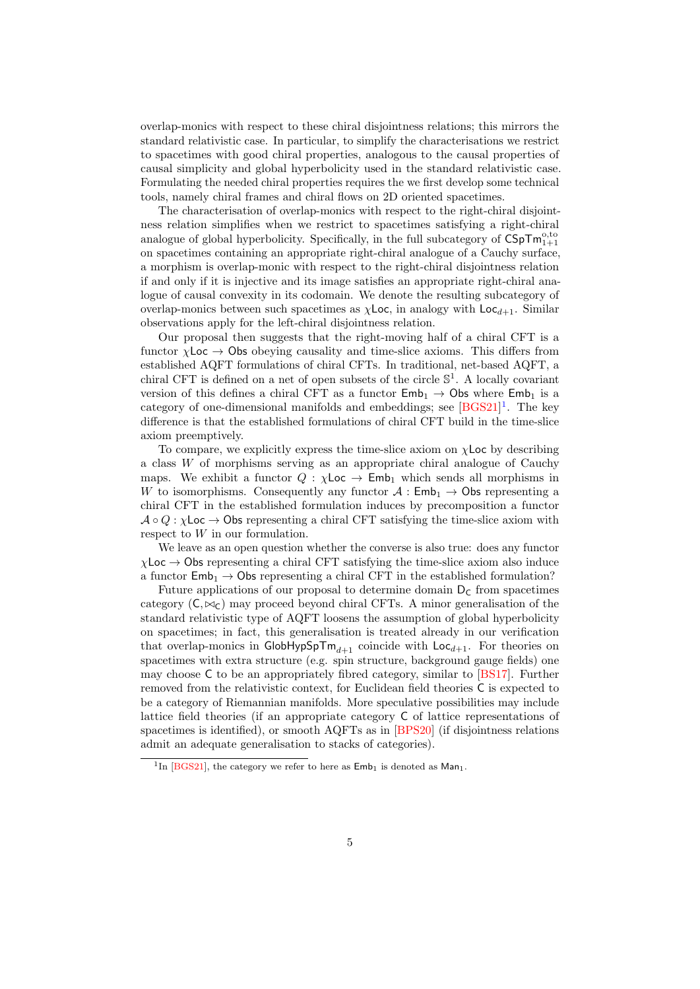overlap-monics with respect to these chiral disjointness relations; this mirrors the standard relativistic case. In particular, to simplify the characterisations we restrict to spacetimes with good chiral properties, analogous to the causal properties of causal simplicity and global hyperbolicity used in the standard relativistic case. Formulating the needed chiral properties requires the we first develop some technical tools, namely chiral frames and chiral flows on 2D oriented spacetimes.

The characterisation of overlap-monics with respect to the right-chiral disjointness relation simplifies when we restrict to spacetimes satisfying a right-chiral analogue of global hyperbolicity. Specifically, in the full subcategory of  $\mathsf{CSpTm}^{0,to}_{1+1}$ on spacetimes containing an appropriate right-chiral analogue of a Cauchy surface, a morphism is overlap-monic with respect to the right-chiral disjointness relation if and only if it is injective and its image satisfies an appropriate right-chiral analogue of causal convexity in its codomain. We denote the resulting subcategory of overlap-monics between such spacetimes as  $\chi$ Loc, in analogy with Loc<sub>d+1</sub>. Similar observations apply for the left-chiral disjointness relation.

Our proposal then suggests that the right-moving half of a chiral CFT is a functor  $\chi$ Loc  $\rightarrow$  Obs obeying causality and time-slice axioms. This differs from established AQFT formulations of chiral CFTs. In traditional, net-based AQFT, a chiral CFT is defined on a net of open subsets of the circle  $\mathbb{S}^1$ . A locally covariant version of this defines a chiral CFT as a functor  $\mathsf{Emb}_1 \to \mathsf{Obs}$  where  $\mathsf{Emb}_1$  is a category of one-dimensional manifolds and embeddings; see [\[BGS21\]](#page-50-3)<sup>[1](#page-4-0)</sup>. The key difference is that the established formulations of chiral CFT build in the time-slice axiom preemptively.

To compare, we explicitly express the time-slice axiom on  $\chi$ Loc by describing a class W of morphisms serving as an appropriate chiral analogue of Cauchy maps. We exhibit a functor  $Q : \chi$ Loc  $\rightarrow$  Emb<sub>1</sub> which sends all morphisms in W to isomorphisms. Consequently any functor  $A : \mathsf{Emb}_1 \to \mathsf{Obs}$  representing a chiral CFT in the established formulation induces by precomposition a functor  $\mathcal{A} \circ Q : \chi$ Loc  $\to$  Obs representing a chiral CFT satisfying the time-slice axiom with respect to W in our formulation.

We leave as an open question whether the converse is also true: does any functor  $\chi$ Loc  $\rightarrow$  Obs representing a chiral CFT satisfying the time-slice axiom also induce a functor  $\text{Emb}_1 \rightarrow \text{Obs representing a chiral CFT}$  in the established formulation?

Future applications of our proposal to determine domain  $D<sub>c</sub>$  from spacetimes category  $(C, \bowtie_C)$  may proceed beyond chiral CFTs. A minor generalisation of the standard relativistic type of AQFT loosens the assumption of global hyperbolicity on spacetimes; in fact, this generalisation is treated already in our verification that overlap-monics in GlobHypSpT $m_{d+1}$  coincide with Loc<sub>d+1</sub>. For theories on spacetimes with extra structure (e.g. spin structure, background gauge fields) one may choose C to be an appropriately fibred category, similar to [\[BS17\]](#page-50-4). Further removed from the relativistic context, for Euclidean field theories C is expected to be a category of Riemannian manifolds. More speculative possibilities may include lattice field theories (if an appropriate category C of lattice representations of spacetimes is identified), or smooth AQFTs as in [\[BPS20\]](#page-50-5) (if disjointness relations admit an adequate generalisation to stacks of categories).

<span id="page-4-0"></span><sup>&</sup>lt;sup>1</sup>In [\[BGS21\]](#page-50-3), the category we refer to here as  $Emb_1$  is denoted as  $Man_1$ .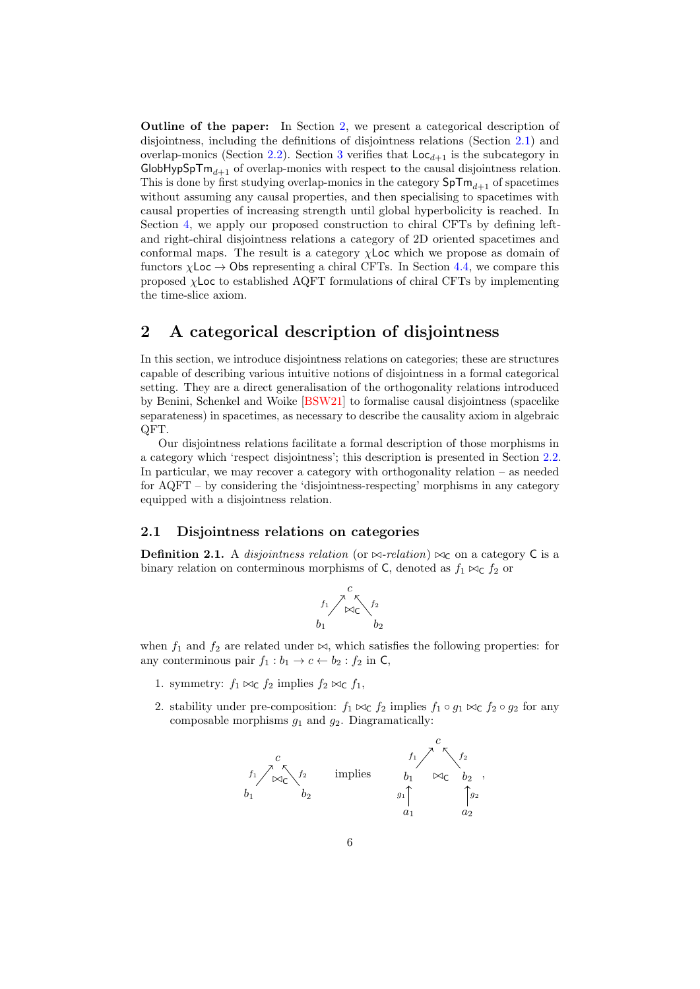Outline of the paper: In Section [2,](#page-5-0) we present a categorical description of disjointness, including the definitions of disjointness relations (Section [2.1\)](#page-5-1) and overlap-monics (Section [2.2\)](#page-9-0). Section [3](#page-12-0) verifies that  $\text{Loc}_{d+1}$  is the subcategory in  $G$ lobHypSpTm<sub>d+1</sub> of overlap-monics with respect to the causal disjointness relation. This is done by first studying overlap-monics in the category  $SpTm_{d+1}$  of spacetimes without assuming any causal properties, and then specialising to spacetimes with causal properties of increasing strength until global hyperbolicity is reached. In Section [4,](#page-25-0) we apply our proposed construction to chiral CFTs by defining leftand right-chiral disjointness relations a category of 2D oriented spacetimes and conformal maps. The result is a category  $\chi$  Loc which we propose as domain of functors  $\chi$ Loc  $\rightarrow$  Obs representing a chiral CFTs. In Section [4.4,](#page-44-0) we compare this proposed χLoc to established AQFT formulations of chiral CFTs by implementing the time-slice axiom.

## <span id="page-5-0"></span>2 A categorical description of disjointness

In this section, we introduce disjointness relations on categories; these are structures capable of describing various intuitive notions of disjointness in a formal categorical setting. They are a direct generalisation of the orthogonality relations introduced by Benini, Schenkel and Woike [\[BSW21\]](#page-50-0) to formalise causal disjointness (spacelike separateness) in spacetimes, as necessary to describe the causality axiom in algebraic QFT.

Our disjointness relations facilitate a formal description of those morphisms in a category which 'respect disjointness'; this description is presented in Section [2.2.](#page-9-0) In particular, we may recover a category with orthogonality relation – as needed for AQFT – by considering the 'disjointness-respecting' morphisms in any category equipped with a disjointness relation.

### <span id="page-5-1"></span>2.1 Disjointness relations on categories

<span id="page-5-2"></span>**Definition 2.1.** A disjointness relation (or  $\bowtie$ -relation)  $\bowtie$ <sub>C</sub> on a category C is a binary relation on conterminous morphisms of C, denoted as  $f_1 \bowtie_{\mathsf{C}} f_2$  or



when  $f_1$  and  $f_2$  are related under  $\bowtie$ , which satisfies the following properties: for any conterminous pair  $f_1 : b_1 \to c \leftarrow b_2 : f_2$  in C,

- 1. symmetry:  $f_1 \bowtie_{\mathsf{C}} f_2$  implies  $f_2 \bowtie_{\mathsf{C}} f_1$ ,
- 2. stability under pre-composition:  $f_1 \bowtie_c f_2$  implies  $f_1 \circ g_1 \bowtie_c f_2 \circ g_2$  for any composable morphisms  $g_1$  and  $g_2$ . Diagramatically:

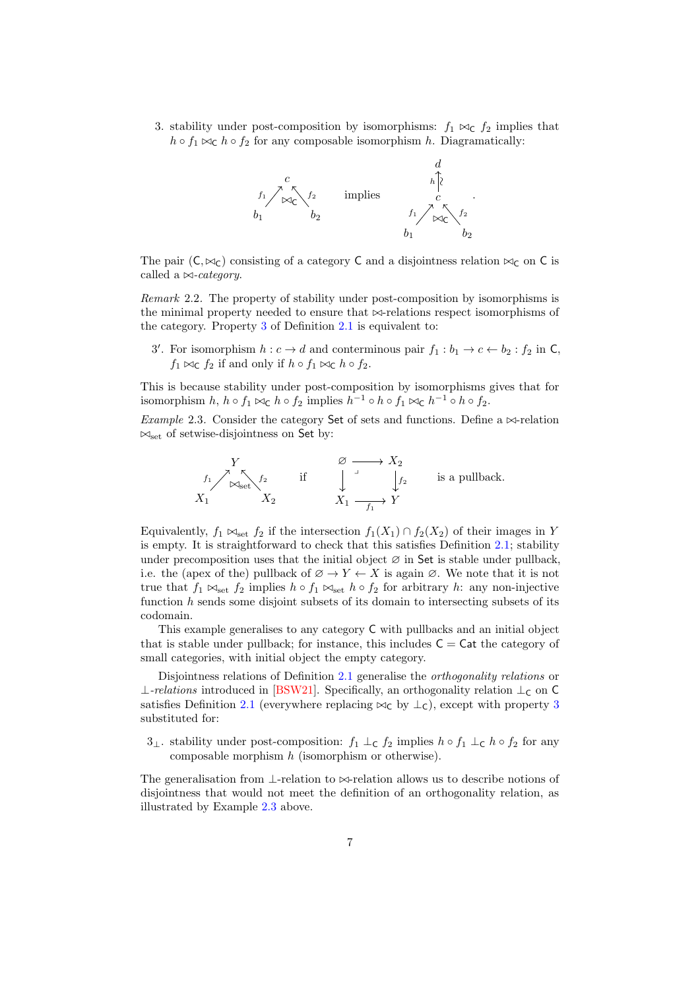<span id="page-6-0"></span>3. stability under post-composition by isomorphisms:  $f_1 \bowtie_c f_2$  implies that  $h \circ f_1 \bowtie_{\mathsf{C}} h \circ f_2$  for any composable isomorphism h. Diagramatically:



The pair  $(C, \bowtie_C)$  consisting of a category C and a disjointness relation  $\bowtie_C$  on C is called a  $\bowtie$ -category.

<span id="page-6-2"></span>Remark 2.2. The property of stability under post-composition by isomorphisms is the minimal property needed to ensure that  $\bowtie$ -relations respect isomorphisms of the category. Property [3](#page-6-0) of Definition [2.1](#page-5-2) is equivalent to:

3'. For isomorphism  $h: c \to d$  and conterminous pair  $f_1: b_1 \to c \leftarrow b_2: f_2$  in C,  $f_1 \bowtie_{\mathsf{C}} f_2$  if and only if  $h \circ f_1 \bowtie_{\mathsf{C}} h \circ f_2$ .

This is because stability under post-composition by isomorphisms gives that for isomorphism  $h, h \circ f_1 \bowtie_{\mathsf{C}} h \circ f_2$  implies  $h^{-1} \circ h \circ f_1 \bowtie_{\mathsf{C}} h^{-1} \circ h \circ f_2$ .

<span id="page-6-1"></span>Example 2.3. Consider the category Set of sets and functions. Define a  $\bowtie$ -relation  $\bowtie_{\text{set}}$  of setwise-disjointness on Set by:



Equivalently,  $f_1 \bowtie_{\text{set}} f_2$  if the intersection  $f_1(X_1) \cap f_2(X_2)$  of their images in Y is empty. It is straightforward to check that this satisfies Definition [2.1;](#page-5-2) stability under precomposition uses that the initial object  $\varnothing$  in Set is stable under pullback. i.e. the (apex of the) pullback of  $\emptyset \to Y \leftarrow X$  is again  $\emptyset$ . We note that it is not true that  $f_1 \bowtie_{\text{set}} f_2$  implies  $h \circ f_1 \bowtie_{\text{set}} h \circ f_2$  for arbitrary h: any non-injective function  $h$  sends some disjoint subsets of its domain to intersecting subsets of its codomain.

This example generalises to any category C with pullbacks and an initial object that is stable under pullback; for instance, this includes  $C = Cat$  the category of small categories, with initial object the empty category.

Disjointness relations of Definition [2.1](#page-5-2) generalise the *orthogonality relations* or ⊥-relations introduced in [\[BSW21\]](#page-50-0). Specifically, an orthogonality relation  $\bot$ <sub>C</sub> on C satisfies Definition [2.1](#page-5-2) (everywhere replacing  $\bowtie_{\mathsf{C}}$  by  $\perp_{\mathsf{C}}$ ), except with property [3](#page-6-0) substituted for:

3⊥. stability under post-composition:  $f_1 \perp_c f_2$  implies  $h \circ f_1 \perp_c h \circ f_2$  for any composable morphism  $h$  (isomorphism or otherwise).

The generalisation from  $\perp$ -relation to  $\bowtie$ -relation allows us to describe notions of disjointness that would not meet the definition of an orthogonality relation, as illustrated by Example [2.3](#page-6-1) above.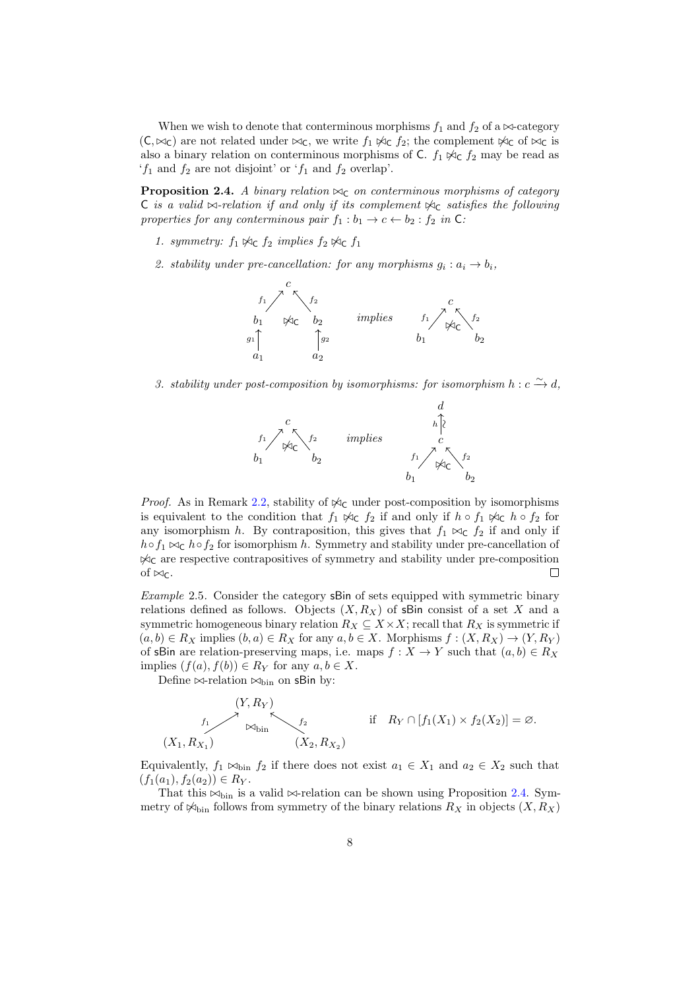When we wish to denote that conterminous morphisms  $f_1$  and  $f_2$  of a  $\bowtie$ -category  $(C, \bowtie_C)$  are not related under  $\bowtie_C$ , we write  $f_1 \not\bowtie_C f_2$ ; the complement  $\not\bowtie_C$  of  $\bowtie_C$  is also a binary relation on conterminous morphisms of C.  $f_1 \not\bowtie_c f_2$  may be read as  $f_1$  and  $f_2$  are not disjoint' or  $f_1$  and  $f_2$  overlap'.

<span id="page-7-0"></span>**Proposition 2.4.** A binary relation  $\bowtie_{\mathsf{C}}$  on conterminous morphisms of category C is a valid  $\bowtie$ -relation if and only if its complement  $\Join$  satisfies the following properties for any conterminous pair  $f_1 : b_1 \to c \leftarrow b_2 : f_2$  in C:

- 1. symmetry:  $f_1 \not\approx_{\mathsf{C}} f_2$  implies  $f_2 \not\approx_{\mathsf{C}} f_1$
- 2. stability under pre-cancellation: for any morphisms  $g_i : a_i \to b_i$ ,



3. stability under post-composition by isomorphisms: for isomorphism  $h : c \xrightarrow{\sim} d$ ,



*Proof.* As in Remark [2.2,](#page-6-2) stability of  $\Join$ <sub>C</sub> under post-composition by isomorphisms is equivalent to the condition that  $f_1 \not\approx_c f_2$  if and only if  $h \circ f_1 \not\approx_c h \circ f_2$  for any isomorphism h. By contraposition, this gives that  $f_1 \bowtie_{\mathsf{C}} f_2$  if and only if  $h \circ f_1 \bowtie_{\mathsf{C}} h \circ f_2$  for isomorphism h. Symmetry and stability under pre-cancellation of  $\mathcal{A}_C$  are respective contrapositives of symmetry and stability under pre-composition of  $\bowtie_{C}$ . П

<span id="page-7-1"></span>Example 2.5. Consider the category sBin of sets equipped with symmetric binary relations defined as follows. Objects  $(X, R_X)$  of sBin consist of a set X and a symmetric homogeneous binary relation  $R_X \subseteq X \times X$ ; recall that  $R_X$  is symmetric if  $(a, b) \in R_X$  implies  $(b, a) \in R_X$  for any  $a, b \in X$ . Morphisms  $f : (X, R_X) \to (Y, R_Y)$ of sBin are relation-preserving maps, i.e. maps  $f : X \to Y$  such that  $(a, b) \in R_X$ implies  $(f(a), f(b)) \in R_Y$  for any  $a, b \in X$ .

Define  $\bowtie$ -relation  $\bowtie$ <sub>bin</sub> on sBin by:

$$
(Y, R_Y)
$$
  
\n $f_1$   
\n $f_2$   
\n $f_3$   
\n $f_4$   
\n $f_5$   
\n $f_6$   
\n $f_7$   
\n $f_8$   
\n $f_9 \cap [f_1(X_1) \times f_2(X_2)] = \emptyset$ .

Equivalently,  $f_1 \bowtie_{\text{bin}} f_2$  if there does not exist  $a_1 \in X_1$  and  $a_2 \in X_2$  such that  $(f_1(a_1), f_2(a_2)) \in R_Y.$ 

That this  $\bowtie$ <sub>bin</sub> is a valid  $\bowtie$ -relation can be shown using Proposition [2.4.](#page-7-0) Symmetry of  $\mathcal{K}_{\text{bin}}$  follows from symmetry of the binary relations  $R_X$  in objects  $(X, R_X)$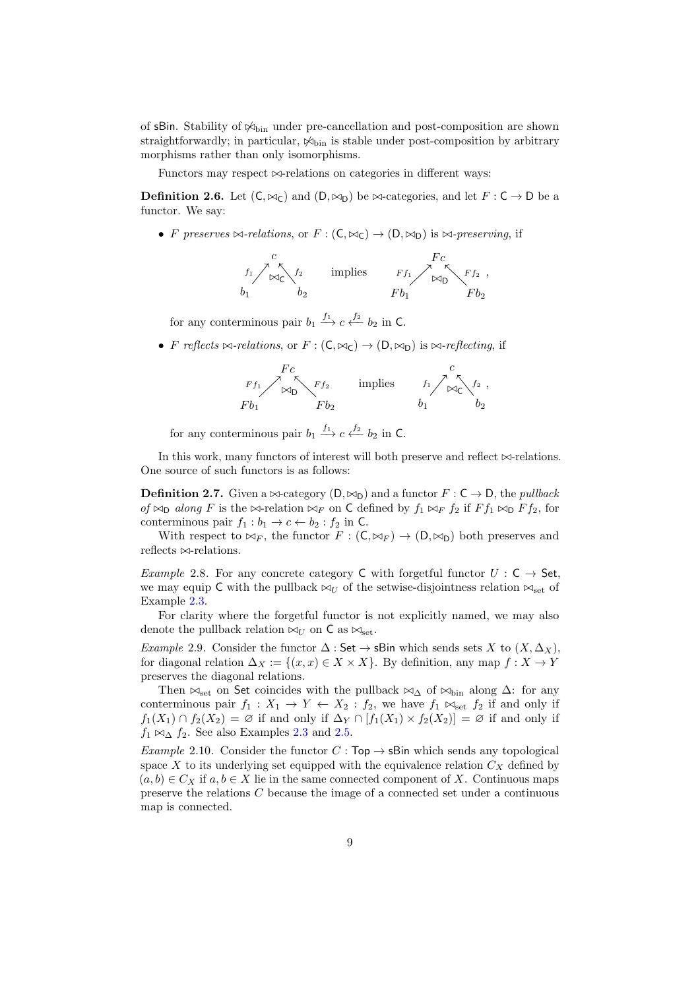of  $sBin.$  Stability of  $\mathcal{K}_{\text{bin}}$  under pre-cancellation and post-composition are shown straightforwardly; in particular,  $\mathcal{A}_{\text{bin}}$  is stable under post-composition by arbitrary morphisms rather than only isomorphisms.

Functors may respect  $\bowtie$ -relations on categories in different ways:

**Definition 2.6.** Let  $(C, \bowtie_{C})$  and  $(D, \bowtie_{D})$  be  $\bowtie$ -categories, and let  $F : C \to D$  be a functor. We say:

• F preserves  $\bowtie$ -relations, or  $F : (C, \bowtie_C) \to (D, \bowtie_D)$  is  $\bowtie$ -preserving, if



for any conterminous pair  $b_1 \stackrel{f_1}{\longrightarrow} c \stackrel{f_2}{\longleftarrow} b_2$  in C.

• F reflects  $\bowtie$ -relations, or  $F : (C, \bowtie_C) \to (D, \bowtie_D)$  is  $\bowtie$ -reflecting, if



for any conterminous pair  $b_1 \stackrel{f_1}{\longrightarrow} c \stackrel{f_2}{\longleftarrow} b_2$  in C.

In this work, many functors of interest will both preserve and reflect  $\bowtie$ -relations. One source of such functors is as follows:

**Definition 2.7.** Given a  $\bowtie$ -category  $(D, \bowtie_D)$  and a functor  $F : C \to D$ , the *pullback* of  $\bowtie_{\mathsf{D}}$  along F is the  $\bowtie_{\mathsf{F}}$  relation  $\bowtie_F$  on C defined by  $f_1 \bowtie_F f_2$  if  $F f_1 \bowtie_{\mathsf{D}} F f_2$ , for conterminous pair  $f_1 : b_1 \to c \leftarrow b_2 : f_2$  in C.

With respect to  $\bowtie_F$ , the functor  $F : (\mathsf{C}, \bowtie_F) \to (\mathsf{D}, \bowtie_{\mathsf{D}})$  both preserves and reflects  $\bowtie$ -relations.

<span id="page-8-0"></span>*Example 2.8.* For any concrete category C with forgetful functor  $U : C \rightarrow$  Set, we may equip C with the pullback  $\bowtie_U$  of the setwise-disjointness relation  $\bowtie_{\text{set}}$  of Example [2.3.](#page-6-1)

For clarity where the forgetful functor is not explicitly named, we may also denote the pullback relation  $\bowtie_U$  on C as  $\bowtie_{\text{set}}$ .

<span id="page-8-2"></span>Example 2.9. Consider the functor  $\Delta$ : Set  $\rightarrow$  sBin which sends sets X to  $(X, \Delta_X)$ , for diagonal relation  $\Delta_X := \{(x, x) \in X \times X\}$ . By definition, any map  $f : X \to Y$ preserves the diagonal relations.

Then  $\bowtie_{\text{set}}$  on Set coincides with the pullback  $\bowtie_{\Delta}$  of  $\bowtie_{\text{bin}}$  along  $\Delta$ : for any conterminous pair  $f_1 : X_1 \to Y \leftarrow X_2 : f_2$ , we have  $f_1 \bowtie_{\text{set}} f_2$  if and only if  $f_1(X_1) \cap f_2(X_2) = \emptyset$  if and only if  $\Delta_Y \cap [f_1(X_1) \times f_2(X_2)] = \emptyset$  if and only if  $f_1 \bowtie_{\Delta} f_2$ . See also Examples [2.3](#page-6-1) and [2.5.](#page-7-1)

<span id="page-8-1"></span>Example 2.10. Consider the functor  $C : Top \rightarrow$  sBin which sends any topological space  $X$  to its underlying set equipped with the equivalence relation  $C_X$  defined by  $(a, b) \in C_X$  if  $a, b \in X$  lie in the same connected component of X. Continuous maps preserve the relations C because the image of a connected set under a continuous map is connected.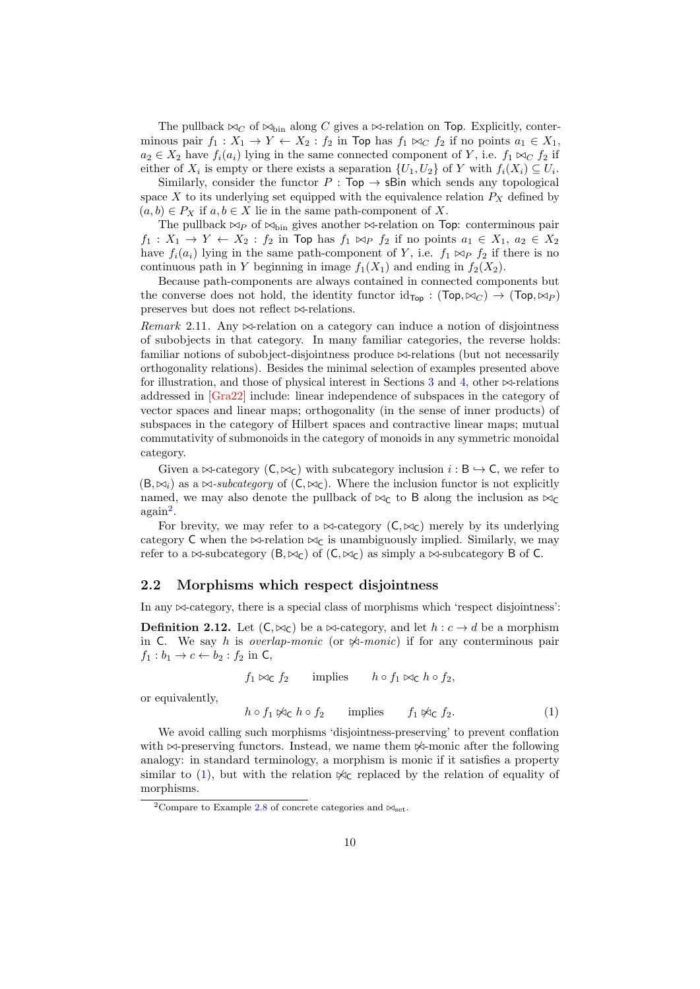The pullback  $\bowtie_C$  of  $\bowtie_{\text{bin}}$  along C gives a  $\bowtie$ -relation on Top. Explicitly, conterminous pair  $f_1 : X_1 \to Y \leftarrow X_2 : f_2$  in Top has  $f_1 \bowtie_C f_2$  if no points  $a_1 \in X_1$ ,  $a_2 \in X_2$  have  $f_i(a_i)$  lying in the same connected component of Y, i.e.  $f_1 \bowtie_C f_2$  if either of  $X_i$  is empty or there exists a separation  $\{U_1, U_2\}$  of Y with  $f_i(X_i) \subseteq U_i$ .

Similarly, consider the functor  $P : Top \rightarrow sBin$  which sends any topological space X to its underlying set equipped with the equivalence relation  $P_X$  defined by  $(a, b) \in P_X$  if  $a, b \in X$  lie in the same path-component of X.

The pullback  $\bowtie_P$  of  $\bowtie$ <sub>bin</sub> gives another  $\bowtie$ -relation on Top: conterminous pair  $f_1: X_1 \to Y \leftarrow X_2: f_2$  in Top has  $f_1 \bowtie_P f_2$  if no points  $a_1 \in X_1, a_2 \in X_2$ have  $f_i(a_i)$  lying in the same path-component of Y, i.e.  $f_1 \bowtie_{P} f_2$  if there is no continuous path in Y beginning in image  $f_1(X_1)$  and ending in  $f_2(X_2)$ .

Because path-components are always contained in connected components but the converse does not hold, the identity functor  $\mathrm{id}_{\text{Top}} : (\text{Top}, \bowtie_C) \to (\text{Top}, \bowtie_P)$ preserves but does not reflect  $\bowtie$ -relations.

Remark 2.11. Any  $\bowtie$ -relation on a category can induce a notion of disjointness of subobjects in that category. In many familiar categories, the reverse holds: familiar notions of subobject-disjointness produce  $\bowtie$ -relations (but not necessarily orthogonality relations). Besides the minimal selection of examples presented above for illustration, and those of physical interest in Sections [3](#page-12-0) and [4,](#page-25-0) other  $\bowtie$ -relations addressed in [\[Gra22\]](#page-51-2) include: linear independence of subspaces in the category of vector spaces and linear maps; orthogonality (in the sense of inner products) of subspaces in the category of Hilbert spaces and contractive linear maps; mutual commutativity of submonoids in the category of monoids in any symmetric monoidal category.

Given a  $\bowtie$ -category ( $C, \bowtie_C$ ) with subcategory inclusion  $i : B \hookrightarrow C$ , we refer to  $(B, \bowtie_i)$  as a  $\bowtie\text{-}subcategory$  of  $(C, \bowtie_C)$ . Where the inclusion functor is not explicitly named, we may also denote the pullback of  $\bowtie$ <sub>C</sub> to B along the inclusion as  $\bowtie$ <sub>C</sub> again[2](#page-9-1) .

For brevity, we may refer to a  $\bowtie$ -category  $(C, \bowtie_C)$  merely by its underlying category C when the  $\bowtie$ -relation  $\bowtie$ <sub>C</sub> is unambiguously implied. Similarly, we may refer to a  $\bowtie$ -subcategory (B,  $\bowtie$ <sub>C</sub>) of (C,  $\bowtie$ <sub>C</sub>) as simply a  $\bowtie$ -subcategory B of C.

#### <span id="page-9-0"></span>2.2 Morphisms which respect disjointness

In any  $\bowtie$ -category, there is a special class of morphisms which 'respect disjointness':

<span id="page-9-3"></span>**Definition 2.12.** Let  $(C, \bowtie_C)$  be a  $\bowtie$ -category, and let  $h : c \rightarrow d$  be a morphism in C. We say h is *overlap-monic* (or  $\Join$ -monic) if for any conterminous pair  $f_1 : b_1 \rightarrow c \leftarrow b_2 : f_2$  in C,

<span id="page-9-2"></span>
$$
f_1 \bowtie_{\mathsf{C}} f_2 \qquad \text{implies} \qquad h \circ f_1 \bowtie_{\mathsf{C}} h \circ f_2,
$$
  
 
$$
y, \qquad h \circ f_1 \bowtie_{\mathsf{C}} h \circ f_2 \qquad \text{implies} \qquad f_1 \bowtie_{\mathsf{C}} f_2.
$$
 (1)

We avoid calling such morphisms 'disjointness-preserving' to prevent conflation with  $\bowtie$ -preserving functors. Instead, we name them  $\Join$ -monic after the following analogy: in standard terminology, a morphism is monic if it satisfies a property similar to [\(1\)](#page-9-2), but with the relation  $\mathcal{K}_{\mathbb{C}}$  replaced by the relation of equality of morphisms.

or equivalentl

<span id="page-9-1"></span><sup>&</sup>lt;sup>2</sup>Compare to Example [2.8](#page-8-0) of concrete categories and  $\bowtie_{\text{set}}$ .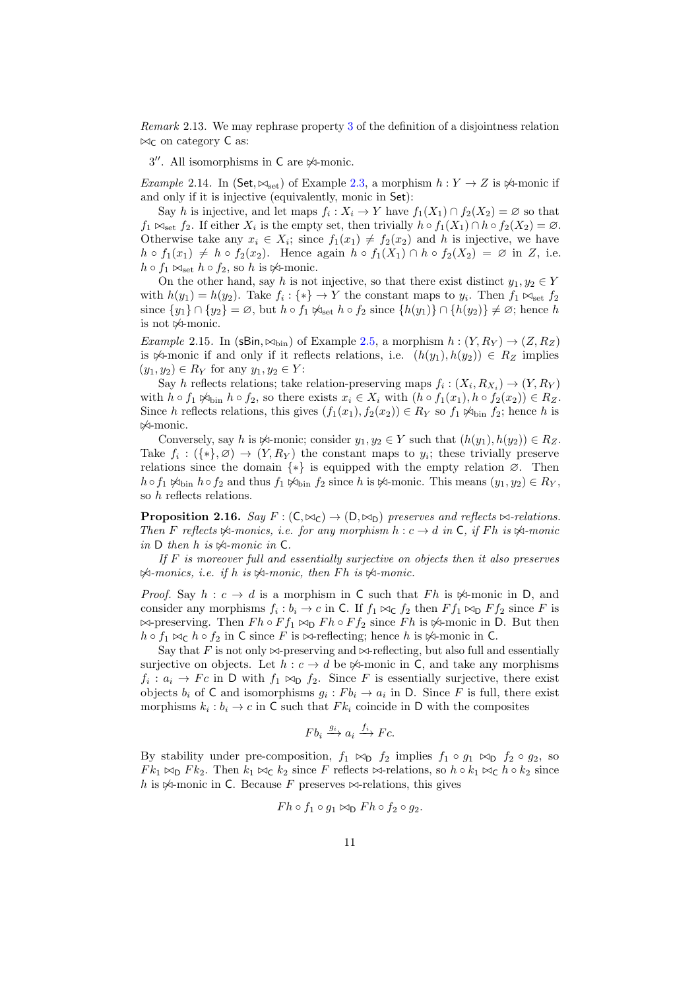Remark 2.13. We may rephrase property [3](#page-6-0) of the definition of a disjointness relation  $\bowtie_{\mathsf{C}}$  on category  $\mathsf{C}$  as:

3". All isomorphisms in C are  $\not\!\!\prec$ -monic.

<span id="page-10-1"></span>Example 2.14. In (Set,  $\bowtie_{\text{set}}$ ) of Example [2.3,](#page-6-1) a morphism  $h : Y \to Z$  is  $\Join$ -monic if and only if it is injective (equivalently, monic in Set):

Say h is injective, and let maps  $f_i: X_i \to Y$  have  $f_1(X_1) \cap f_2(X_2) = \emptyset$  so that  $f_1 \bowtie_{\text{set}} f_2$ . If either  $X_i$  is the empty set, then trivially  $h \circ f_1(X_1) \cap h \circ f_2(X_2) = \emptyset$ . Otherwise take any  $x_i \in X_i$ ; since  $f_1(x_1) \neq f_2(x_2)$  and h is injective, we have  $h \circ f_1(x_1) \neq h \circ f_2(x_2)$ . Hence again  $h \circ f_1(X_1) \cap h \circ f_2(X_2) = \emptyset$  in Z, i.e.  $h \circ f_1 \bowtie_{\text{set}} h \circ f_2$ , so h is  $\not\bowtie$ -monic.

On the other hand, say h is not injective, so that there exist distinct  $y_1, y_2 \in Y$ with  $h(y_1) = h(y_2)$ . Take  $f_i : \{*\} \to Y$  the constant maps to  $y_i$ . Then  $f_1 \bowtie_{\text{set}} f_2$ since  $\{y_1\} \cap \{y_2\} = \emptyset$ , but  $h \circ f_1 \not\bowtie_{\text{set}} h \circ f_2$  since  $\{h(y_1)\} \cap \{h(y_2)\} \neq \emptyset$ ; hence h is not  $\not\!\!\prec$ -monic.

<span id="page-10-2"></span>Example 2.15. In (sBin,  $\bowtie$ <sub>bin</sub>) of Example [2.5,](#page-7-1) a morphism  $h : (Y, R_Y) \rightarrow (Z, R_Z)$ is  $\mathcal{A}$ -monic if and only if it reflects relations, i.e.  $(h(y_1), h(y_2)) \in R_Z$  implies  $(y_1, y_2) \in R_Y$  for any  $y_1, y_2 \in Y$ :

Say h reflects relations; take relation-preserving maps  $f_i: (X_i, R_{X_i}) \to (Y, R_Y)$ with  $h \circ f_1 \not\sim_{\text{bin}} h \circ f_2$ , so there exists  $x_i \in X_i$  with  $(h \circ f_1(x_1), h \circ f_2(x_2)) \in R_Z$ . Since h reflects relations, this gives  $(f_1(x_1), f_2(x_2)) \in R_Y$  so  $f_1 \not\approx_{\text{bin}} f_2$ ; hence h is 6./-monic.

Conversely, say h is  $\forall$ -monic; consider  $y_1, y_2 \in Y$  such that  $(h(y_1), h(y_2)) \in R_Z$ . Take  $f_i: (\{*\}, \varnothing) \to (Y, R_Y)$  the constant maps to  $y_i$ ; these trivially preserve relations since the domain  $\{*\}$  is equipped with the empty relation  $\varnothing$ . Then  $h \circ f_1 \not\sim_{\text{bin}} h \circ f_2$  and thus  $f_1 \not\sim_{\text{bin}} f_2$  since h is  $\not\sim_{\text{monic}}$ . This means  $(y_1, y_2) \in R_Y$ , so h reflects relations.

<span id="page-10-0"></span>**Proposition 2.16.** Say  $F : (C, \bowtie_C) \rightarrow (D, \bowtie_D)$  preserves and reflects  $\bowtie$ -relations. Then F reflects  $\Join$ -monics, i.e. for any morphism  $h : c \rightarrow d$  in C, if Fh is  $\Join$ -monic in  $D$  then  $h$  is  $\Join$ -monic in  $C$ .

If  $F$  is moreover full and essentially surjective on objects then it also preserves  $\mathcal{A}\text{-monics, i.e. if } h \text{ is } \mathcal{A}\text{-monic, then } Fh \text{ is } \mathcal{A}\text{-monic.}$ 

*Proof.* Say  $h: c \to d$  is a morphism in C such that Fh is  $\not\approx$ -monic in D, and consider any morphisms  $f_i : b_i \to c$  in C. If  $f_1 \bowtie_{\mathsf{C}} f_2$  then  $F f_1 \bowtie_{\mathsf{D}} F f_2$  since F is  $\bowtie$ -preserving. Then  $F h \circ F f_1 \bowtie_{D} F h \circ F f_2$  since  $F h$  is  $\bowtie$ -monic in D. But then  $h \circ f_1 \bowtie_{\mathsf{C}} h \circ f_2$  in C since F is  $\bowtie$ -reflecting; hence h is  $\bowtie$ -monic in C.

Say that F is not only  $\bowtie$ -preserving and  $\bowtie$ -reflecting, but also full and essentially surjective on objects. Let  $h : c \to d$  be  $\mathcal{A}$ -monic in C, and take any morphisms  $f_i: a_i \to Fc$  in D with  $f_1 \bowtie_{\text{D}} f_2$ . Since F is essentially surjective, there exist objects  $b_i$  of C and isomorphisms  $g_i : Fb_i \to a_i$  in D. Since F is full, there exist morphisms  $k_i : b_i \to c$  in C such that  $F k_i$  coincide in D with the composites

$$
Fb_i \xrightarrow{g_i} a_i \xrightarrow{f_i} Fc.
$$

By stability under pre-composition,  $f_1 \bowtie_{\text{D}} f_2$  implies  $f_1 \circ g_1 \bowtie_{\text{D}} f_2 \circ g_2$ , so  $F k_1 \bowtie_{\mathsf{D}} F k_2$ . Then  $k_1 \bowtie_{\mathsf{C}} k_2$  since F reflects  $\bowtie_{\mathsf{F}}$  relations, so  $h \circ k_1 \bowtie_{\mathsf{C}} h \circ k_2$  since h is  $\Join$ -monic in C. Because F preserves  $\Join$ -relations, this gives

$$
Fh \circ f_1 \circ g_1 \bowtie_{\mathsf{D}} Fh \circ f_2 \circ g_2.
$$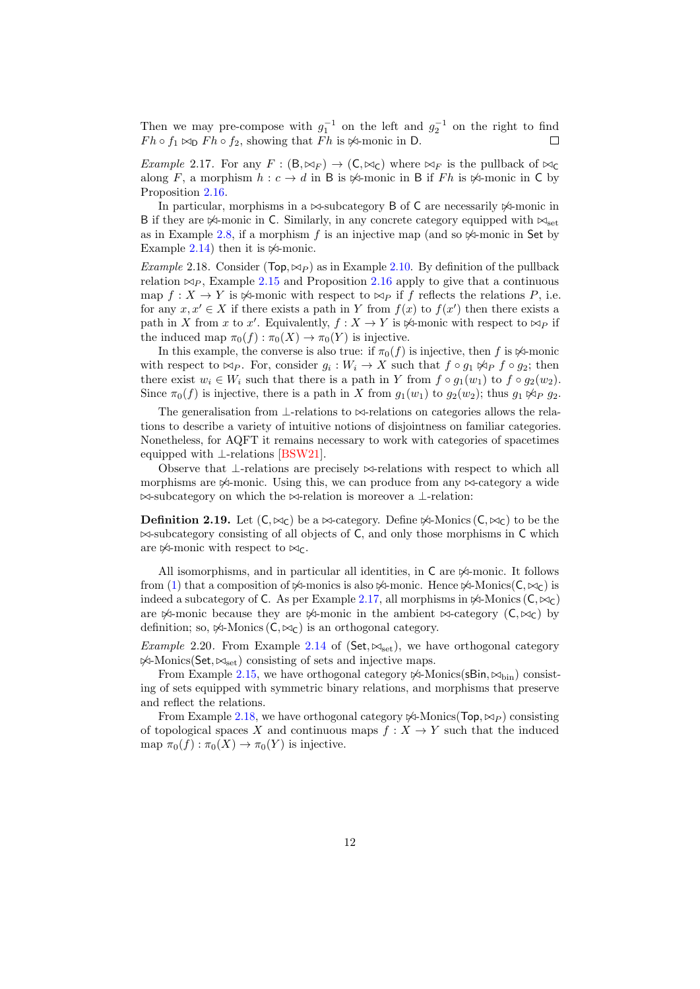Then we may pre-compose with  $g_1^{-1}$  on the left and  $g_2^{-1}$  on the right to find  $F h \circ f_1 \bowtie_{\mathsf{D}} F h \circ f_2$ , showing that  $F h$  is  $\bowtie$ -monic in D.  $\Box$ 

<span id="page-11-0"></span>*Example 2.17.* For any  $F : (\mathsf{B}, \bowtie_F) \to (\mathsf{C}, \bowtie_{\mathsf{C}})$  where  $\bowtie_F$  is the pullback of  $\bowtie_{\mathsf{C}}$ along F, a morphism  $h : c \to d$  in B is  $\forall$ -monic in B if Fh is  $\forall$ -monic in C by Proposition [2.16.](#page-10-0)

In particular, morphisms in a  $\bowtie$ -subcategory B of C are necessarily  $\bowtie$ -monic in B if they are  $\mathcal{K}$ -monic in C. Similarly, in any concrete category equipped with  $\mathcal{K}_{\text{set}}$ as in Example [2.8,](#page-8-0) if a morphism f is an injective map (and so  $\Join$ -monic in Set by Example [2.14\)](#page-10-1) then it is  $\Join$ -monic.

<span id="page-11-1"></span>*Example* 2.18. Consider ( $\text{Top}, \bowtie_P$ ) as in Example [2.10.](#page-8-1) By definition of the pullback relation  $\bowtie_{P}$ , Example [2.15](#page-10-2) and Proposition [2.16](#page-10-0) apply to give that a continuous map  $f: X \to Y$  is  $\Join$ -monic with respect to  $\Join_P$  if f reflects the relations P, i.e. for any  $x, x' \in X$  if there exists a path in Y from  $f(x)$  to  $f(x')$  then there exists a path in X from x to x'. Equivalently,  $f : X \to Y$  is  $\mathcal{K}$ -monic with respect to  $\mathfrak{S}_P$  if the induced map  $\pi_0(f) : \pi_0(X) \to \pi_0(Y)$  is injective.

In this example, the converse is also true: if  $\pi_0(f)$  is injective, then f is  $\Join$ -monic with respect to  $\bowtie_P$ . For, consider  $g_i: W_i \to X$  such that  $f \circ g_1 \not\bowtie_P f \circ g_2$ ; then there exist  $w_i \in W_i$  such that there is a path in Y from  $f \circ g_1(w_1)$  to  $f \circ g_2(w_2)$ . Since  $\pi_0(f)$  is injective, there is a path in X from  $q_1(w_1)$  to  $q_2(w_2)$ ; thus  $q_1 \not\approx_{P} q_2$ .

The generalisation from  $\perp$ -relations to  $\bowtie$ -relations on categories allows the relations to describe a variety of intuitive notions of disjointness on familiar categories. Nonetheless, for AQFT it remains necessary to work with categories of spacetimes equipped with ⊥-relations [\[BSW21\]](#page-50-0).

Observe that ⊥-relations are precisely  $\bowtie$ -relations with respect to which all morphisms are  $\mathcal{A}$ -monic. Using this, we can produce from any  $\mathcal{A}$ -category a wide  $\bowtie$ -subcategory on which the  $\bowtie$ -relation is moreover a ⊥-relation:

**Definition 2.19.** Let  $(C, \bowtie_C)$  be a  $\bowtie$ -category. Define  $\bowtie$ -Monics  $(C, \bowtie_C)$  to be the  $\bowtie$ -subcategory consisting of all objects of C, and only those morphisms in C which are  $\mathbb{1}$ -monic with respect to  $\mathbb{1}$ c.

All isomorphisms, and in particular all identities, in  $C$  are  $\not\!\!\prec$ -monic. It follows from [\(1\)](#page-9-2) that a composition of  $\mathcal{A}$ -monics is also  $\mathcal{A}$ -monic. Hence  $\mathcal{A}$ -Monics( $C, \bowtie_C$ ) is indeed a subcategory of C. As per Example [2.17,](#page-11-0) all morphisms in  $\mathcal{A}$ -Monics (C,  $\mathcal{A}_C$ ) are  $\mathbb{A}$ -monic because they are  $\mathbb{A}$ -monic in the ambient  $\mathbb{A}$ -category  $(C, \mathbb{A}^C)$  by definition; so,  $\Join$ -Monics  $(C, \Join_C)$  is an orthogonal category.

*Example* 2.20. From Example [2.14](#page-10-1) of (Set,  $\bowtie_{\text{set}}$ ), we have orthogonal category  $\frac{1}{\sqrt{2}}$ -Monics(Set,  $\approx$ <sub>set</sub>) consisting of sets and injective maps.

From Example [2.15,](#page-10-2) we have orthogonal category  $\cancel{\bowtie}$ -Monics(sBin,  $\bowtie$ <sub>bin</sub>) consisting of sets equipped with symmetric binary relations, and morphisms that preserve and reflect the relations.

From Example [2.18,](#page-11-1) we have orthogonal category  $\cancel{\times}$ -Monics(Top,  $\bowtie_P$ ) consisting of topological spaces X and continuous maps  $f: X \to Y$  such that the induced map  $\pi_0(f) : \pi_0(X) \to \pi_0(Y)$  is injective.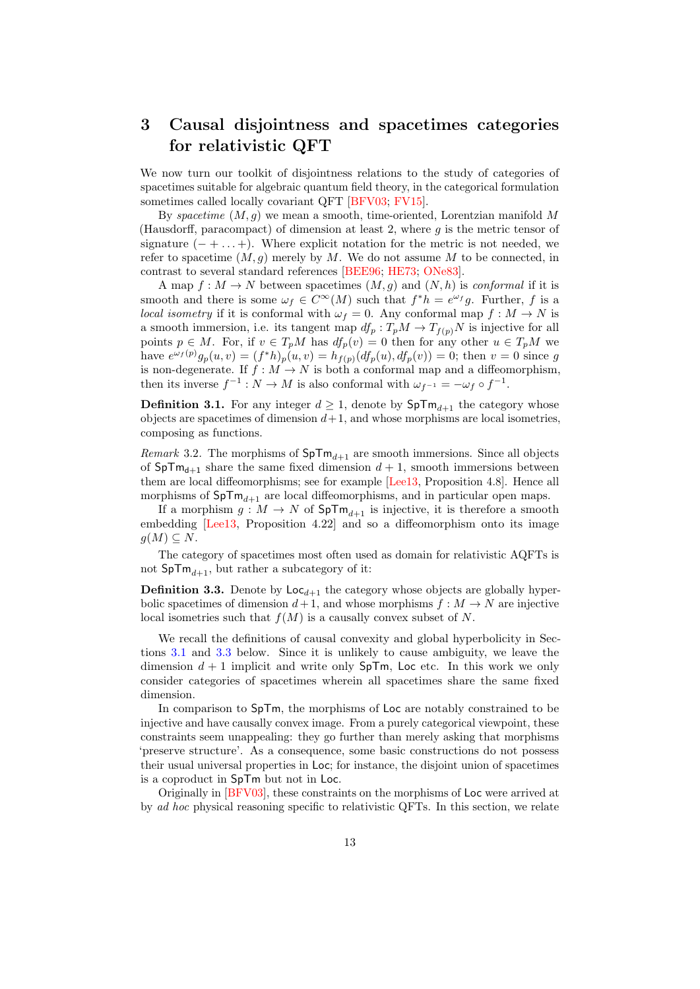## <span id="page-12-0"></span>3 Causal disjointness and spacetimes categories for relativistic QFT

We now turn our toolkit of disjointness relations to the study of categories of spacetimes suitable for algebraic quantum field theory, in the categorical formulation sometimes called locally covariant QFT [\[BFV03;](#page-50-1) [FV15\]](#page-50-2).

By spacetime  $(M, g)$  we mean a smooth, time-oriented, Lorentzian manifold M (Hausdorff, paracompact) of dimension at least 2, where  $g$  is the metric tensor of signature  $(- + \ldots +)$ . Where explicit notation for the metric is not needed, we refer to spacetime  $(M, g)$  merely by M. We do not assume M to be connected, in contrast to several standard references [\[BEE96;](#page-50-10) [HE73;](#page-51-3) [ONe83\]](#page-51-4).

A map  $f: M \to N$  between spacetimes  $(M, g)$  and  $(N, h)$  is conformal if it is smooth and there is some  $\omega_f \in C^{\infty}(M)$  such that  $f^*h = e^{\omega_f}g$ . Further, f is a *local isometry* if it is conformal with  $\omega_f = 0$ . Any conformal map  $f : M \to N$  is a smooth immersion, i.e. its tangent map  $df_p: T_pM \to T_{f(p)}N$  is injective for all points  $p \in M$ . For, if  $v \in T_pM$  has  $df_p(v) = 0$  then for any other  $u \in T_pM$  we have  $e^{\omega_f(p)}g_p(u,v) = (f^*h)_p(u,v) = h_{f(p)}(df_p(u), df_p(v)) = 0$ ; then  $v = 0$  since g is non-degenerate. If  $f : M \to N$  is both a conformal map and a diffeomorphism, then its inverse  $f^{-1}: N \to M$  is also conformal with  $\omega_{f^{-1}} = -\omega_f \circ f^{-1}$ .

**Definition 3.1.** For any integer  $d \geq 1$ , denote by  $\text{SpTm}_{d+1}$  the category whose objects are spacetimes of dimension  $d+1$ , and whose morphisms are local isometries, composing as functions.

<span id="page-12-1"></span>*Remark* 3.2. The morphisms of  $SpTm_{d+1}$  are smooth immersions. Since all objects of  $SpTm_{d+1}$  share the same fixed dimension  $d+1$ , smooth immersions between them are local diffeomorphisms; see for example [\[Lee13,](#page-51-5) Proposition 4.8]. Hence all morphisms of  $SpTm_{d+1}$  are local diffeomorphisms, and in particular open maps.

If a morphism  $g: M \to N$  of  $SpTm_{d+1}$  is injective, it is therefore a smooth embedding [\[Lee13,](#page-51-5) Proposition 4.22] and so a diffeomorphism onto its image  $g(M) \subseteq N$ .

The category of spacetimes most often used as domain for relativistic AQFTs is not  $\text{SpTm}_{d+1}$ , but rather a subcategory of it:

**Definition 3.3.** Denote by  $\text{Loc}_{d+1}$  the category whose objects are globally hyperbolic spacetimes of dimension  $d+1$ , and whose morphisms  $f : M \to N$  are injective local isometries such that  $f(M)$  is a causally convex subset of N.

We recall the definitions of causal convexity and global hyperbolicity in Sections [3.1](#page-13-0) and [3.3](#page-19-0) below. Since it is unlikely to cause ambiguity, we leave the dimension  $d + 1$  implicit and write only  $SpTm$ , Loc etc. In this work we only consider categories of spacetimes wherein all spacetimes share the same fixed dimension.

In comparison to SpTm, the morphisms of Loc are notably constrained to be injective and have causally convex image. From a purely categorical viewpoint, these constraints seem unappealing: they go further than merely asking that morphisms 'preserve structure'. As a consequence, some basic constructions do not possess their usual universal properties in Loc; for instance, the disjoint union of spacetimes is a coproduct in SpTm but not in Loc.

Originally in [\[BFV03\]](#page-50-1), these constraints on the morphisms of Loc were arrived at by ad hoc physical reasoning specific to relativistic QFTs. In this section, we relate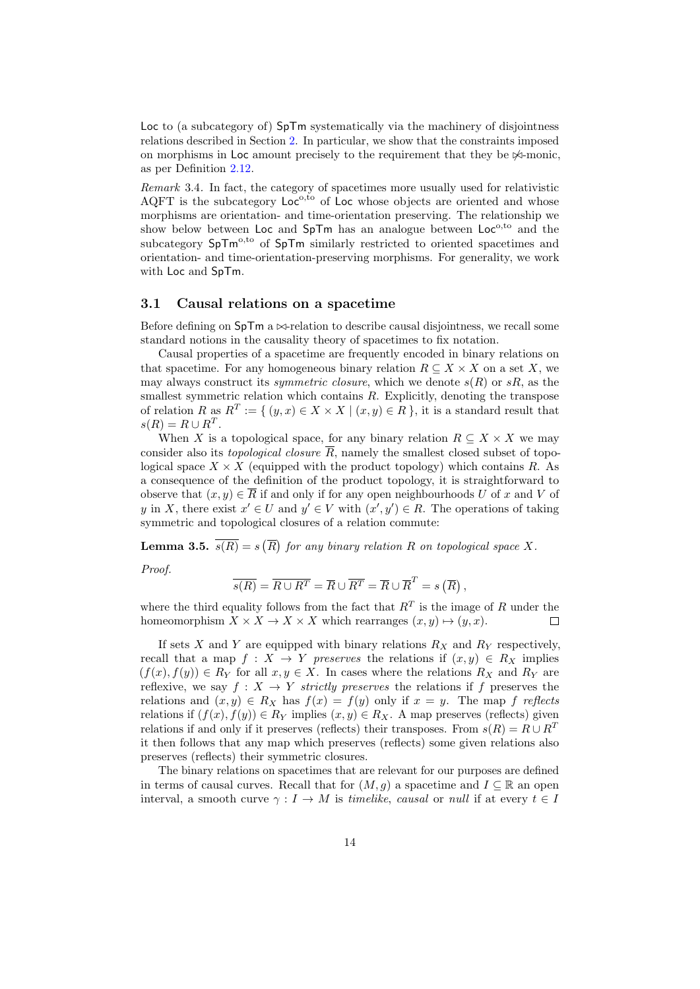Loc to (a subcategory of) SpTm systematically via the machinery of disjointness relations described in Section [2.](#page-5-0) In particular, we show that the constraints imposed on morphisms in Loc amount precisely to the requirement that they be  $\mathbb{X}$ -monic. as per Definition [2.12.](#page-9-3)

Remark 3.4. In fact, the category of spacetimes more usually used for relativistic AQFT is the subcategory  $Lo<sup>o,t<sub>o</sub></sup>$  of Loc whose objects are oriented and whose morphisms are orientation- and time-orientation preserving. The relationship we show below between Loc and  $SpTm$  has an analogue between  $Loc^{o, to}$  and the subcategory  $SpTm^{0,t_0}$  of  $SpTm$  similarly restricted to oriented spacetimes and orientation- and time-orientation-preserving morphisms. For generality, we work with Loc and SpTm.

#### <span id="page-13-0"></span>3.1 Causal relations on a spacetime

Before defining on  $SpTm$  a  $\bowtie$ -relation to describe causal disjointness, we recall some standard notions in the causality theory of spacetimes to fix notation.

Causal properties of a spacetime are frequently encoded in binary relations on that spacetime. For any homogeneous binary relation  $R \subseteq X \times X$  on a set X, we may always construct its *symmetric closure*, which we denote  $s(R)$  or  $sR$ , as the smallest symmetric relation which contains  $R$ . Explicitly, denoting the transpose of relation R as  $R^T := \{ (y, x) \in X \times X \mid (x, y) \in R \}$ , it is a standard result that  $s(R) = R \cup R^T$ .

When X is a topological space, for any binary relation  $R \subseteq X \times X$  we may consider also its *topological closure*  $\overline{R}$ , namely the smallest closed subset of topological space  $X \times X$  (equipped with the product topology) which contains R. As a consequence of the definition of the product topology, it is straightforward to observe that  $(x, y) \in \overline{R}$  if and only if for any open neighbourhoods U of x and V of y in X, there exist  $x' \in U$  and  $y' \in V$  with  $(x', y') \in R$ . The operations of taking symmetric and topological closures of a relation commute:

<span id="page-13-1"></span>**Lemma 3.5.**  $\overline{s(R)} = s(\overline{R})$  for any binary relation R on topological space X.

Proof.

$$
\overline{s(R)} = \overline{R \cup R^{T}} = \overline{R} \cup \overline{R^{T}} = \overline{R} \cup \overline{R}^{T} = s(\overline{R}),
$$

where the third equality follows from the fact that  $R<sup>T</sup>$  is the image of R under the homeomorphism  $X \times X \to X \times X$  which rearranges  $(x, y) \mapsto (y, x)$ .  $\Box$ 

If sets X and Y are equipped with binary relations  $R_X$  and  $R_Y$  respectively, recall that a map  $f: X \to Y$  preserves the relations if  $(x, y) \in R_X$  implies  $(f(x), f(y)) \in R_Y$  for all  $x, y \in X$ . In cases where the relations  $R_X$  and  $R_Y$  are reflexive, we say  $f: X \to Y$  strictly preserves the relations if f preserves the relations and  $(x, y) \in R_X$  has  $f(x) = f(y)$  only if  $x = y$ . The map f reflects relations if  $(f(x), f(y)) \in R_Y$  implies  $(x, y) \in R_X$ . A map preserves (reflects) given relations if and only if it preserves (reflects) their transposes. From  $s(R) = R \cup R^{T}$ it then follows that any map which preserves (reflects) some given relations also preserves (reflects) their symmetric closures.

The binary relations on spacetimes that are relevant for our purposes are defined in terms of causal curves. Recall that for  $(M, g)$  a spacetime and  $I \subseteq \mathbb{R}$  an open interval, a smooth curve  $\gamma: I \to M$  is timelike, causal or null if at every  $t \in I$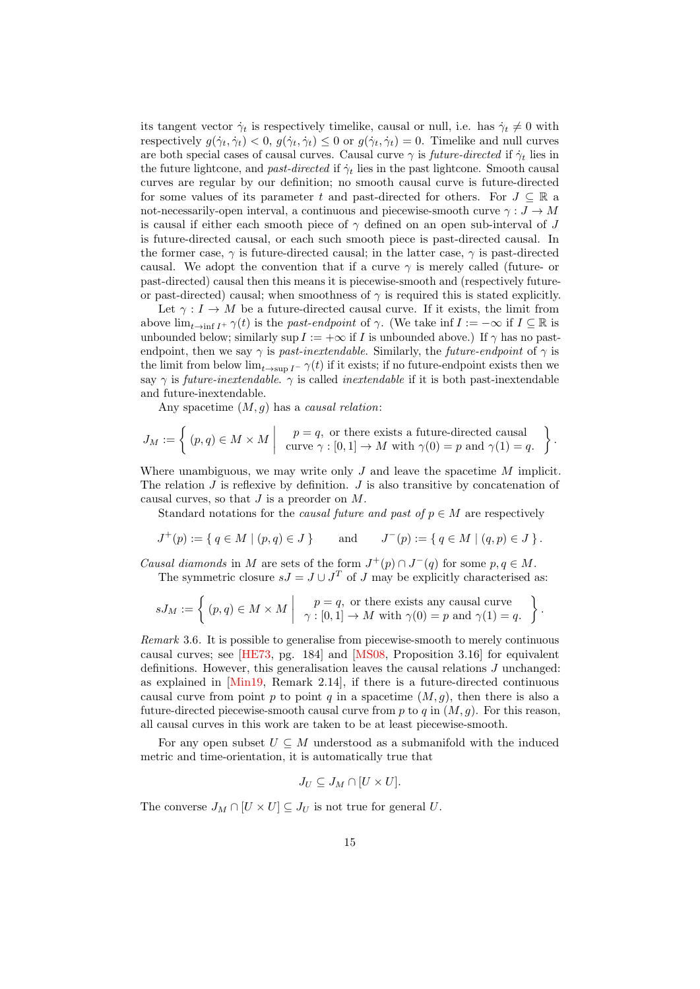its tangent vector  $\dot{\gamma}_t$  is respectively timelike, causal or null, i.e. has  $\dot{\gamma}_t \neq 0$  with respectively  $g(\dot{\gamma}_t, \dot{\gamma}_t) < 0$ ,  $g(\dot{\gamma}_t, \dot{\gamma}_t) \leq 0$  or  $g(\dot{\gamma}_t, \dot{\gamma}_t) = 0$ . Timelike and null curves are both special cases of causal curves. Causal curve  $\gamma$  is *future-directed* if  $\dot{\gamma}_t$  lies in the future lightcone, and past-directed if  $\dot{\gamma}_t$  lies in the past lightcone. Smooth causal curves are regular by our definition; no smooth causal curve is future-directed for some values of its parameter t and past-directed for others. For  $J \subseteq \mathbb{R}$  a not-necessarily-open interval, a continuous and piecewise-smooth curve  $\gamma: J \to M$ is causal if either each smooth piece of  $\gamma$  defined on an open sub-interval of J is future-directed causal, or each such smooth piece is past-directed causal. In the former case,  $\gamma$  is future-directed causal; in the latter case,  $\gamma$  is past-directed causal. We adopt the convention that if a curve  $\gamma$  is merely called (future- or past-directed) causal then this means it is piecewise-smooth and (respectively futureor past-directed) causal; when smoothness of  $\gamma$  is required this is stated explicitly.

Let  $\gamma: I \to M$  be a future-directed causal curve. If it exists, the limit from above  $\lim_{t\to \inf I^+} \gamma(t)$  is the past-endpoint of  $\gamma$ . (We take inf  $I := -\infty$  if  $I \subseteq \mathbb{R}$  is unbounded below; similarly sup  $I := +\infty$  if I is unbounded above.) If  $\gamma$  has no pastendpoint, then we say  $\gamma$  is past-inextendable. Similarly, the future-endpoint of  $\gamma$  is the limit from below  $\lim_{t\to \text{sup }I^-}\gamma(t)$  if it exists; if no future-endpoint exists then we say  $\gamma$  is *future-inextendable.*  $\gamma$  is called *inextendable* if it is both past-inextendable and future-inextendable.

Any spacetime  $(M, g)$  has a *causal relation*:

$$
J_M := \left\{ (p, q) \in M \times M \mid \begin{array}{c} p = q, \text{ or there exists a future-directed causal} \\ \text{curve } \gamma : [0, 1] \to M \text{ with } \gamma(0) = p \text{ and } \gamma(1) = q. \end{array} \right\}.
$$

Where unambiguous, we may write only  $J$  and leave the spacetime  $M$  implicit. The relation  $J$  is reflexive by definition.  $J$  is also transitive by concatenation of causal curves, so that  $J$  is a preorder on  $M$ .

Standard notations for the *causal future and past of*  $p \in M$  are respectively

$$
J^+(p) := \{ q \in M \mid (p,q) \in J \} \quad \text{and} \quad J^-(p) := \{ q \in M \mid (q,p) \in J \}.
$$

Causal diamonds in M are sets of the form  $J^+(p) \cap J^-(q)$  for some  $p, q \in M$ .

The symmetric closure  $sJ = J \cup J<sup>T</sup>$  of J may be explicitly characterised as:

$$
sJ_M := \left\{ (p,q) \in M \times M \mid \begin{array}{c} p = q, \text{ or there exists any causal curve} \\ \gamma : [0,1] \to M \text{ with } \gamma(0) = p \text{ and } \gamma(1) = q. \end{array} \right\}.
$$

Remark 3.6. It is possible to generalise from piecewise-smooth to merely continuous causal curves; see [\[HE73,](#page-51-3) pg. 184] and [\[MS08,](#page-51-6) Proposition 3.16] for equivalent definitions. However, this generalisation leaves the causal relations J unchanged: as explained in [\[Min19,](#page-51-7) Remark 2.14], if there is a future-directed continuous causal curve from point p to point q in a spacetime  $(M, g)$ , then there is also a future-directed piecewise-smooth causal curve from  $p$  to  $q$  in  $(M, g)$ . For this reason, all causal curves in this work are taken to be at least piecewise-smooth.

For any open subset  $U \subseteq M$  understood as a submanifold with the induced metric and time-orientation, it is automatically true that

$$
J_U \subseteq J_M \cap [U \times U].
$$

The converse  $J_M \cap [U \times U] \subseteq J_U$  is not true for general U.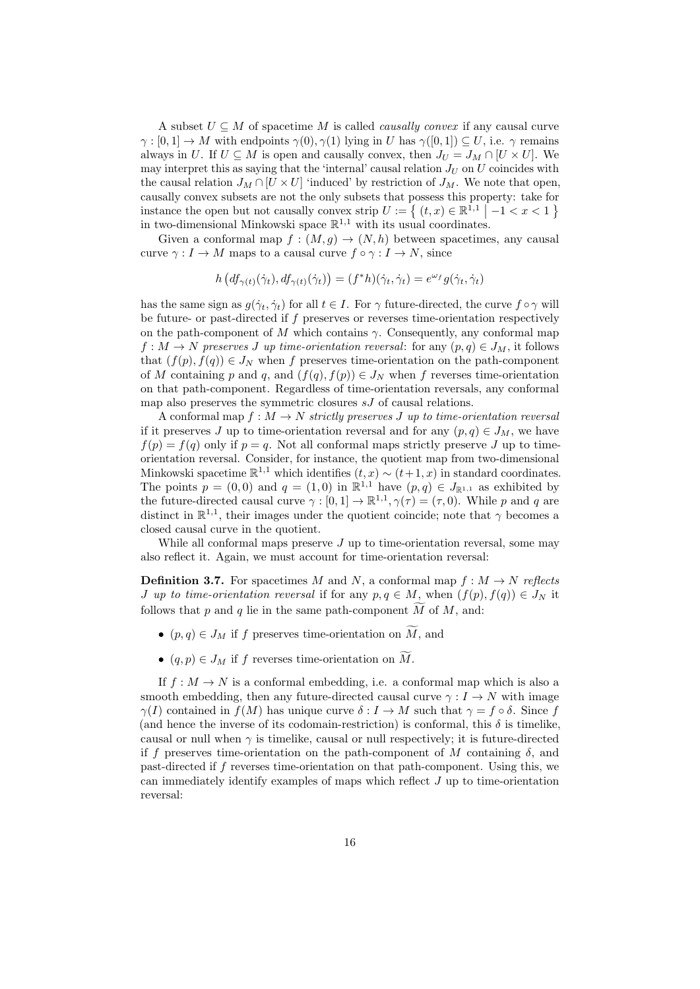A subset  $U \subseteq M$  of spacetime M is called *causally convex* if any causal curve  $\gamma : [0,1] \to M$  with endpoints  $\gamma(0), \gamma(1)$  lying in U has  $\gamma([0,1]) \subseteq U$ , i.e.  $\gamma$  remains always in U. If  $U \subseteq M$  is open and causally convex, then  $J_U = J_M \cap [U \times U]$ . We may interpret this as saying that the 'internal' causal relation  $J_U$  on U coincides with the causal relation  $J_M \cap [U \times U]$  'induced' by restriction of  $J_M$ . We note that open, causally convex subsets are not the only subsets that possess this property: take for instance the open but not causally convex strip  $U := \{ (t, x) \in \mathbb{R}^{1,1} \mid -1 < x < 1 \}$ in two-dimensional Minkowski space  $\mathbb{R}^{1,1}$  with its usual coordinates.

Given a conformal map  $f : (M, g) \to (N, h)$  between spacetimes, any causal curve  $\gamma : I \to M$  maps to a causal curve  $f \circ \gamma : I \to N$ , since

$$
h\left(df_{\gamma(t)}(\dot{\gamma}_t), df_{\gamma(t)}(\dot{\gamma}_t)\right) = (f^*h)(\dot{\gamma}_t, \dot{\gamma}_t) = e^{\omega_f} g(\dot{\gamma}_t, \dot{\gamma}_t)
$$

has the same sign as  $g(\gamma_t, \gamma_t)$  for all  $t \in I$ . For  $\gamma$  future-directed, the curve  $f \circ \gamma$  will be future- or past-directed if f preserves or reverses time-orientation respectively on the path-component of M which contains  $\gamma$ . Consequently, any conformal map  $f: M \to N$  preserves J up time-orientation reversal: for any  $(p, q) \in J_M$ , it follows that  $(f(p), f(q)) \in J_N$  when f preserves time-orientation on the path-component of M containing p and q, and  $(f(q), f(p)) \in J_N$  when f reverses time-orientation on that path-component. Regardless of time-orientation reversals, any conformal map also preserves the symmetric closures  $sJ$  of causal relations.

A conformal map  $f : M \to N$  strictly preserves J up to time-orientation reversal if it preserves J up to time-orientation reversal and for any  $(p, q) \in J_M$ , we have  $f(p) = f(q)$  only if  $p = q$ . Not all conformal maps strictly preserve J up to timeorientation reversal. Consider, for instance, the quotient map from two-dimensional Minkowski spacetime  $\mathbb{R}^{1,1}$  which identifies  $(t, x) \sim (t+1, x)$  in standard coordinates. The points  $p = (0,0)$  and  $q = (1,0)$  in  $\mathbb{R}^{1,1}$  have  $(p,q) \in J_{\mathbb{R}^{1,1}}$  as exhibited by the future-directed causal curve  $\gamma : [0,1] \to \mathbb{R}^{1,1}, \gamma(\tau) = (\tau,0)$ . While p and q are distinct in  $\mathbb{R}^{1,1}$ , their images under the quotient coincide; note that  $\gamma$  becomes a closed causal curve in the quotient.

While all conformal maps preserve  $J$  up to time-orientation reversal, some may also reflect it. Again, we must account for time-orientation reversal:

**Definition 3.7.** For spacetimes M and N, a conformal map  $f : M \to N$  reflects J up to time-orientation reversal if for any  $p, q \in M$ , when  $(f(p), f(q)) \in J_N$  it follows that p and q lie in the same path-component  $\widetilde{M}$  of  $M$ , and:

- $(p, q) \in J_M$  if f preserves time-orientation on  $\widetilde{M}$ , and
- $(q, p) \in J_M$  if f reverses time-orientation on M.

<span id="page-15-0"></span>If  $f: M \to N$  is a conformal embedding, i.e. a conformal map which is also a smooth embedding, then any future-directed causal curve  $\gamma : I \to N$  with image  $\gamma(I)$  contained in  $f(M)$  has unique curve  $\delta: I \to M$  such that  $\gamma = f \circ \delta$ . Since f (and hence the inverse of its codomain-restriction) is conformal, this  $\delta$  is timelike. causal or null when  $\gamma$  is timelike, causal or null respectively; it is future-directed if f preserves time-orientation on the path-component of M containing  $\delta$ , and past-directed if f reverses time-orientation on that path-component. Using this, we can immediately identify examples of maps which reflect J up to time-orientation reversal: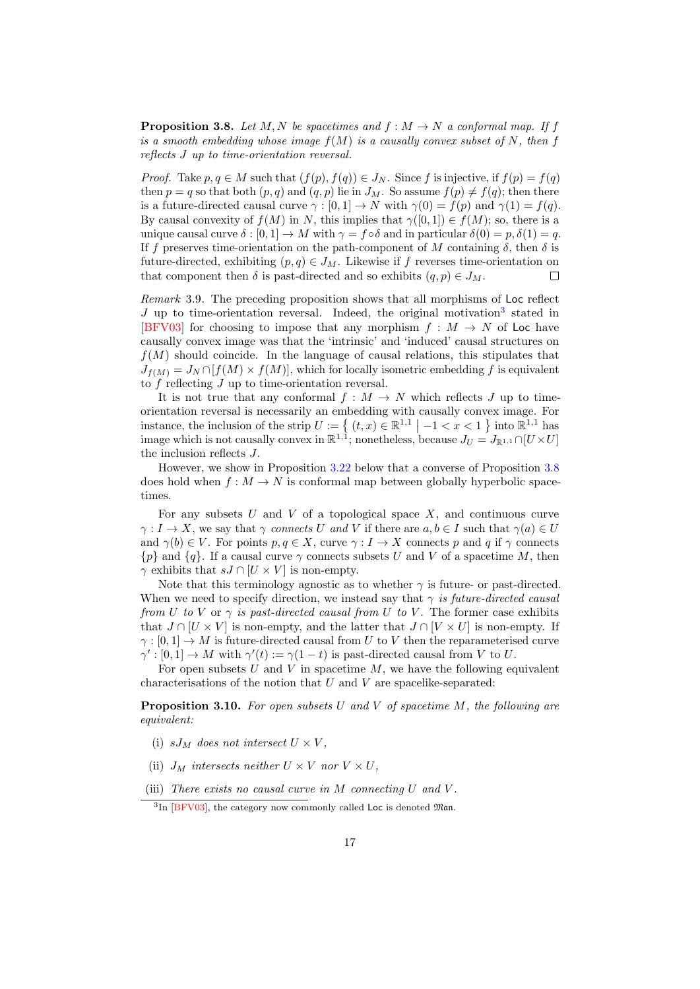**Proposition 3.8.** Let M, N be spacetimes and  $f : M \to N$  a conformal map. If f is a smooth embedding whose image  $f(M)$  is a causally convex subset of N, then f reflects J up to time-orientation reversal.

*Proof.* Take  $p, q \in M$  such that  $(f(p), f(q)) \in J_N$ . Since f is injective, if  $f(p) = f(q)$ then  $p = q$  so that both  $(p, q)$  and  $(q, p)$  lie in  $J_M$ . So assume  $f(p) \neq f(q)$ ; then there is a future-directed causal curve  $\gamma : [0,1] \to N$  with  $\gamma(0) = f(p)$  and  $\gamma(1) = f(q)$ . By causal convexity of  $f(M)$  in N, this implies that  $\gamma([0,1]) \in f(M)$ ; so, there is a unique causal curve  $\delta : [0, 1] \to M$  with  $\gamma = f \circ \delta$  and in particular  $\delta(0) = p, \delta(1) = q$ . If f preserves time-orientation on the path-component of M containing  $\delta$ , then  $\delta$  is future-directed, exhibiting  $(p, q) \in J_M$ . Likewise if f reverses time-orientation on that component then  $\delta$  is past-directed and so exhibits  $(q, p) \in J_M$ .  $\Box$ 

Remark 3.9. The preceding proposition shows that all morphisms of Loc reflect  $J$  up to time-orientation reversal. Indeed, the original motivation<sup>[3](#page-16-0)</sup> stated in [\[BFV03\]](#page-50-1) for choosing to impose that any morphism  $f : M \to N$  of Loc have causally convex image was that the 'intrinsic' and 'induced' causal structures on  $f(M)$  should coincide. In the language of causal relations, this stipulates that  $J_{f(M)} = J_N \cap [f(M) \times f(M)]$ , which for locally isometric embedding f is equivalent to  $f$  reflecting  $J$  up to time-orientation reversal.

It is not true that any conformal  $f : M \to N$  which reflects J up to timeorientation reversal is necessarily an embedding with causally convex image. For instance, the inclusion of the strip  $U := \left\{ (t, x) \in \mathbb{R}^{1,1} \mid -1 < x < 1 \right\}$  into  $\mathbb{R}^{1,1}$  has image which is not causally convex in  $\mathbb{R}^{1,1}$ ; nonetheless, because  $J_U = J_{\mathbb{R}^{1,1}} \cap [U \times U]$ the inclusion reflects J.

However, we show in Proposition [3.22](#page-21-0) below that a converse of Proposition [3.8](#page-15-0) does hold when  $f : M \to N$  is conformal map between globally hyperbolic spacetimes.

For any subsets U and V of a topological space X, and continuous curve  $\gamma: I \to X$ , we say that  $\gamma$  connects U and V if there are  $a, b \in I$  such that  $\gamma(a) \in U$ and  $\gamma(b) \in V$ . For points  $p, q \in X$ , curve  $\gamma: I \to X$  connects p and q if  $\gamma$  connects  $\{p\}$  and  $\{q\}$ . If a causal curve  $\gamma$  connects subsets U and V of a spacetime M, then  $\gamma$  exhibits that  $sJ \cap [U \times V]$  is non-empty.

Note that this terminology agnostic as to whether  $\gamma$  is future- or past-directed. When we need to specify direction, we instead say that  $\gamma$  is future-directed causal from U to V or  $\gamma$  is past-directed causal from U to V. The former case exhibits that  $J \cap [U \times V]$  is non-empty, and the latter that  $J \cap [V \times U]$  is non-empty. If  $\gamma : [0,1] \to M$  is future-directed causal from U to V then the reparameterised curve  $\gamma' : [0,1] \to M$  with  $\gamma'(t) := \gamma(1-t)$  is past-directed causal from V to U.

For open subsets U and V in spacetime  $M$ , we have the following equivalent characterisations of the notion that  $U$  and  $V$  are spacelike-separated:

<span id="page-16-4"></span>**Proposition 3.10.** For open subsets U and V of spacetime  $M$ , the following are equivalent:

- <span id="page-16-1"></span>(i)  $sJ_M$  does not intersect  $U \times V$ ,
- <span id="page-16-2"></span>(ii)  $J_M$  intersects neither  $U \times V$  nor  $V \times U$ ,
- <span id="page-16-3"></span>(iii) There exists no causal curve in  $M$  connecting  $U$  and  $V$ .

<span id="page-16-0"></span><sup>&</sup>lt;sup>3</sup>In [\[BFV03\]](#page-50-1), the category now commonly called Loc is denoted Man.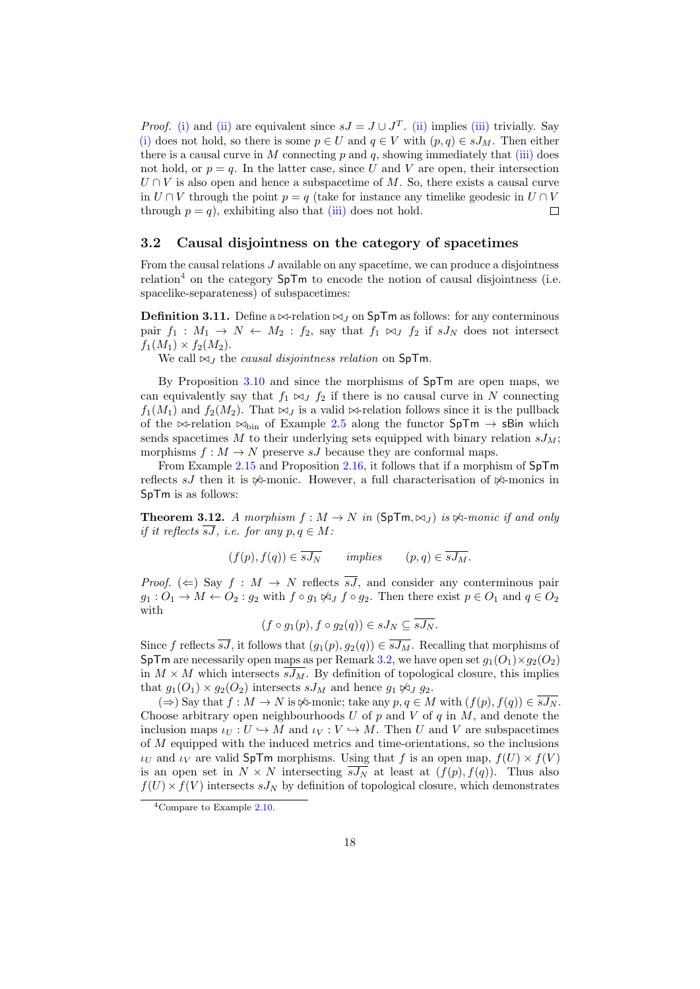*Proof.* [\(i\)](#page-16-1) and [\(ii\)](#page-16-2) are equivalent since  $sJ = J \cup J<sup>T</sup>$ . (ii) implies [\(iii\)](#page-16-3) trivially. Say [\(i\)](#page-16-1) does not hold, so there is some  $p \in U$  and  $q \in V$  with  $(p,q) \in sJ_M$ . Then either there is a causal curve in M connecting  $p$  and  $q$ , showing immediately that [\(iii\)](#page-16-3) does not hold, or  $p = q$ . In the latter case, since U and V are open, their intersection  $U \cap V$  is also open and hence a subspacetime of M. So, there exists a causal curve in  $U \cap V$  through the point  $p = q$  (take for instance any timelike geodesic in  $U \cap V$ through  $p = q$ , exhibiting also that [\(iii\)](#page-16-3) does not hold.  $\Box$ 

#### <span id="page-17-0"></span>3.2 Causal disjointness on the category of spacetimes

From the causal relations J available on any spacetime, we can produce a disjointness relation<sup>[4](#page-17-1)</sup> on the category  $SpTm$  to encode the notion of causal disjointness (i.e. spacelike-separateness) of subspacetimes:

<span id="page-17-3"></span>**Definition 3.11.** Define a  $\bowtie$ -relation  $\bowtie$  *j* on SpTm as follows: for any conterminous pair  $f_1 : M_1 \to N \leftarrow M_2 : f_2$ , say that  $f_1 \bowtie_J f_2$  if  $sJ_N$  does not intersect  $f_1(M_1) \times f_2(M_2)$ .

We call  $\bowtie_J$  the *causal disjointness relation* on SpTm.

By Proposition [3.10](#page-16-4) and since the morphisms of SpTm are open maps, we can equivalently say that  $f_1 \bowtie_J f_2$  if there is no causal curve in N connecting  $f_1(M_1)$  and  $f_2(M_2)$ . That  $\bowtie_J$  is a valid  $\bowtie$ -relation follows since it is the pullback of the  $\bowtie$ -relation  $\bowtie$ <sub>bin</sub> of Example [2.5](#page-7-1) along the functor SpTm  $\rightarrow$  sBin which sends spacetimes M to their underlying sets equipped with binary relation  $sJ_M$ ; morphisms  $f : M \to N$  preserve sJ because they are conformal maps.

From Example [2.15](#page-10-2) and Proposition [2.16,](#page-10-0) it follows that if a morphism of SpTm reflects sJ then it is  $\&$ -monic. However, a full characterisation of  $\&$ -monics in SpTm is as follows:

<span id="page-17-2"></span>**Theorem 3.12.** A morphism  $f : M \to N$  in  $(\text{SpTm}, \bowtie_J)$  is  $\bowtie$ -monic if and only if it reflects  $\overline{sJ}$ , i.e. for any  $p, q \in M$ :

$$
(f(p), f(q)) \in \overline{sJ_N}
$$
 implies  $(p,q) \in \overline{sJ_M}$ .

*Proof.* ( $\Leftarrow$ ) Say  $f : M \to N$  reflects  $\overline{sJ}$ , and consider any conterminous pair  $g_1: O_1 \to M \leftarrow O_2: g_2$  with  $f \circ g_1 \not\bowtie_J f \circ g_2$ . Then there exist  $p \in O_1$  and  $q \in O_2$ with

$$
(f \circ g_1(p), f \circ g_2(q)) \in sJ_N \subseteq \overline{sJ_N}.
$$

Since f reflects  $\overline{sJ}$ , it follows that  $(g_1(p), g_2(q)) \in \overline{sJ_M}$ . Recalling that morphisms of SpTm are necessarily open maps as per Remark [3.2,](#page-12-1) we have open set  $g_1(O_1) \times g_2(O_2)$ in  $M \times M$  which intersects  $\overline{sJ_M}$ . By definition of topological closure, this implies that  $g_1(O_1) \times g_2(O_2)$  intersects  $sJ_M$  and hence  $g_1 \not\bowtie_J g_2$ .

 $(\Rightarrow)$  Say that  $f : M \to N$  is  $\forall$ -monic; take any  $p, q \in M$  with  $(f(p), f(q)) \in \overline{sJ_N}$ . Choose arbitrary open neighbourhoods  $U$  of  $p$  and  $V$  of  $q$  in  $M$ , and denote the inclusion maps  $\iota_U : U \hookrightarrow M$  and  $\iota_V : V \hookrightarrow M$ . Then U and V are subspacetimes of M equipped with the induced metrics and time-orientations, so the inclusions  $\iota_U$  and  $\iota_V$  are valid SpTm morphisms. Using that f is an open map,  $f(U) \times f(V)$ is an open set in  $N \times N$  intersecting  $\overline{sJ_N}$  at least at  $(f(p), f(q))$ . Thus also  $f(U) \times f(V)$  intersects  $sJ_N$  by definition of topological closure, which demonstrates

<span id="page-17-1"></span><sup>4</sup>Compare to Example [2.10.](#page-8-1)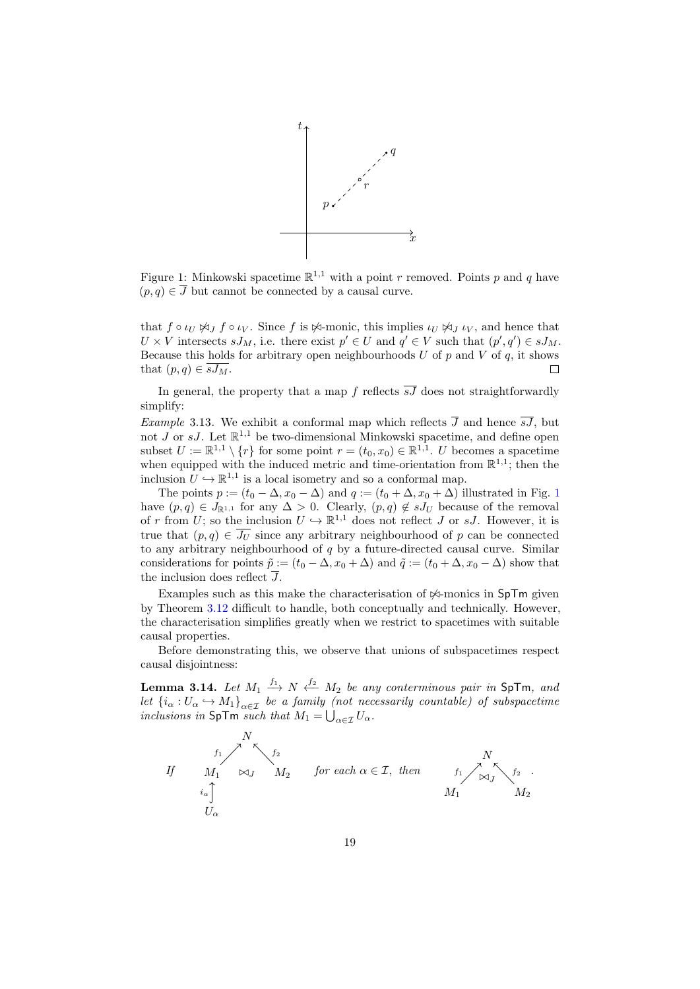<span id="page-18-0"></span>

Figure 1: Minkowski spacetime  $\mathbb{R}^{1,1}$  with a point r removed. Points p and q have  $(p, q) \in \overline{J}$  but cannot be connected by a causal curve.

that  $f \circ \iota_U \not\bowtie_J f \circ \iota_V$ . Since f is  $\not\bowtie$ -monic, this implies  $\iota_U \not\bowtie_J \iota_V$ , and hence that  $U \times V$  intersects  $sJ_M$ , i.e. there exist  $p' \in U$  and  $q' \in V$  such that  $(p', q') \in sJ_M$ . Because this holds for arbitrary open neighbourhoods  $U$  of  $p$  and  $V$  of  $q$ , it shows that  $(p, q) \in \overline{sJ_M}$ .  $\Box$ 

In general, the property that a map f reflects  $\overline{sJ}$  does not straightforwardly simplify:

<span id="page-18-2"></span>*Example* 3.13. We exhibit a conformal map which reflects  $\overline{J}$  and hence  $\overline{sJ}$ , but not  $J$  or  $sJ$ . Let  $\mathbb{R}^{1,1}$  be two-dimensional Minkowski spacetime, and define open subset  $U := \mathbb{R}^{1,1} \setminus \{r\}$  for some point  $r = (t_0, x_0) \in \mathbb{R}^{1,1}$ . U becomes a spacetime when equipped with the induced metric and time-orientation from  $\mathbb{R}^{1,1}$ ; then the inclusion  $U \hookrightarrow \mathbb{R}^{1,1}$  is a local isometry and so a conformal map.

The points  $p := (t_0 - \Delta, x_0 - \Delta)$  and  $q := (t_0 + \Delta, x_0 + \Delta)$  illustrated in Fig. [1](#page-18-0) have  $(p, q) \in J_{\mathbb{R}^{1,1}}$  for any  $\Delta > 0$ . Clearly,  $(p, q) \notin sJ_U$  because of the removal of r from U; so the inclusion  $U \hookrightarrow \mathbb{R}^{1,1}$  does not reflect J or sJ. However, it is true that  $(p, q) \in \overline{J_U}$  since any arbitrary neighbourhood of p can be connected to any arbitrary neighbourhood of  $q$  by a future-directed causal curve. Similar considerations for points  $\tilde{p} := (t_0 - \Delta, x_0 + \Delta)$  and  $\tilde{q} := (t_0 + \Delta, x_0 - \Delta)$  show that the inclusion does reflect J.

Examples such as this make the characterisation of  $\mathcal{A}$ -monics in SpTm given by Theorem [3.12](#page-17-2) difficult to handle, both conceptually and technically. However, the characterisation simplifies greatly when we restrict to spacetimes with suitable causal properties.

Before demonstrating this, we observe that unions of subspacetimes respect causal disjointness:

<span id="page-18-1"></span>**Lemma 3.14.** Let  $M_1 \xrightarrow{f_1} N \xleftarrow{f_2} M_2$  be any conterminous pair in SpTm, and let  ${i_{\alpha}: U_{\alpha} \hookrightarrow M_1}_{\alpha \in \mathcal{I}}$  be a family (not necessarily countable) of subspacetime inclusions in  $\textsf{SpTm}$  such that  $M_1 = \bigcup_{\alpha \in \mathcal{I}} U_\alpha$ .

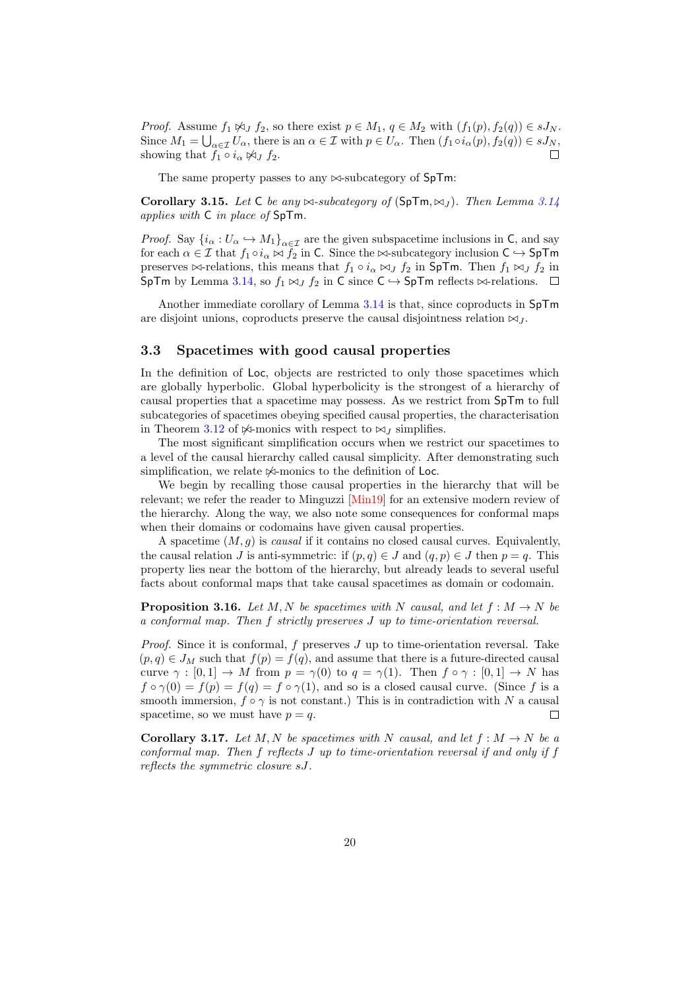*Proof.* Assume  $f_1 \not\bowtie_J f_2$ , so there exist  $p \in M_1, q \in M_2$  with  $(f_1(p), f_2(q)) \in sJ_N$ . Since  $M_1 = \bigcup_{\alpha \in \mathcal{I}} U_\alpha$ , there is an  $\alpha \in \mathcal{I}$  with  $p \in U_\alpha$ . Then  $(f_1 \circ i_\alpha(p), f_2(q)) \in sJ_N$ , showing that  $f_1 \circ i_\alpha \not\bowtie_J f_2$ .

The same property passes to any  $\bowtie$ -subcategory of SpTm:

<span id="page-19-1"></span>Corollary 3.15. Let C be any  $\bowtie$ -subcategory of (SpTm,  $\bowtie$ ). Then Lemma [3.14](#page-18-1) applies with C in place of SpTm.

*Proof.* Say  $\{i_{\alpha}: U_{\alpha} \hookrightarrow M_1\}_{\alpha \in \mathcal{I}}$  are the given subspacetime inclusions in C, and say for each  $\alpha \in \mathcal{I}$  that  $f_1 \circ i_\alpha \bowtie f_2$  in C. Since the  $\bowtie$ -subcategory inclusion  $C \hookrightarrow SpTm$ preserves  $\bowtie$ -relations, this means that  $f_1 \circ i_\alpha \bowtie_J f_2$  in SpTm. Then  $f_1 \bowtie_J f_2$  in SpTm by Lemma [3.14,](#page-18-1) so  $f_1 \bowtie_J f_2$  in C since  $C \hookrightarrow$  SpTm reflects  $\bowtie$ -relations.  $\square$ 

Another immediate corollary of Lemma [3.14](#page-18-1) is that, since coproducts in SpTm are disjoint unions, coproducts preserve the causal disjointness relation  $\bowtie_L$ .

#### <span id="page-19-0"></span>3.3 Spacetimes with good causal properties

In the definition of Loc, objects are restricted to only those spacetimes which are globally hyperbolic. Global hyperbolicity is the strongest of a hierarchy of causal properties that a spacetime may possess. As we restrict from SpTm to full subcategories of spacetimes obeying specified causal properties, the characterisation in Theorem [3.12](#page-17-2) of  $\Join$ -monics with respect to  $\Join$  *J* simplifies.

The most significant simplification occurs when we restrict our spacetimes to a level of the causal hierarchy called causal simplicity. After demonstrating such simplification, we relate  $\mathbb{A}$ -monics to the definition of Loc.

We begin by recalling those causal properties in the hierarchy that will be relevant; we refer the reader to Minguzzi [\[Min19\]](#page-51-7) for an extensive modern review of the hierarchy. Along the way, we also note some consequences for conformal maps when their domains or codomains have given causal properties.

A spacetime  $(M, g)$  is *causal* if it contains no closed causal curves. Equivalently, the causal relation J is anti-symmetric: if  $(p, q) \in J$  and  $(q, p) \in J$  then  $p = q$ . This property lies near the bottom of the hierarchy, but already leads to several useful facts about conformal maps that take causal spacetimes as domain or codomain.

<span id="page-19-3"></span>**Proposition 3.16.** Let M, N be spacetimes with N causal, and let  $f : M \to N$  be a conformal map. Then f strictly preserves J up to time-orientation reversal.

*Proof.* Since it is conformal,  $f$  preserves  $J$  up to time-orientation reversal. Take  $(p, q) \in J_M$  such that  $f(p) = f(q)$ , and assume that there is a future-directed causal curve  $\gamma : [0,1] \to M$  from  $p = \gamma(0)$  to  $q = \gamma(1)$ . Then  $f \circ \gamma : [0,1] \to N$  has  $f \circ \gamma(0) = f(p) = f(q) = f \circ \gamma(1)$ , and so is a closed causal curve. (Since f is a smooth immersion,  $f \circ \gamma$  is not constant.) This is in contradiction with N a causal spacetime, so we must have  $p = q$ .  $\Box$ 

<span id="page-19-2"></span>**Corollary 3.17.** Let M, N be spacetimes with N causal, and let  $f : M \to N$  be a conformal map. Then f reflects J up to time-orientation reversal if and only if f reflects the symmetric closure sJ.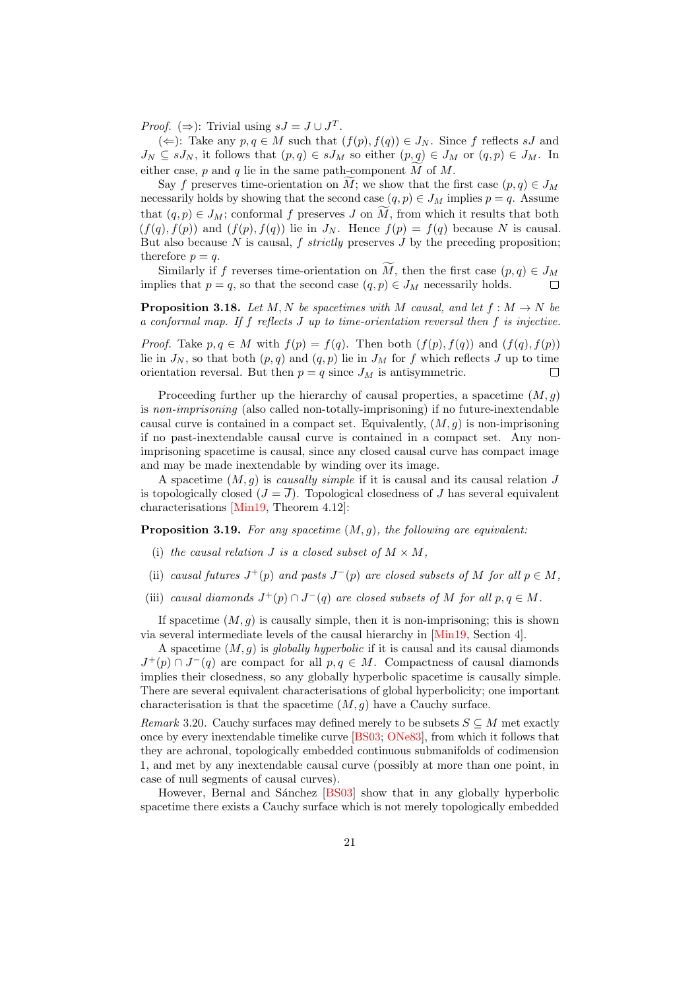*Proof.* ( $\Rightarrow$ ): Trivial using  $sJ = J \cup J^T$ .

(←): Take any  $p, q \in M$  such that  $(f(p), f(q)) \in J_N$ . Since f reflects sJ and  $J_N \subseteq sJ_N$ , it follows that  $(p,q) \in sJ_M$  so either  $(p,q) \in J_M$  or  $(q,p) \in J_M$ . In either case,  $p$  and  $q$  lie in the same path-component  $M$  of  $M$ .

Say f preserves time-orientation on  $\tilde{M}$ ; we show that the first case  $(p, q) \in J_M$ necessarily holds by showing that the second case  $(q, p) \in J_M$  implies  $p = q$ . Assume that  $(q, p) \in J_M$ ; conformal f preserves J on M, from which it results that both  $(f(q), f(p))$  and  $(f(p), f(q))$  lie in  $J_N$ . Hence  $f(p) = f(q)$  because N is causal. But also because  $N$  is causal,  $f$  strictly preserves  $J$  by the preceding proposition; therefore  $p = q$ .

Similarly if f reverses time-orientation on  $\widetilde{M}$ , then the first case  $(p, q) \in J_M$ <br>plies that  $p = q$ , so that the second case  $(q, p) \in J_M$  necessarily holds. implies that  $p = q$ , so that the second case  $(q, p) \in J_M$  necessarily holds.

<span id="page-20-0"></span>**Proposition 3.18.** Let M, N be spacetimes with M causal, and let  $f : M \to N$  be a conformal map. If f reflects J up to time-orientation reversal then f is injective.

*Proof.* Take  $p, q \in M$  with  $f(p) = f(q)$ . Then both  $(f(p), f(q))$  and  $(f(q), f(p))$ lie in  $J_N$ , so that both  $(p, q)$  and  $(q, p)$  lie in  $J_M$  for f which reflects J up to time orientation reversal. But then  $p = q$  since  $J_M$  is antisymmetric.  $\Box$ 

Proceeding further up the hierarchy of causal properties, a spacetime  $(M, g)$ is non-imprisoning (also called non-totally-imprisoning) if no future-inextendable causal curve is contained in a compact set. Equivalently,  $(M, g)$  is non-imprisoning if no past-inextendable causal curve is contained in a compact set. Any nonimprisoning spacetime is causal, since any closed causal curve has compact image and may be made inextendable by winding over its image.

A spacetime  $(M, g)$  is *causally simple* if it is causal and its causal relation J is topologically closed  $(J = \overline{J})$ . Topological closedness of J has several equivalent characterisations [\[Min19,](#page-51-7) Theorem 4.12]:

**Proposition 3.19.** For any spacetime  $(M, g)$ , the following are equivalent:

- (i) the causal relation J is a closed subset of  $M \times M$ ,
- (ii) causal futures  $J^+(p)$  and pasts  $J^-(p)$  are closed subsets of M for all  $p \in M$ ,
- (iii) causal diamonds  $J^+(p) \cap J^-(q)$  are closed subsets of M for all  $p, q \in M$ .

If spacetime  $(M, g)$  is causally simple, then it is non-imprisoning; this is shown via several intermediate levels of the causal hierarchy in [\[Min19,](#page-51-7) Section 4].

A spacetime  $(M, g)$  is globally hyperbolic if it is causal and its causal diamonds  $J^+(p) \cap J^-(q)$  are compact for all  $p, q \in M$ . Compactness of causal diamonds implies their closedness, so any globally hyperbolic spacetime is causally simple. There are several equivalent characterisations of global hyperbolicity; one important characterisation is that the spacetime  $(M, g)$  have a Cauchy surface.

<span id="page-20-1"></span>Remark 3.20. Cauchy surfaces may defined merely to be subsets  $S \subseteq M$  met exactly once by every inextendable timelike curve [\[BS03;](#page-50-11) [ONe83\]](#page-51-4), from which it follows that they are achronal, topologically embedded continuous submanifolds of codimension 1, and met by any inextendable causal curve (possibly at more than one point, in case of null segments of causal curves).

However, Bernal and Sánchez [\[BS03\]](#page-50-11) show that in any globally hyperbolic spacetime there exists a Cauchy surface which is not merely topologically embedded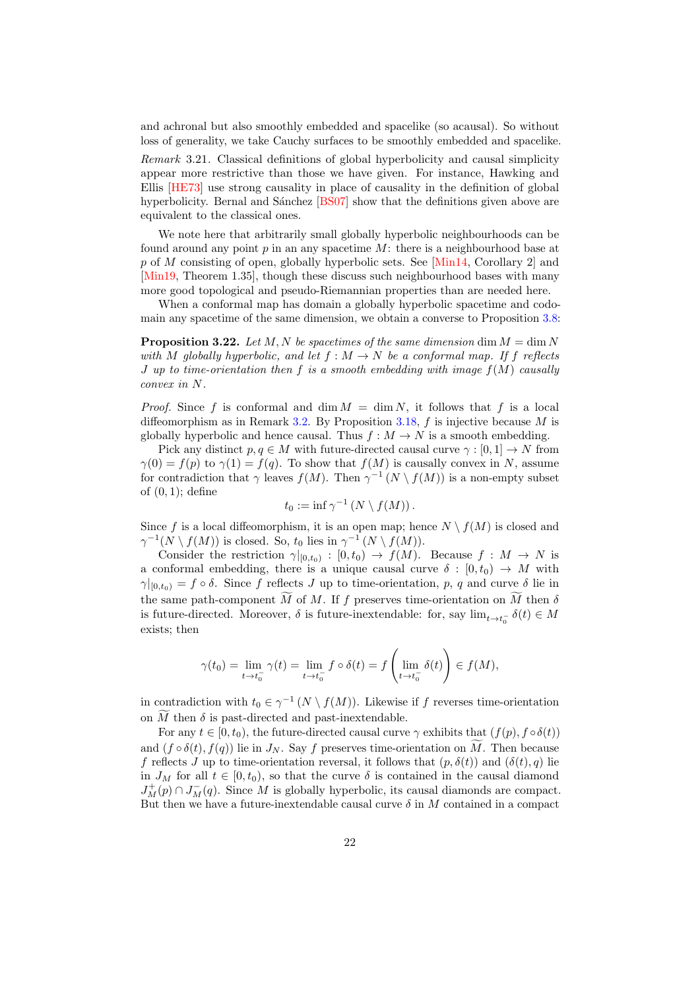and achronal but also smoothly embedded and spacelike (so acausal). So without loss of generality, we take Cauchy surfaces to be smoothly embedded and spacelike.

Remark 3.21. Classical definitions of global hyperbolicity and causal simplicity appear more restrictive than those we have given. For instance, Hawking and Ellis [\[HE73\]](#page-51-3) use strong causality in place of causality in the definition of global hyperbolicity. Bernal and Sánchez [\[BS07\]](#page-50-12) show that the definitions given above are equivalent to the classical ones.

We note here that arbitrarily small globally hyperbolic neighbourhoods can be found around any point  $p$  in an any spacetime  $M$ : there is a neighbourhood base at p of M consisting of open, globally hyperbolic sets. See [\[Min14,](#page-51-8) Corollary 2] and [\[Min19,](#page-51-7) Theorem 1.35], though these discuss such neighbourhood bases with many more good topological and pseudo-Riemannian properties than are needed here.

When a conformal map has domain a globally hyperbolic spacetime and codomain any spacetime of the same dimension, we obtain a converse to Proposition [3.8:](#page-15-0)

<span id="page-21-0"></span>**Proposition 3.22.** Let M, N be spacetimes of the same dimension dim  $M = \dim N$ with M globally hyperbolic, and let  $f : M \to N$  be a conformal map. If f reflects J up to time-orientation then f is a smooth embedding with image  $f(M)$  causally convex in N.

*Proof.* Since f is conformal and  $\dim M = \dim N$ , it follows that f is a local diffeomorphism as in Remark [3.2.](#page-12-1) By Proposition [3.18,](#page-20-0) f is injective because M is globally hyperbolic and hence causal. Thus  $f : M \to N$  is a smooth embedding.

Pick any distinct  $p, q \in M$  with future-directed causal curve  $\gamma : [0, 1] \to N$  from  $\gamma(0) = f(p)$  to  $\gamma(1) = f(q)$ . To show that  $f(M)$  is causally convex in N, assume for contradiction that  $\gamma$  leaves  $f(M)$ . Then  $\gamma^{-1}(N \setminus f(M))$  is a non-empty subset of  $(0, 1)$ ; define

$$
t_0 := \inf \gamma^{-1} (N \setminus f(M)).
$$

Since f is a local diffeomorphism, it is an open map; hence  $N \setminus f(M)$  is closed and  $\gamma^{-1}(N \setminus f(M))$  is closed. So,  $t_0$  lies in  $\gamma^{-1}(N \setminus f(M))$ .

Consider the restriction  $\gamma|_{[0,t_0)} : [0,t_0) \to f(M)$ . Because  $f : M \to N$  is a conformal embedding, there is a unique causal curve  $\delta : [0, t_0) \to M$  with  $\gamma|_{[0,t_0)} = f \circ \delta$ . Since f reflects J up to time-orientation, p, q and curve  $\delta$  lie in the same path-component M of M. If f preserves time-orientation on M then  $\delta$ is future-directed. Moreover,  $\delta$  is future-inextendable: for, say  $\lim_{t\to t_0^-} \delta(t) \in M$ exists; then

$$
\gamma(t_0) = \lim_{t \to t_0^-} \gamma(t) = \lim_{t \to t_0^-} f \circ \delta(t) = f\left(\lim_{t \to t_0^-} \delta(t)\right) \in f(M),
$$

in contradiction with  $t_0 \in \gamma^{-1}(N \setminus f(M))$ . Likewise if f reverses time-orientation on  $\tilde{M}$  then  $\delta$  is past-directed and past-inextendable.

For any  $t \in [0, t_0)$ , the future-directed causal curve  $\gamma$  exhibits that  $(f(p), f \circ \delta(t))$ and  $(f \circ \delta(t), f(q))$  lie in  $J_N$ . Say f preserves time-orientation on M. Then because f reflects J up to time-orientation reversal, it follows that  $(p, \delta(t))$  and  $(\delta(t), q)$  lie in  $J_M$  for all  $t \in [0, t_0)$ , so that the curve  $\delta$  is contained in the causal diamond  $J_M^+(p) \cap J_M^-(q)$ . Since M is globally hyperbolic, its causal diamonds are compact. But then we have a future-inextendable causal curve  $\delta$  in M contained in a compact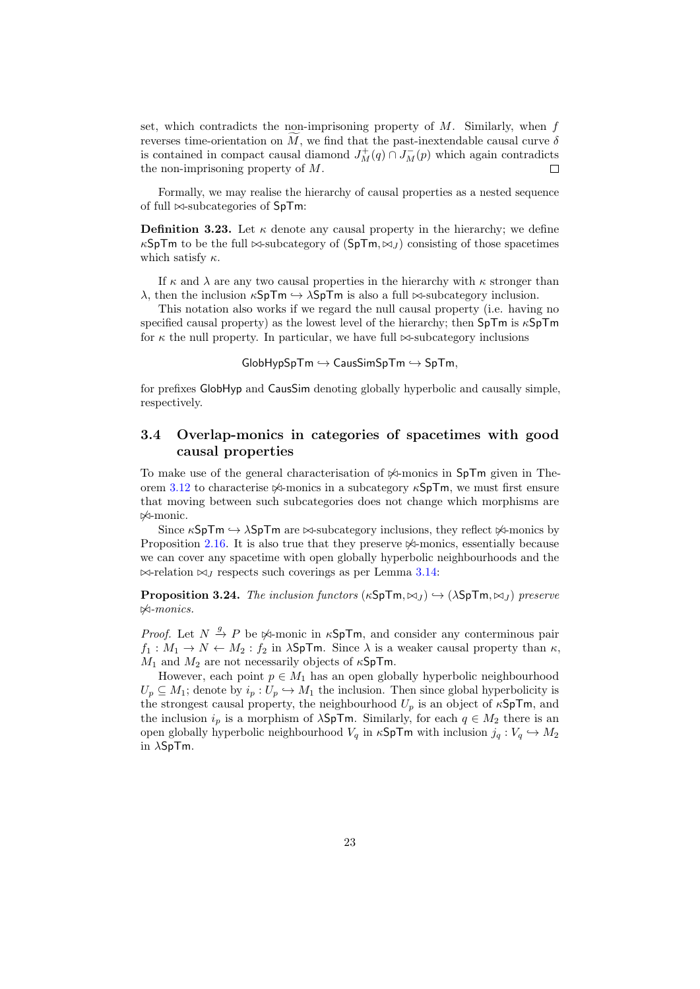set, which contradicts the non-imprisoning property of  $M$ . Similarly, when  $f$ reverses time-orientation on M, we find that the past-inextendable causal curve  $\delta$ is contained in compact causal diamond  $J_M^+(q) \cap J_M^-(p)$  which again contradicts the non-imprisoning property of M.

Formally, we may realise the hierarchy of causal properties as a nested sequence of full  $\bowtie$ -subcategories of SpTm:

**Definition 3.23.** Let  $\kappa$  denote any causal property in the hierarchy; we define  $\kappa$ SpTm to be the full  $\bowtie$ -subcategory of  $(SpTm, \bowtie_l)$  consisting of those spacetimes which satisfy  $\kappa$ .

If  $\kappa$  and  $\lambda$  are any two causal properties in the hierarchy with  $\kappa$  stronger than  $\lambda$ , then the inclusion  $\kappa$ SpTm  $\hookrightarrow \lambda$ SpTm is also a full  $\bowtie$ -subcategory inclusion.

This notation also works if we regard the null causal property (i.e. having no specified causal property) as the lowest level of the hierarchy; then SpTm is κSpTm for  $\kappa$  the null property. In particular, we have full  $\bowtie$ -subcategory inclusions

 $G$ lobHypSpTm  $\hookrightarrow$  CausSimSpTm  $\hookrightarrow$  SpTm,

for prefixes GlobHyp and CausSim denoting globally hyperbolic and causally simple, respectively.

### <span id="page-22-0"></span>3.4 Overlap-monics in categories of spacetimes with good causal properties

To make use of the general characterisation of  $\frac{1}{2}$ -monics in SpTm given in The-orem [3.12](#page-17-2) to characterise  $\Join$ -monics in a subcategory  $\kappa$ SpTm, we must first ensure that moving between such subcategories does not change which morphisms are  $\Join$ -monic.

Since  $\kappa$ SpTm  $\hookrightarrow \lambda$ SpTm are  $\bowtie$ -subcategory inclusions, they reflect  $\Join$ -monics by Proposition [2.16.](#page-10-0) It is also true that they preserve  $\mathbb{A}$ -monics, essentially because we can cover any spacetime with open globally hyperbolic neighbourhoods and the  $\bowtie$ -relation  $\bowtie_J$  respects such coverings as per Lemma [3.14:](#page-18-1)

<span id="page-22-1"></span>**Proposition 3.24.** The inclusion functors  $(\kappa SpTm, \bowtie_{\iota} \rightarrow (\lambda SpTm, \bowtie_{\iota} \rightarrow)$  preserve  $\Join$ -monics.

*Proof.* Let  $N \stackrel{g}{\rightarrow} P$  be  $\Join$ -monic in  $\kappa$ **SpTm**, and consider any conterminous pair  $f_1: M_1 \to N \leftarrow M_2: f_2$  in  $\lambda$ SpTm. Since  $\lambda$  is a weaker causal property than  $\kappa$ ,  $M_1$  and  $M_2$  are not necessarily objects of  $\kappa$ SpTm.

However, each point  $p \in M_1$  has an open globally hyperbolic neighbourhood  $U_p \subseteq M_1$ ; denote by  $i_p : U_p \hookrightarrow M_1$  the inclusion. Then since global hyperbolicity is the strongest causal property, the neighbourhood  $U_p$  is an object of  $\kappa$ SpTm, and the inclusion  $i_p$  is a morphism of  $\lambda$ SpTm. Similarly, for each  $q \in M_2$  there is an open globally hyperbolic neighbourhood  $V_q$  in  $\kappa$ SpTm with inclusion  $j_q: V_q \hookrightarrow M_2$ in  $\lambda$ SpTm.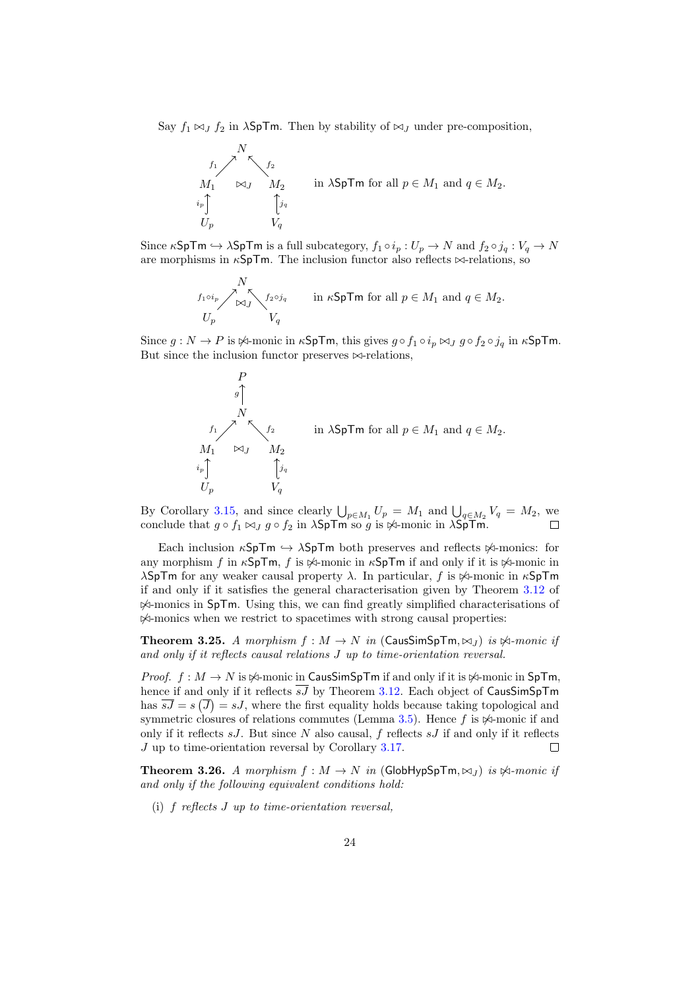Say  $f_1 \bowtie_J f_2$  in  $\lambda$ SpTm. Then by stability of  $\bowtie_J$  under pre-composition,



Since  $\kappa$ SpTm  $\hookrightarrow \lambda$ SpTm is a full subcategory,  $f_1 \circ i_p : U_p \to N$  and  $f_2 \circ j_q : V_q \to N$ are morphisms in  $\kappa$ SpTm. The inclusion functor also reflects  $\bowtie$ -relations, so

$$
\begin{array}{ccc}\nN & & \\
\frac{f_1 \circ i_p}{\sqrt{N}} & \frac{f_2 \circ j_q}{\sqrt{N}} \\
U_p & & V_q\n\end{array}\n\quad \text{in } \kappa \mathsf{SpTm} \text{ for all } p \in M_1 \text{ and } q \in M_2.
$$

Since  $g: N \to P$  is  $\Join$ -monic in  $\kappa$ SpTm, this gives  $g \circ f_1 \circ i_p \Join_J g \circ f_2 \circ j_q$  in  $\kappa$ SpTm. But since the inclusion functor preserves  $\bowtie$ -relations,



By Corollary [3.15,](#page-19-1) and since clearly  $\bigcup_{p \in M_1} U_p = M_1$  and  $\bigcup_{q \in M_2} V_q = M_2$ , we conclude that  $g \circ f_1 \bowtie_J g \circ f_2$  in  $\lambda$ SpTm so g is  $\Join$ -monic in  $\lambda$ SpTm.

Each inclusion  $\kappa$ SpTm  $\hookrightarrow \lambda$ SpTm both preserves and reflects  $\Join$ -monics: for any morphism f in  $\kappa$ SpTm, f is  $\Join$ -monic in  $\kappa$ SpTm if and only if it is  $\Join$ -monic in λSpTm for any weaker causal property  $\lambda$ . In particular, f is  $\frac{\text{kg}}{\text{m}}$  monic in  $\kappa$ SpTm if and only if it satisfies the general characterisation given by Theorem [3.12](#page-17-2) of  $\mathcal{A}$ -monics in SpTm. Using this, we can find greatly simplified characterisations of  $\mathbb{A}$ -monics when we restrict to spacetimes with strong causal properties:

<span id="page-23-0"></span>**Theorem 3.25.** A morphism  $f : M \to N$  in (CausSimSpTm,  $\bowtie_J$ ) is  $\Join$ -monic if and only if it reflects causal relations J up to time-orientation reversal.

*Proof.*  $f : M \to N$  is  $\forall$ -monic in CausSimSpTm if and only if it is  $\forall$ -monic in SpTm. hence if and only if it reflects  $\overline{sJ}$  by Theorem [3.12.](#page-17-2) Each object of CausSimSpTm has  $\overline{sJ} = s(\overline{J}) = sJ$ , where the first equality holds because taking topological and symmetric closures of relations commutes (Lemma [3.5\)](#page-13-1). Hence  $f$  is  $\Join$ -monic if and only if it reflects  $sJ$ . But since N also causal, f reflects  $sJ$  if and only if it reflects J up to time-orientation reversal by Corollary [3.17.](#page-19-2)  $\Box$ 

<span id="page-23-1"></span>**Theorem 3.26.** A morphism  $f : M \to N$  in (GlobHypSpTm,  $\bowtie_l$ ) is  $\Join$ -monic if and only if the following equivalent conditions hold:

(i) f reflects J up to time-orientation reversal,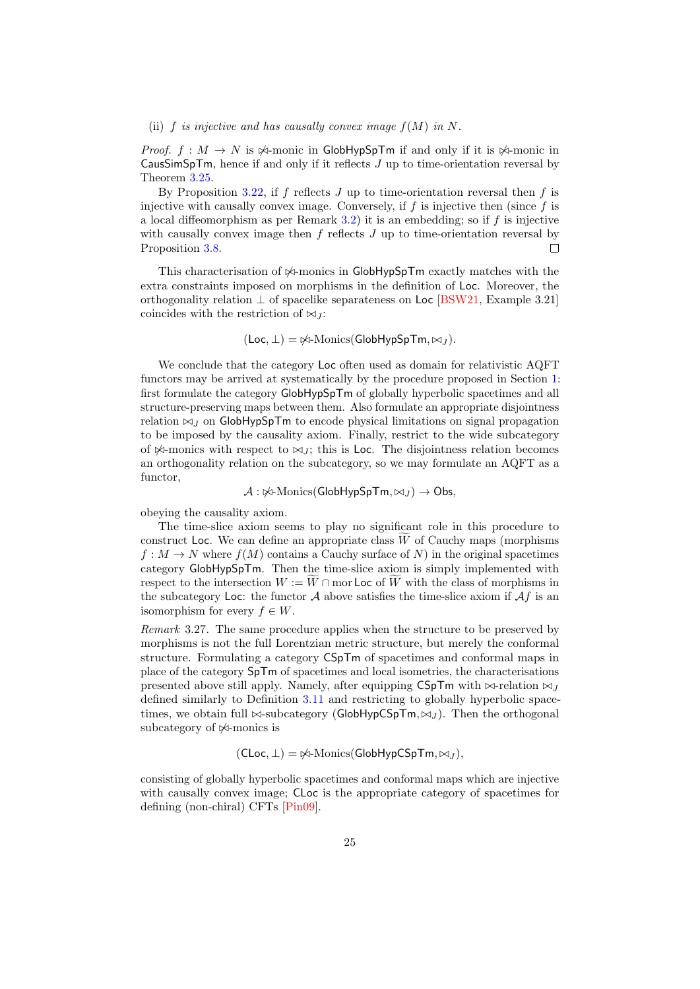#### (ii) f is injective and has causally convex image  $f(M)$  in N.

*Proof.*  $f : M \to N$  is  $\forall$ -monic in GlobHypSpTm if and only if it is  $\forall$ -monic in  $CausSimSpTm$ , hence if and only if it reflects  $J$  up to time-orientation reversal by Theorem [3.25.](#page-23-0)

By Proposition [3.22,](#page-21-0) if f reflects  $J$  up to time-orientation reversal then f is injective with causally convex image. Conversely, if  $f$  is injective then (since  $f$  is a local diffeomorphism as per Remark [3.2\)](#page-12-1) it is an embedding; so if  $f$  is injective with causally convex image then  $f$  reflects  $J$  up to time-orientation reversal by Proposition [3.8.](#page-15-0)  $\Box$ 

This characterisation of  $\frac{1}{2}$ -monics in GlobHypSpTm exactly matches with the extra constraints imposed on morphisms in the definition of Loc. Moreover, the orthogonality relation  $\perp$  of spacelike separateness on Loc [\[BSW21,](#page-50-0) Example 3.21] coincides with the restriction of  $\bowtie_J$ :

 $(Loc, \perp) = \frac{\cancel{0}^2}{2}$ -Monics(GlobHypSpTm,  $\bowtie_J$ ).

We conclude that the category Loc often used as domain for relativistic AQFT functors may be arrived at systematically by the procedure proposed in Section [1:](#page-1-0) first formulate the category GlobHypSpTm of globally hyperbolic spacetimes and all structure-preserving maps between them. Also formulate an appropriate disjointness relation  $\bowtie$  *I* on GlobHypSpTm to encode physical limitations on signal propagation to be imposed by the causality axiom. Finally, restrict to the wide subcategory of  $\Join$ -monics with respect to  $\Join_J$ ; this is Loc. The disjointness relation becomes an orthogonality relation on the subcategory, so we may formulate an AQFT as a functor,

 $\mathcal{A}: \forall A$ -Monics(GlobHypSpTm,  $\bowtie_I$ )  $\rightarrow$  Obs,

obeying the causality axiom.

The time-slice axiom seems to play no significant role in this procedure to construct Loc. We can define an appropriate class  $W$  of Cauchy maps (morphisms  $f: M \to N$  where  $f(M)$  contains a Cauchy surface of N) in the original spacetimes category GlobHypSpTm. Then the time-slice axiom is simply implemented with respect to the intersection  $W := W \cap \text{mor}\textsf{Loc}$  of W with the class of morphisms in the subcategory Loc: the functor  $A$  above satisfies the time-slice axiom if  $Af$  is an isomorphism for every  $f \in W$ .

<span id="page-24-0"></span>Remark 3.27. The same procedure applies when the structure to be preserved by morphisms is not the full Lorentzian metric structure, but merely the conformal structure. Formulating a category CSpTm of spacetimes and conformal maps in place of the category SpTm of spacetimes and local isometries, the characterisations presented above still apply. Namely, after equipping CSpTm with  $\bowtie$ -relation  $\bowtie$ . defined similarly to Definition [3.11](#page-17-3) and restricting to globally hyperbolic spacetimes, we obtain full  $\bowtie$ -subcategory (GlobHypCSpTm,  $\bowtie$ ). Then the orthogonal subcategory of  $\mathbb{A}$ -monics is

$$
(\mathsf{CLoc}, \bot) = \not\bowtie\text{-Monics}(\mathsf{GlobHypCSpTm}, \bowtie_J),
$$

consisting of globally hyperbolic spacetimes and conformal maps which are injective with causally convex image; CLoc is the appropriate category of spacetimes for defining (non-chiral) CFTs [\[Pin09\]](#page-51-1).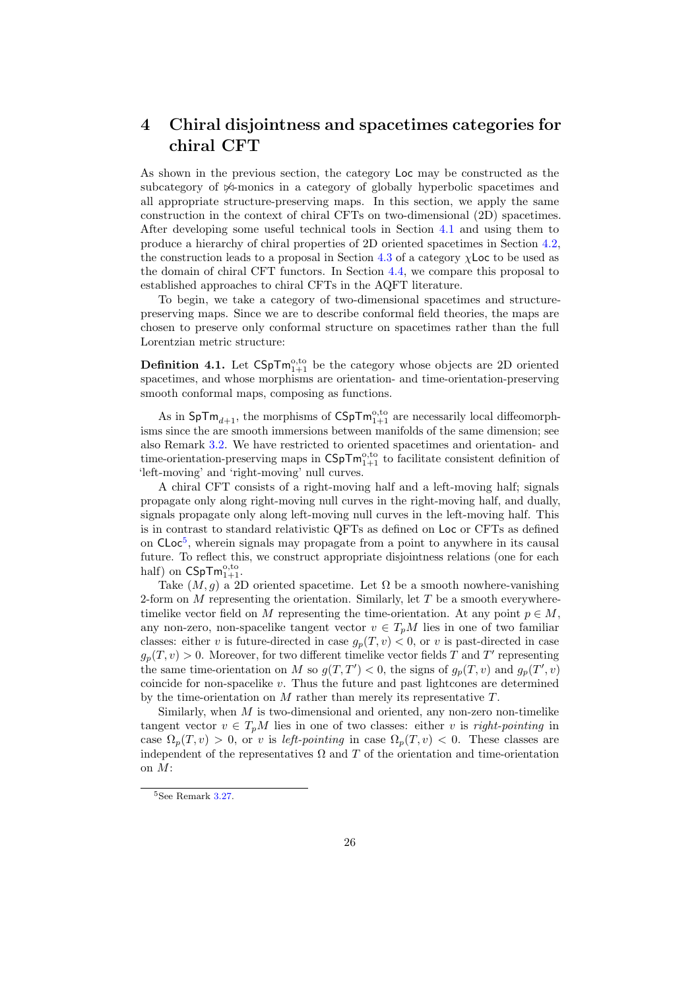## <span id="page-25-0"></span>4 Chiral disjointness and spacetimes categories for chiral CFT

As shown in the previous section, the category Loc may be constructed as the subcategory of  $\mathcal{A}$ -monics in a category of globally hyperbolic spacetimes and all appropriate structure-preserving maps. In this section, we apply the same construction in the context of chiral CFTs on two-dimensional (2D) spacetimes. After developing some useful technical tools in Section [4.1](#page-28-0) and using them to produce a hierarchy of chiral properties of 2D oriented spacetimes in Section [4.2,](#page-36-0) the construction leads to a proposal in Section [4.3](#page-42-0) of a category  $\chi$ Loc to be used as the domain of chiral CFT functors. In Section [4.4,](#page-44-0) we compare this proposal to established approaches to chiral CFTs in the AQFT literature.

To begin, we take a category of two-dimensional spacetimes and structurepreserving maps. Since we are to describe conformal field theories, the maps are chosen to preserve only conformal structure on spacetimes rather than the full Lorentzian metric structure:

**Definition 4.1.** Let  $\text{CSpTm}_{1+1}^{\text{o},\text{to}}$  be the category whose objects are 2D oriented spacetimes, and whose morphisms are orientation- and time-orientation-preserving smooth conformal maps, composing as functions.

As in  $\text{SpTm}_{d+1}$ , the morphisms of  $\text{CSpTm}_{1+1}^{\text{o},\text{to}}$  are necessarily local diffeomorphisms since the are smooth immersions between manifolds of the same dimension; see also Remark [3.2.](#page-12-1) We have restricted to oriented spacetimes and orientation- and time-orientation-preserving maps in  $\mathsf{CSpTm}^{0,\mathrm{to}}_{1+1}$  to facilitate consistent definition of 'left-moving' and 'right-moving' null curves.

A chiral CFT consists of a right-moving half and a left-moving half; signals propagate only along right-moving null curves in the right-moving half, and dually, signals propagate only along left-moving null curves in the left-moving half. This is in contrast to standard relativistic QFTs as defined on Loc or CFTs as defined on CLoc<sup>[5](#page-25-1)</sup>, wherein signals may propagate from a point to anywhere in its causal future. To reflect this, we construct appropriate disjointness relations (one for each half) on  $\mathsf{CSpTm}_{1+1}^{\mathrm{o},\mathrm{to}}$ .

Take  $(M, g)$  a 2D oriented spacetime. Let  $\Omega$  be a smooth nowhere-vanishing 2-form on M representing the orientation. Similarly, let  $T$  be a smooth everywheretimelike vector field on M representing the time-orientation. At any point  $p \in M$ , any non-zero, non-spacelike tangent vector  $v \in T_pM$  lies in one of two familiar classes: either v is future-directed in case  $g_p(T, v) < 0$ , or v is past-directed in case  $g_p(T, v) > 0$ . Moreover, for two different timelike vector fields T and T' representing the same time-orientation on M so  $g(T, T') < 0$ , the signs of  $g_p(T, v)$  and  $g_p(T', v)$ coincide for non-spacelike  $v$ . Thus the future and past lightcones are determined by the time-orientation on  $M$  rather than merely its representative  $T$ .

Similarly, when  $M$  is two-dimensional and oriented, any non-zero non-timelike tangent vector  $v \in T_pM$  lies in one of two classes: either v is right-pointing in case  $\Omega_p(T, v) > 0$ , or v is left-pointing in case  $\Omega_p(T, v) < 0$ . These classes are independent of the representatives  $\Omega$  and  $T$  of the orientation and time-orientation on M:

<span id="page-25-1"></span><sup>5</sup>See Remark [3.27.](#page-24-0)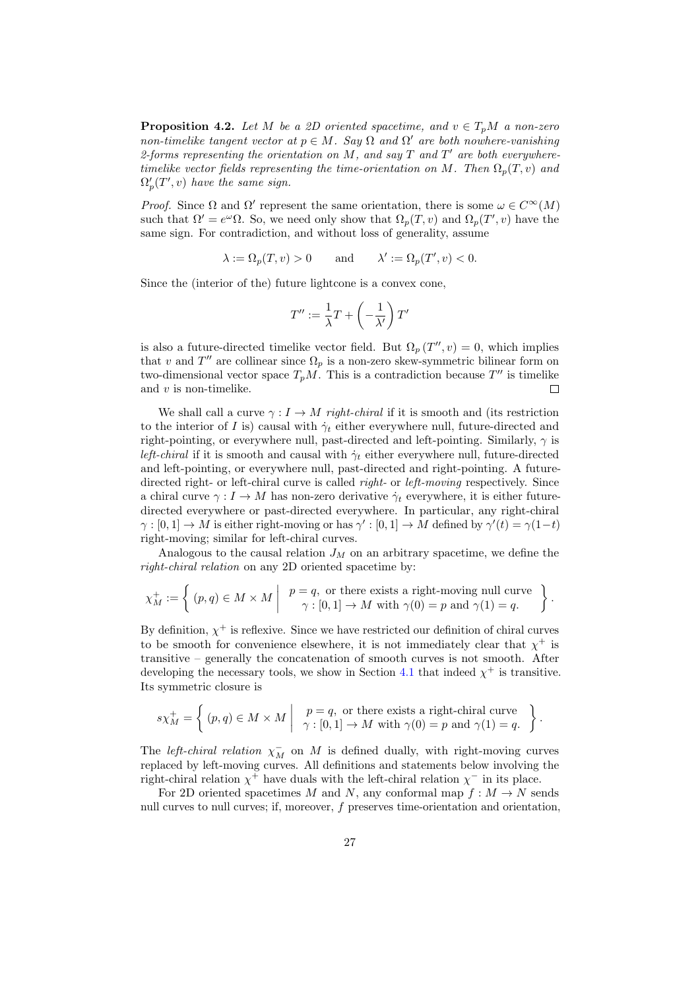**Proposition 4.2.** Let M be a 2D oriented spacetime, and  $v \in T_nM$  a non-zero non-timelike tangent vector at  $p \in M$ . Say  $\Omega$  and  $\Omega'$  are both nowhere-vanishing 2-forms representing the orientation on M, and say  $T$  and  $T'$  are both everywheretimelike vector fields representing the time-orientation on M. Then  $\Omega_p(T, v)$  and  $\Omega'_p(T', v)$  have the same sign.

*Proof.* Since  $\Omega$  and  $\Omega'$  represent the same orientation, there is some  $\omega \in C^{\infty}(M)$ such that  $\Omega' = e^{\omega} \Omega$ . So, we need only show that  $\Omega_p(T, v)$  and  $\Omega_p(T', v)$  have the same sign. For contradiction, and without loss of generality, assume

$$
\lambda := \Omega_p(T, v) > 0 \qquad \text{and} \qquad \lambda' := \Omega_p(T', v) < 0.
$$

Since the (interior of the) future lightcone is a convex cone,

$$
T'' := \frac{1}{\lambda}T + \left(-\frac{1}{\lambda'}\right)T'
$$

is also a future-directed timelike vector field. But  $\Omega_p(T'', v) = 0$ , which implies that v and  $T''$  are collinear since  $\Omega_p$  is a non-zero skew-symmetric bilinear form on two-dimensional vector space  $T_pM$ . This is a contradiction because  $T''$  is timelike and  $v$  is non-timelike.  $\Box$ 

We shall call a curve  $\gamma: I \to M$  right-chiral if it is smooth and (its restriction to the interior of I is) causal with  $\dot{\gamma}_t$  either everywhere null, future-directed and right-pointing, or everywhere null, past-directed and left-pointing. Similarly,  $\gamma$  is *left-chiral* if it is smooth and causal with  $\dot{\gamma}_t$  either everywhere null, future-directed and left-pointing, or everywhere null, past-directed and right-pointing. A futuredirected right- or left-chiral curve is called *right*- or *left-moving* respectively. Since a chiral curve  $\gamma: I \to M$  has non-zero derivative  $\dot{\gamma}_t$  everywhere, it is either futuredirected everywhere or past-directed everywhere. In particular, any right-chiral  $\gamma : [0,1] \to M$  is either right-moving or has  $\gamma' : [0,1] \to M$  defined by  $\gamma'(t) = \gamma(1-t)$ right-moving; similar for left-chiral curves.

Analogous to the causal relation  $J_M$  on an arbitrary spacetime, we define the right-chiral relation on any 2D oriented spacetime by:

$$
\chi_M^+ := \left\{ (p, q) \in M \times M \mid \begin{array}{c} p = q, \text{ or there exists a right-moving null curve} \\ \gamma : [0, 1] \to M \text{ with } \gamma(0) = p \text{ and } \gamma(1) = q. \end{array} \right\}.
$$

By definition,  $\chi^+$  is reflexive. Since we have restricted our definition of chiral curves to be smooth for convenience elsewhere, it is not immediately clear that  $\chi^+$  is transitive – generally the concatenation of smooth curves is not smooth. After developing the necessary tools, we show in Section [4.1](#page-28-0) that indeed  $\chi^+$  is transitive. Its symmetric closure is

$$
s\chi_M^+ = \left\{ (p,q) \in M \times M \middle| \begin{array}{c} p = q, \text{ or there exists a right-chiral curve} \\ \gamma : [0,1] \to M \text{ with } \gamma(0) = p \text{ and } \gamma(1) = q. \end{array} \right\}.
$$

The *left-chiral relation*  $\chi_M^-$  on M is defined dually, with right-moving curves replaced by left-moving curves. All definitions and statements below involving the right-chiral relation  $\chi^+$  have duals with the left-chiral relation  $\chi^-$  in its place.

For 2D oriented spacetimes M and N, any conformal map  $f : M \to N$  sends null curves to null curves; if, moreover, f preserves time-orientation and orientation,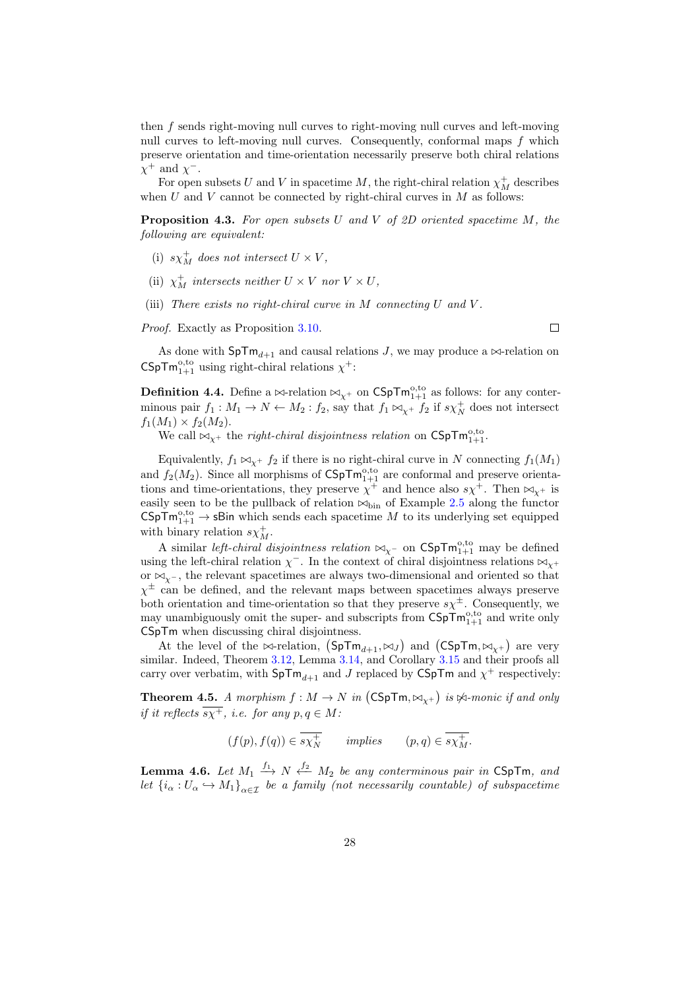then f sends right-moving null curves to right-moving null curves and left-moving null curves to left-moving null curves. Consequently, conformal maps  $f$  which preserve orientation and time-orientation necessarily preserve both chiral relations  $\chi^+$  and  $\chi^-$ .

For open subsets U and V in spacetime M, the right-chiral relation  $\chi_M^+$  describes when  $U$  and  $V$  cannot be connected by right-chiral curves in  $M$  as follows:

**Proposition 4.3.** For open subsets U and V of 2D oriented spacetime  $M$ , the following are equivalent:

- (i)  $s\chi_M^+$  does not intersect  $U \times V$ ,
- (ii)  $\chi_M^+$  intersects neither  $U \times V$  nor  $V \times U$ ,
- (iii) There exists no right-chiral curve in  $M$  connecting  $U$  and  $V$ .

Proof. Exactly as Proposition [3.10.](#page-16-4)

As done with  $\text{SpTm}_{d+1}$  and causal relations J, we may produce a  $\bowtie$ -relation on CSpTm<sup>o,to</sup> using right-chiral relations  $\chi^+$ :

**Definition 4.4.** Define a  $\bowtie$ -relation  $\bowtie_{\chi^+}$  on CSpT $m_{1+1}^{\text{o},\text{to}}$  as follows: for any conterminous pair  $f_1: M_1 \to N \leftarrow M_2 : f_2$ , say that  $f_1 \bowtie_{\chi^+} f_2$  if  $s\chi^+_N$  does not intersect  $f_1(M_1) \times f_2(M_2)$ .

We call  $\bowtie_{\chi^+}$  the *right-chiral disjointness relation* on  $\mathsf{CSpTm}^{0,to}_{1+1}$ .

Equivalently,  $f_1 \bowtie_{\chi^+} f_2$  if there is no right-chiral curve in N connecting  $f_1(M_1)$ and  $f_2(M_2)$ . Since all morphisms of  $\mathsf{CSpTm}^{0,\mathrm{to}}_{1+1}$  are conformal and preserve orientations and time-orientations, they preserve  $\chi^+$  and hence also  $s\chi^+$ . Then  $\bowtie_{\chi^+}$  is easily seen to be the pullback of relation  $\bowtie$ <sub>bin</sub> of Example [2.5](#page-7-1) along the functor  $\mathsf{CSpTm}_{1+1}^{\mathrm{o},\mathrm{to}} \to \mathsf{sBin}$  which sends each spacetime M to its underlying set equipped with binary relation  $s\chi_M^+$ .

A similar *left-chiral disjointness relation*  $\bowtie_{\chi^-}$  on  $CSpTm_{1+1}^{0,t_0}$  may be defined using the left-chiral relation  $\chi^-$ . In the context of chiral disjointness relations  $\bowtie_{\chi^+}$ or  $\bowtie_{\mathsf{v}^-}$ , the relevant spacetimes are always two-dimensional and oriented so that  $\chi^{\pm}$  can be defined, and the relevant maps between spacetimes always preserve both orientation and time-orientation so that they preserve  $s\chi^{\pm}$ . Consequently, we may unambiguously omit the super- and subscripts from  $\mathsf{CSpTm}^{0,to}_{1+1}$  and write only CSpTm when discussing chiral disjointness.

At the level of the  $\bowtie$ -relation,  $(SpTm_{d+1}, \bowtie_J)$  and  $(CSpTm, \bowtie_{\chi^+})$  are very similar. Indeed, Theorem [3.12,](#page-17-2) Lemma [3.14,](#page-18-1) and Corollary [3.15](#page-19-1) and their proofs all carry over verbatim, with  $\text{SpTm}_{d+1}$  and J replaced by CSpTm and  $\chi^+$  respectively:

<span id="page-27-1"></span>**Theorem 4.5.** A morphism  $f : M \to N$  in  $(CSpTm, \bowtie_{\chi^{+}})$  is  $\Join$ -monic if and only if it reflects  $\overline{s}\overline{\chi^+}$ , i.e. for any  $p, q \in M$ :

$$
(f(p), f(q)) \in \overline{s\chi_N^+}
$$
 implies  $(p, q) \in \overline{s\chi_M^+}$ .

<span id="page-27-0"></span>**Lemma 4.6.** Let  $M_1 \stackrel{f_1}{\longrightarrow} N \stackrel{f_2}{\longleftarrow} M_2$  be any conterminous pair in CSpTm, and let  ${i_{\alpha}:U_{\alpha}\hookrightarrow M_1}_{\alpha\in\mathcal{I}}$  be a family (not necessarily countable) of subspacetime

 $\Box$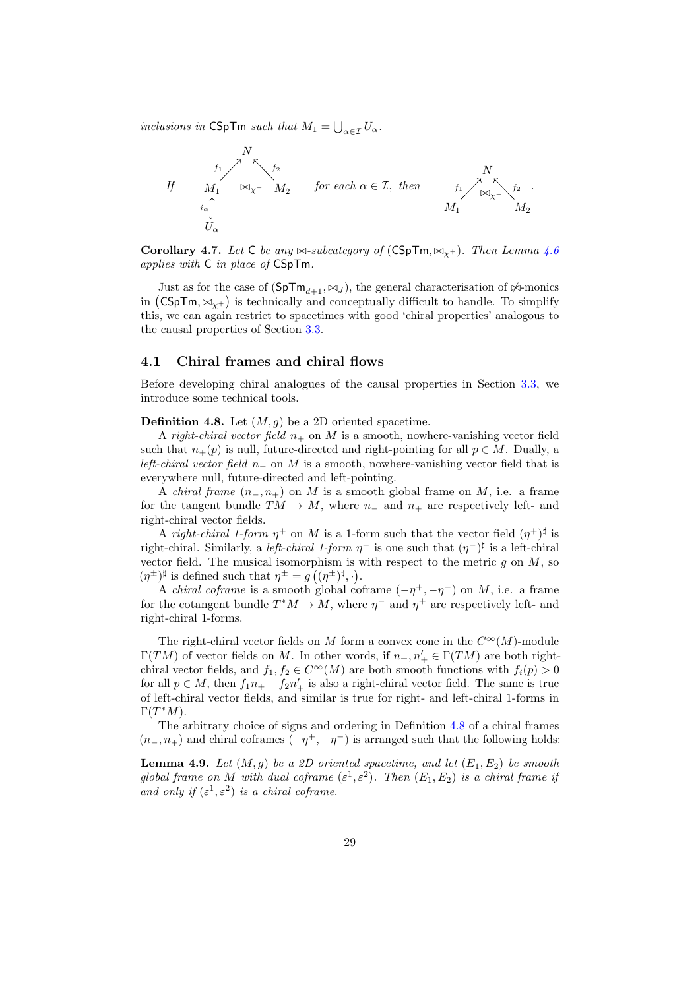inclusions in CSpTm such that  $M_1 = \bigcup_{\alpha \in \mathcal{I}} U_{\alpha}$ .



Corollary 4.7. Let C be any  $\bowtie$ -subcategory of (CSpTm,  $\bowtie_{\gamma}$ ). Then Lemma [4.6](#page-27-0) applies with C in place of CSpTm.

Just as for the case of  $(SpTm_{d+1}, \bowtie_J)$ , the general characterisation of  $\Join$ -monics in  $\left(\mathsf{CSpTm}, \bowtie_{\chi^+}\right)$  is technically and conceptually difficult to handle. To simplify this, we can again restrict to spacetimes with good 'chiral properties' analogous to the causal properties of Section [3.3.](#page-19-0)

#### <span id="page-28-0"></span>4.1 Chiral frames and chiral flows

Before developing chiral analogues of the causal properties in Section [3.3,](#page-19-0) we introduce some technical tools.

<span id="page-28-1"></span>**Definition 4.8.** Let  $(M, g)$  be a 2D oriented spacetime.

A right-chiral vector field  $n_+$  on M is a smooth, nowhere-vanishing vector field such that  $n_{+}(p)$  is null, future-directed and right-pointing for all  $p \in M$ . Dually, a left-chiral vector field  $n_-\,$  on M is a smooth, nowhere-vanishing vector field that is everywhere null, future-directed and left-pointing.

A *chiral frame*  $(n_-, n_+)$  on M is a smooth global frame on M, i.e. a frame for the tangent bundle  $TM \to M$ , where  $n_-\$  and  $n_+\$  are respectively left- and right-chiral vector fields.

A right-chiral 1-form  $\eta^+$  on M is a 1-form such that the vector field  $(\eta^+)^{\sharp}$  is right-chiral. Similarly, a *left-chiral 1-form*  $\eta^-$  is one such that  $(\eta^-)^{\sharp}$  is a left-chiral vector field. The musical isomorphism is with respect to the metric  $q$  on  $M$ , so  $(\eta^{\pm})^{\sharp}$  is defined such that  $\eta^{\pm} = g\left((\eta^{\pm})^{\sharp},\cdot\right)$ .

A *chiral coframe* is a smooth global coframe  $(-\eta^+, -\eta^-)$  on M, i.e. a frame for the cotangent bundle  $T^*M \to M$ , where  $\eta^-$  and  $\eta^+$  are respectively left- and right-chiral 1-forms.

The right-chiral vector fields on M form a convex cone in the  $C^{\infty}(M)$ -module  $\Gamma(TM)$  of vector fields on M. In other words, if  $n_+, n'_+ \in \Gamma(TM)$  are both rightchiral vector fields, and  $f_1, f_2 \in C^{\infty}(M)$  are both smooth functions with  $f_i(p) > 0$ for all  $p \in M$ , then  $f_1 n_+ + f_2 n'_+$  is also a right-chiral vector field. The same is true of left-chiral vector fields, and similar is true for right- and left-chiral 1-forms in  $\Gamma(T^*M)$ .

The arbitrary choice of signs and ordering in Definition [4.8](#page-28-1) of a chiral frames  $(n_-, n_+)$  and chiral coframes  $(-\eta^+, -\eta^-)$  is arranged such that the following holds:

**Lemma 4.9.** Let  $(M, g)$  be a 2D oriented spacetime, and let  $(E_1, E_2)$  be smooth global frame on M with dual coframe  $(\varepsilon^1, \varepsilon^2)$ . Then  $(E_1, E_2)$  is a chiral frame if and only if  $(\varepsilon^1, \varepsilon^2)$  is a chiral coframe.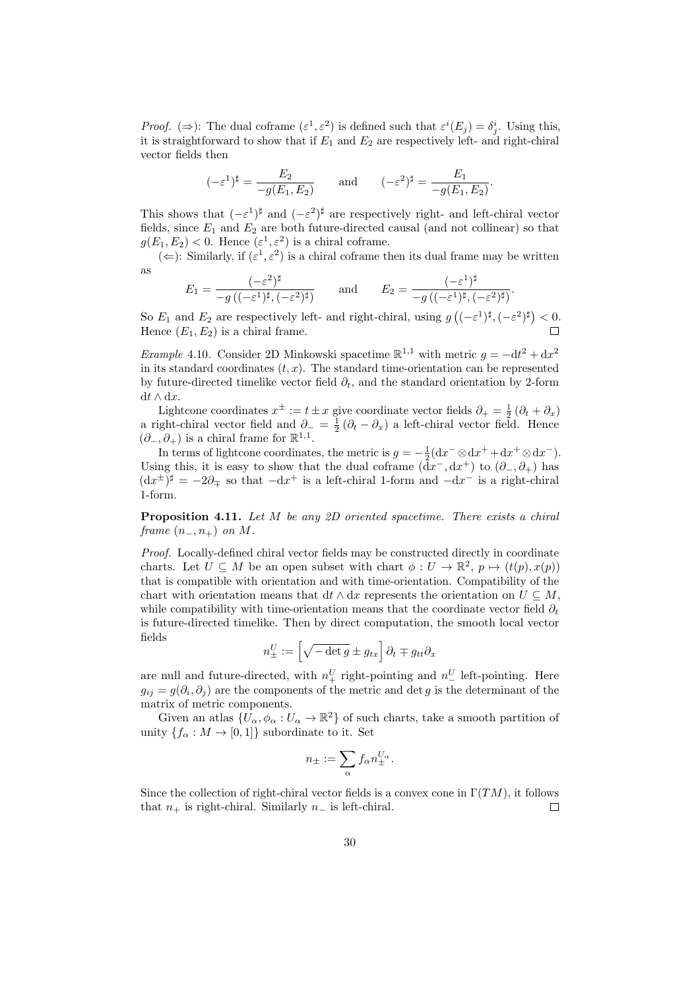*Proof.* ( $\Rightarrow$ ): The dual coframe  $(\varepsilon^1, \varepsilon^2)$  is defined such that  $\varepsilon^i(E_j) = \delta^i_j$ . Using this, it is straightforward to show that if  $E_1$  and  $E_2$  are respectively left- and right-chiral vector fields then

$$
(-\varepsilon^1)^\sharp = \frac{E_2}{-g(E_1, E_2)} \quad \text{and} \quad (-\varepsilon^2)^\sharp = \frac{E_1}{-g(E_1, E_2)}.
$$

This shows that  $(-\varepsilon^1)^{\sharp}$  and  $(-\varepsilon^2)^{\sharp}$  are respectively right- and left-chiral vector fields, since  $E_1$  and  $E_2$  are both future-directed causal (and not collinear) so that  $g(E_1, E_2) < 0$ . Hence  $(\varepsilon^1, \varepsilon^2)$  is a chiral coframe.

 $(\Leftarrow)$ : Similarly, if  $(\varepsilon^1, \varepsilon^2)$  is a chiral coframe then its dual frame may be written as

.

$$
E_1 = \frac{(-\varepsilon^2)^{\sharp}}{-g\left((-\varepsilon^1)^{\sharp}, (-\varepsilon^2)^{\sharp}\right)} \quad \text{and} \quad E_2 = \frac{(-\varepsilon^1)^{\sharp}}{-g\left((-\varepsilon^1)^{\sharp}, (-\varepsilon^2)^{\sharp}\right)}
$$

So  $E_1$  and  $E_2$  are respectively left- and right-chiral, using  $g((-\varepsilon^1)^{\sharp}, (-\varepsilon^2)^{\sharp}) < 0$ . Hence  $(E_1, E_2)$  is a chiral frame.

<span id="page-29-1"></span>Example 4.10. Consider 2D Minkowski spacetime  $\mathbb{R}^{1,1}$  with metric  $g = -dt^2 + dx^2$ in its standard coordinates  $(t, x)$ . The standard time-orientation can be represented by future-directed timelike vector field  $\partial_t$ , and the standard orientation by 2-form dt ∧ dx.

Lightcone coordinates  $x^{\pm} := t \pm x$  give coordinate vector fields  $\partial_{+} = \frac{1}{2} (\partial_t + \partial_x)$ a right-chiral vector field and  $\partial_{-} = \frac{1}{2} (\partial_t - \partial_x)$  a left-chiral vector field. Hence  $(\partial_-, \partial_+)$  is a chiral frame for  $\mathbb{R}^{1,1}$ .

In terms of lightcone coordinates, the metric is  $g = -\frac{1}{2}(dx^{-} \otimes dx^{+} + dx^{+} \otimes dx^{-})$ . Using this, it is easy to show that the dual coframe  $(\bar{d}x^{-}, dx^{+})$  to  $(\partial_{-}, \partial_{+})$  has  $(\mathrm{d}x^{\pm})^{\sharp} = -2\partial_{\mp}$  so that  $-\mathrm{d}x^{+}$  is a left-chiral 1-form and  $-\mathrm{d}x^{-}$  is a right-chiral 1-form.

<span id="page-29-0"></span>**Proposition 4.11.** Let  $M$  be any 2D oriented spacetime. There exists a chiral frame  $(n_-, n_+)$  on M.

Proof. Locally-defined chiral vector fields may be constructed directly in coordinate charts. Let  $U \subseteq M$  be an open subset with chart  $\phi: U \to \mathbb{R}^2$ ,  $p \mapsto (t(p), x(p))$ that is compatible with orientation and with time-orientation. Compatibility of the chart with orientation means that dt  $\wedge$  dx represents the orientation on  $U \subseteq M$ . while compatibility with time-orientation means that the coordinate vector field  $\partial_t$ is future-directed timelike. Then by direct computation, the smooth local vector fields

$$
n_{\pm}^U := \left[\sqrt{-\det g} \pm g_{tx}\right] \partial_t \mp g_{tt} \partial_x
$$

are null and future-directed, with  $n_+^U$  right-pointing and  $n_-^U$  left-pointing. Here  $g_{ij} = g(\partial_i, \partial_j)$  are the components of the metric and det g is the determinant of the matrix of metric components.

Given an atlas  $\{U_{\alpha}, \phi_{\alpha}: U_{\alpha} \to \mathbb{R}^2\}$  of such charts, take a smooth partition of unity  $\{f_{\alpha}: M \to [0,1]\}$  subordinate to it. Set

$$
n_\pm:=\sum_\alpha f_\alpha n_\pm^{U_\alpha}.
$$

Since the collection of right-chiral vector fields is a convex cone in  $\Gamma(TM)$ , it follows that  $n_+$  is right-chiral. Similarly  $n_-$  is left-chiral.  $\Box$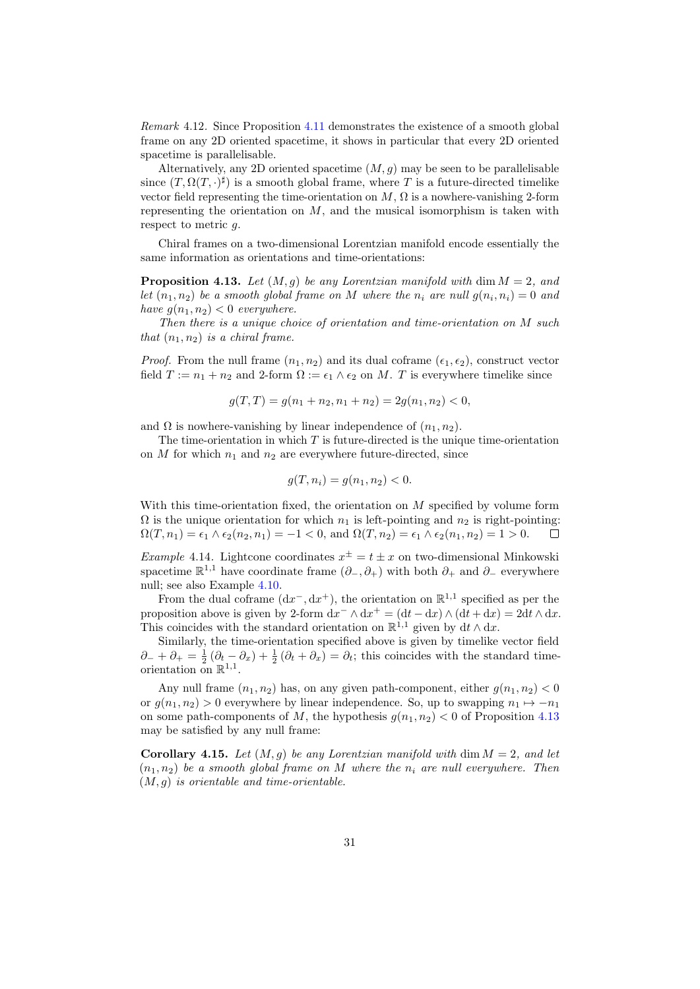Remark 4.12. Since Proposition [4.11](#page-29-0) demonstrates the existence of a smooth global frame on any 2D oriented spacetime, it shows in particular that every 2D oriented spacetime is parallelisable.

Alternatively, any 2D oriented spacetime  $(M, g)$  may be seen to be parallelisable since  $(T, \Omega(T, \cdot)^{\sharp})$  is a smooth global frame, where T is a future-directed timelike vector field representing the time-orientation on  $M$ ,  $\Omega$  is a nowhere-vanishing 2-form representing the orientation on  $M$ , and the musical isomorphism is taken with respect to metric g.

Chiral frames on a two-dimensional Lorentzian manifold encode essentially the same information as orientations and time-orientations:

<span id="page-30-0"></span>**Proposition 4.13.** Let  $(M, q)$  be any Lorentzian manifold with dim  $M = 2$ , and let  $(n_1, n_2)$  be a smooth global frame on M where the  $n_i$  are null  $g(n_i, n_i) = 0$  and have  $q(n_1, n_2) < 0$  everywhere.

Then there is a unique choice of orientation and time-orientation on M such that  $(n_1, n_2)$  is a chiral frame.

*Proof.* From the null frame  $(n_1, n_2)$  and its dual coframe  $(\epsilon_1, \epsilon_2)$ , construct vector field  $T := n_1 + n_2$  and 2-form  $\Omega := \epsilon_1 \wedge \epsilon_2$  on M. T is everywhere timelike since

$$
g(T,T) = g(n_1 + n_2, n_1 + n_2) = 2g(n_1, n_2) < 0,
$$

and  $\Omega$  is nowhere-vanishing by linear independence of  $(n_1, n_2)$ .

The time-orientation in which  $T$  is future-directed is the unique time-orientation on  $M$  for which  $n_1$  and  $n_2$  are everywhere future-directed, since

$$
g(T, n_i) = g(n_1, n_2) < 0.
$$

With this time-orientation fixed, the orientation on  $M$  specified by volume form  $\Omega$  is the unique orientation for which  $n_1$  is left-pointing and  $n_2$  is right-pointing:  $\Omega(T, n_1) = \epsilon_1 \wedge \epsilon_2(n_2, n_1) = -1 < 0$ , and  $\Omega(T, n_2) = \epsilon_1 \wedge \epsilon_2(n_1, n_2) = 1 > 0$ .  $\Box$ 

*Example* 4.14. Lightcone coordinates  $x^{\pm} = t \pm x$  on two-dimensional Minkowski spacetime  $\mathbb{R}^{1,1}$  have coordinate frame  $(\partial_-, \partial_+)$  with both  $\partial_+$  and  $\partial_-$  everywhere null; see also Example [4.10.](#page-29-1)

From the dual coframe  $(dx^{-}, dx^{+})$ , the orientation on  $\mathbb{R}^{1,1}$  specified as per the proposition above is given by 2-form  $dx^{-} \wedge dx^{+} = (dt - dx) \wedge (dt + dx) = 2dt \wedge dx$ . This coincides with the standard orientation on  $\mathbb{R}^{1,1}$  given by  $dt \wedge dx$ .

Similarly, the time-orientation specified above is given by timelike vector field  $\partial_- + \partial_+ = \frac{1}{2} (\partial_t - \partial_x) + \frac{1}{2} (\partial_t + \partial_x) = \partial_t$ ; this coincides with the standard timeorientation on  $\mathbb{R}^{1,1}$ .

Any null frame  $(n_1, n_2)$  has, on any given path-component, either  $g(n_1, n_2) < 0$ or  $g(n_1, n_2) > 0$  everywhere by linear independence. So, up to swapping  $n_1 \mapsto -n_1$ on some path-components of M, the hypothesis  $g(n_1, n_2) < 0$  of Proposition [4.13](#page-30-0) may be satisfied by any null frame:

Corollary 4.15. Let  $(M, q)$  be any Lorentzian manifold with dim  $M = 2$ , and let  $(n_1, n_2)$  be a smooth global frame on M where the n<sub>i</sub> are null everywhere. Then  $(M, g)$  is orientable and time-orientable.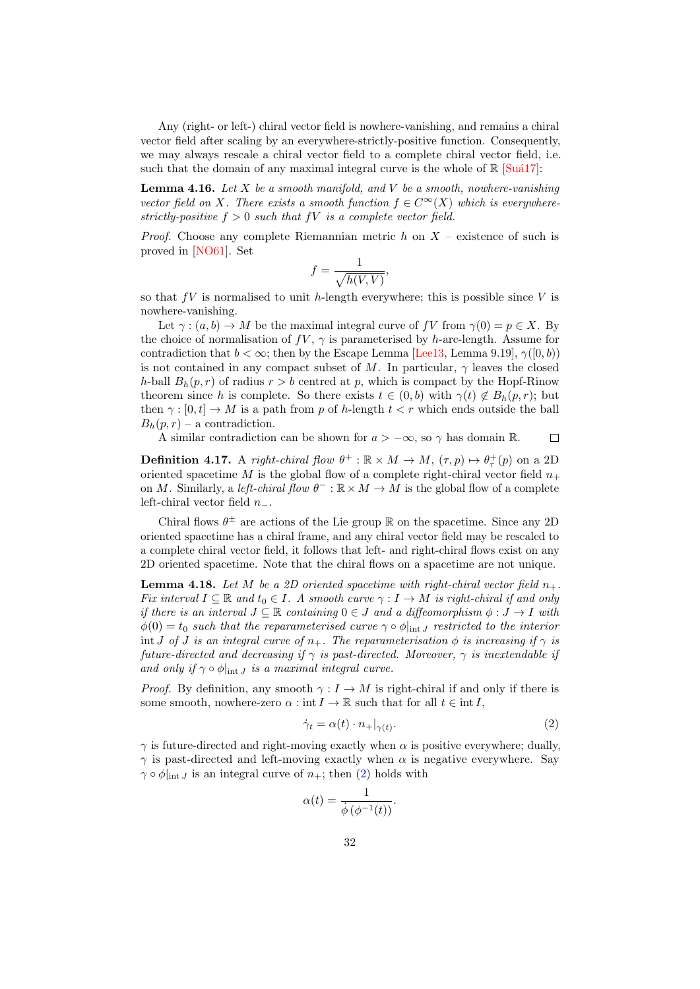Any (right- or left-) chiral vector field is nowhere-vanishing, and remains a chiral vector field after scaling by an everywhere-strictly-positive function. Consequently, we may always rescale a chiral vector field to a complete chiral vector field, i.e. such that the domain of any maximal integral curve is the whole of  $\mathbb{R}$  [Suá17]:

**Lemma 4.16.** Let X be a smooth manifold, and V be a smooth, nowhere-vanishing vector field on X. There exists a smooth function  $f \in C^{\infty}(X)$  which is everywherestrictly-positive  $f > 0$  such that fV is a complete vector field.

*Proof.* Choose any complete Riemannian metric h on  $X$  – existence of such is proved in [\[NO61\]](#page-51-9). Set

$$
f = \frac{1}{\sqrt{h(V,V)}},
$$

so that  $fV$  is normalised to unit h-length everywhere; this is possible since V is nowhere-vanishing.

Let  $\gamma: (a, b) \to M$  be the maximal integral curve of fV from  $\gamma(0) = p \in X$ . By the choice of normalisation of  $fV$ ,  $\gamma$  is parameterised by h-arc-length. Assume for contradiction that  $b < \infty$ ; then by the Escape Lemma [\[Lee13,](#page-51-5) Lemma 9.19],  $\gamma([0, b))$ is not contained in any compact subset of M. In particular,  $\gamma$  leaves the closed h-ball  $B_h(p,r)$  of radius  $r > b$  centred at p, which is compact by the Hopf-Rinow theorem since h is complete. So there exists  $t \in (0, b)$  with  $\gamma(t) \notin B_h(p, r)$ ; but then  $\gamma : [0, t] \to M$  is a path from p of h-length  $t < r$  which ends outside the ball  $B_h(p,r)$  – a contradiction.

A similar contradiction can be shown for  $a > -\infty$ , so  $\gamma$  has domain R.  $\Box$ 

<span id="page-31-2"></span>**Definition 4.17.** A right-chiral flow  $\theta^+ : \mathbb{R} \times M \to M$ ,  $(\tau, p) \mapsto \theta^+_{\tau}(p)$  on a 2D oriented spacetime M is the global flow of a complete right-chiral vector field  $n_{+}$ on M. Similarly, a left-chiral flow  $\theta^- : \mathbb{R} \times M \to M$  is the global flow of a complete left-chiral vector field  $n_-.$ 

Chiral flows  $\theta^{\pm}$  are actions of the Lie group R on the spacetime. Since any 2D oriented spacetime has a chiral frame, and any chiral vector field may be rescaled to a complete chiral vector field, it follows that left- and right-chiral flows exist on any 2D oriented spacetime. Note that the chiral flows on a spacetime are not unique.

<span id="page-31-1"></span>**Lemma 4.18.** Let M be a 2D oriented spacetime with right-chiral vector field  $n_{+}$ . Fix interval  $I \subseteq \mathbb{R}$  and  $t_0 \in I$ . A smooth curve  $\gamma : I \to M$  is right-chiral if and only if there is an interval  $J \subseteq \mathbb{R}$  containing  $0 \in J$  and a diffeomorphism  $\phi: J \to I$  with  $\phi(0) = t_0$  such that the reparameterised curve  $\gamma \circ \phi|_{int J}$  restricted to the interior int J of J is an integral curve of  $n_+$ . The reparameterisation  $\phi$  is increasing if  $\gamma$  is future-directed and decreasing if  $\gamma$  is past-directed. Moreover,  $\gamma$  is inextendable if and only if  $\gamma \circ \phi|_{int J}$  is a maximal integral curve.

*Proof.* By definition, any smooth  $\gamma: I \to M$  is right-chiral if and only if there is some smooth, nowhere-zero  $\alpha : \text{int } I \to \mathbb{R}$  such that for all  $t \in \text{int } I$ ,

<span id="page-31-0"></span>
$$
\dot{\gamma}_t = \alpha(t) \cdot n_+|_{\gamma(t)}.\tag{2}
$$

 $\gamma$  is future-directed and right-moving exactly when  $\alpha$  is positive everywhere; dually,  $\gamma$  is past-directed and left-moving exactly when  $\alpha$  is negative everywhere. Say  $\gamma \circ \phi|_{\text{int }J}$  is an integral curve of  $n_+$ ; then [\(2\)](#page-31-0) holds with

$$
\alpha(t) = \frac{1}{\dot{\phi}\left(\phi^{-1}(t)\right)}.
$$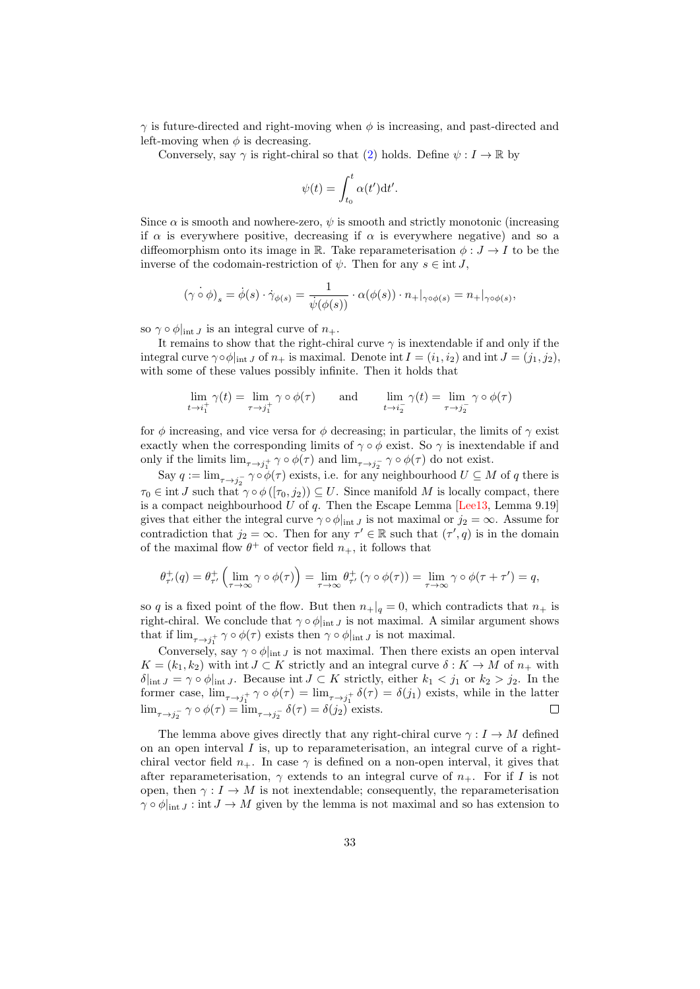$\gamma$  is future-directed and right-moving when  $\phi$  is increasing, and past-directed and left-moving when  $\phi$  is decreasing.

Conversely, say  $\gamma$  is right-chiral so that [\(2\)](#page-31-0) holds. Define  $\psi : I \to \mathbb{R}$  by

$$
\psi(t) = \int_{t_0}^t \alpha(t') \mathrm{d}t'.
$$

Since  $\alpha$  is smooth and nowhere-zero,  $\psi$  is smooth and strictly monotonic (increasing if  $\alpha$  is everywhere positive, decreasing if  $\alpha$  is everywhere negative) and so a diffeomorphism onto its image in R. Take reparameterisation  $\phi: J \to I$  to be the inverse of the codomain-restriction of  $\psi$ . Then for any  $s \in \text{int } J$ ,

$$
(\gamma \circ \phi)_s = \dot{\phi}(s) \cdot \dot{\gamma}_{\phi(s)} = \frac{1}{\dot{\psi}(\phi(s))} \cdot \alpha(\phi(s)) \cdot n_+|_{\gamma \circ \phi(s)} = n_+|_{\gamma \circ \phi(s)},
$$

so  $\gamma \circ \phi|_{\text{int } J}$  is an integral curve of  $n_+$ .

It remains to show that the right-chiral curve  $\gamma$  is inextendable if and only if the integral curve  $\gamma \circ \phi|_{\text{int }J}$  of  $n_+$  is maximal. Denote int  $I = (i_1, i_2)$  and int  $J = (j_1, j_2)$ . with some of these values possibly infinite. Then it holds that

$$
\lim_{t \to i_1^+} \gamma(t) = \lim_{\tau \to j_1^+} \gamma \circ \phi(\tau) \quad \text{and} \quad \lim_{t \to i_2^-} \gamma(t) = \lim_{\tau \to j_2^-} \gamma \circ \phi(\tau)
$$

for φ increasing, and vice versa for φ decreasing; in particular, the limits of  $\gamma$  exist exactly when the corresponding limits of  $\gamma \circ \phi$  exist. So  $\gamma$  is inextendable if and only if the limits  $\lim_{\tau \to j_1^+} \gamma \circ \phi(\tau)$  and  $\lim_{\tau \to j_2^-} \gamma \circ \phi(\tau)$  do not exist.

Say  $q := \lim_{\tau \to j_2^-} \gamma \circ \phi(\tau)$  exists, i.e. for any neighbourhood  $U \subseteq M$  of q there is  $\tau_0 \in \text{int } J$  such that  $\gamma \circ \phi([\tau_0, j_2)) \subseteq U$ . Since manifold M is locally compact, there is a compact neighbourhood U of q. Then the Escape Lemma  $[Lee13, Lemma 9.19]$ gives that either the integral curve  $\gamma \circ \phi|_{\text{int } J}$  is not maximal or  $j_2 = \infty$ . Assume for contradiction that  $j_2 = \infty$ . Then for any  $\tau' \in \mathbb{R}$  such that  $(\tau', q)$  is in the domain of the maximal flow  $\theta^+$  of vector field  $n_+$ , it follows that

$$
\theta_{\tau'}^+(q) = \theta_{\tau'}^+\left(\lim_{\tau \to \infty} \gamma \circ \phi(\tau)\right) = \lim_{\tau \to \infty} \theta_{\tau'}^+\left(\gamma \circ \phi(\tau)\right) = \lim_{\tau \to \infty} \gamma \circ \phi(\tau + \tau') = q,
$$

so q is a fixed point of the flow. But then  $n_{+}|q = 0$ , which contradicts that  $n_{+}$  is right-chiral. We conclude that  $\gamma \circ \phi|_{int J}$  is not maximal. A similar argument shows that if  $\lim_{\tau \to j_1^+} \gamma \circ \phi(\tau)$  exists then  $\gamma \circ \phi|_{\text{int } J}$  is not maximal.

Conversely, say  $\gamma \circ \phi$ <sub>int J</sub> is not maximal. Then there exists an open interval  $K = (k_1, k_2)$  with int  $J \subset K$  strictly and an integral curve  $\delta : K \to M$  of  $n_+$  with  $\delta|_{\text{int }J} = \gamma \circ \phi|_{\text{int }J}$ . Because int  $J \subset K$  strictly, either  $k_1 < j_1$  or  $k_2 > j_2$ . In the former case,  $\lim_{\tau \to j_1^+} \gamma \circ \phi(\tau) = \lim_{\tau \to j_1^+} \delta(\tau) = \delta(j_1)$  exists, while in the latter  $\lim_{\tau \to j_2^-} \gamma \circ \phi(\tau) = \lim_{\tau \to j_2^-} \delta(\tau) = \delta(j_2)$  exists.  $\Box$ 

The lemma above gives directly that any right-chiral curve  $\gamma : I \to M$  defined on an open interval  $I$  is, up to reparameterisation, an integral curve of a rightchiral vector field  $n_{+}$ . In case  $\gamma$  is defined on a non-open interval, it gives that after reparameterisation,  $\gamma$  extends to an integral curve of  $n_{+}$ . For if I is not open, then  $\gamma: I \to M$  is not inextendable; consequently, the reparameterisation  $\gamma \circ \phi |_{\text{int } J} : \text{int } J \to M$  given by the lemma is not maximal and so has extension to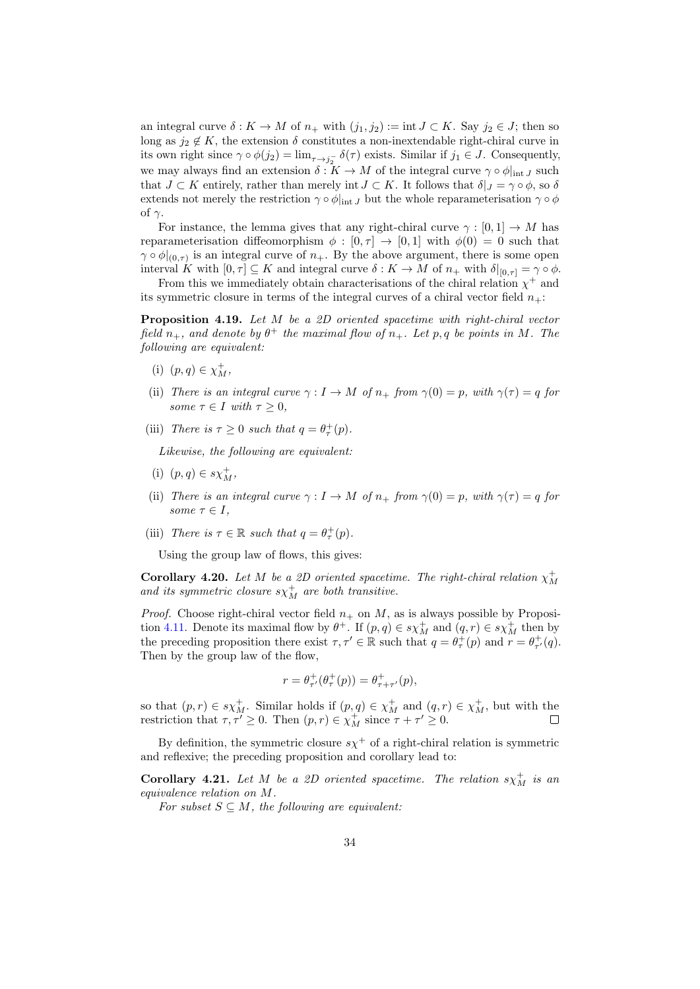an integral curve  $\delta: K \to M$  of  $n_+$  with  $(j_1, j_2) := \text{int } J \subset K$ . Say  $j_2 \in J$ ; then so long as  $j_2 \notin K$ , the extension  $\delta$  constitutes a non-inextendable right-chiral curve in its own right since  $\gamma \circ \phi(j_2) = \lim_{\tau \to j_2^-} \delta(\tau)$  exists. Similar if  $j_1 \in J$ . Consequently, we may always find an extension  $\delta: K \to M$  of the integral curve  $\gamma \circ \phi|_{\text{int } J}$  such that  $J \subset K$  entirely, rather than merely int  $J \subset K$ . It follows that  $\delta|_J = \gamma \circ \phi$ , so  $\delta$ extends not merely the restriction  $\gamma \circ \phi|_{int J}$  but the whole reparameterisation  $\gamma \circ \phi$ of  $\gamma$ .

For instance, the lemma gives that any right-chiral curve  $\gamma : [0, 1] \to M$  has reparameterisation diffeomorphism  $\phi : [0, \tau] \to [0, 1]$  with  $\phi(0) = 0$  such that  $\gamma \circ \phi|_{(0,\tau)}$  is an integral curve of  $n_{+}$ . By the above argument, there is some open interval K with  $[0, \tau] \subseteq K$  and integral curve  $\delta : K \to M$  of  $n_+$  with  $\delta|_{[0, \tau]} = \gamma \circ \phi$ .

From this we immediately obtain characterisations of the chiral relation  $\chi^+$  and its symmetric closure in terms of the integral curves of a chiral vector field  $n_{+}$ :

<span id="page-33-1"></span>Proposition 4.19. Let M be a 2D oriented spacetime with right-chiral vector field  $n_+$ , and denote by  $\theta^+$  the maximal flow of  $n_+$ . Let p, q be points in M. The following are equivalent:

- (i)  $(p, q) \in \chi_M^+$ ,
- (ii) There is an integral curve  $\gamma : I \to M$  of  $n_+$  from  $\gamma(0) = p$ , with  $\gamma(\tau) = q$  for some  $\tau \in I$  with  $\tau \geq 0$ ,
- (iii) There is  $\tau \geq 0$  such that  $q = \theta_{\tau}^{+}(p)$ .

Likewise, the following are equivalent:

- (i)  $(p, q) \in s \chi_M^+$ ,
- (ii) There is an integral curve  $\gamma : I \to M$  of  $n_+$  from  $\gamma(0) = p$ , with  $\gamma(\tau) = q$  for some  $\tau \in I$ ,
- (iii) There is  $\tau \in \mathbb{R}$  such that  $q = \theta_{\tau}^{+}(p)$ .

Using the group law of flows, this gives:

**Corollary 4.20.** Let M be a 2D oriented spacetime. The right-chiral relation  $\chi^+$ and its symmetric closure  $s\chi_M^+$  are both transitive.

*Proof.* Choose right-chiral vector field  $n_+$  on M, as is always possible by Proposi-tion [4.11.](#page-29-0) Denote its maximal flow by  $\theta^+$ . If  $(p, q) \in s\chi_M^+$  and  $(q, r) \in s\chi_M^+$  then by the preceding proposition there exist  $\tau, \tau' \in \mathbb{R}$  such that  $q = \theta_{\tau}^{+}(p)$  and  $r = \theta_{\tau'}^{+}(q)$ . Then by the group law of the flow,

$$
r = \theta^+_{\tau'}(\theta^+_{\tau}(p)) = \theta^+_{\tau+\tau'}(p),
$$

so that  $(p, r) \in s\chi_M^+$ . Similar holds if  $(p, q) \in \chi_M^+$  and  $(q, r) \in \chi_M^+$ , but with the restriction that  $\tau, \tau' \geq 0$ . Then  $(p, r) \in \chi_M^+$  since  $\tau + \tau' \geq 0$ .

By definition, the symmetric closure  $s\chi^+$  of a right-chiral relation is symmetric and reflexive; the preceding proposition and corollary lead to:

<span id="page-33-0"></span>**Corollary 4.21.** Let M be a 2D oriented spacetime. The relation  $s\chi_M^+$  is an equivalence relation on M.

For subset  $S \subseteq M$ , the following are equivalent: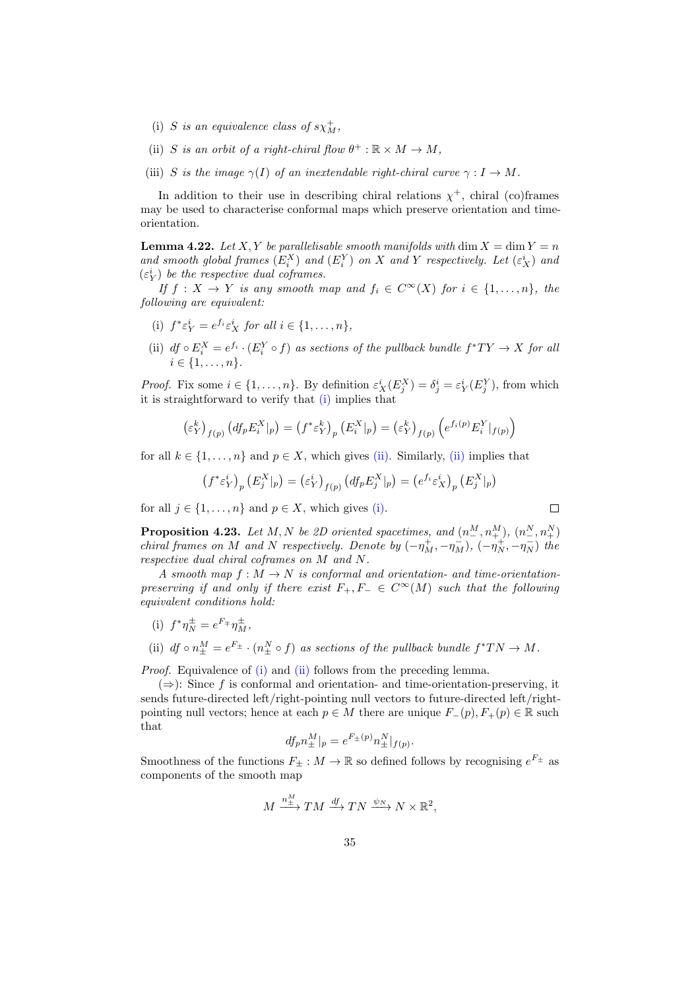- (i) S is an equivalence class of  $s\chi_M^+$ ,
- (ii) S is an orbit of a right-chiral flow  $\theta^+ : \mathbb{R} \times M \to M$ ,
- (iii) S is the image  $\gamma(I)$  of an inextendable right-chiral curve  $\gamma: I \to M$ .

In addition to their use in describing chiral relations  $\chi^+$ , chiral (co)frames may be used to characterise conformal maps which preserve orientation and timeorientation.

**Lemma 4.22.** Let X, Y be parallelisable smooth manifolds with dim  $X = \dim Y = n$ and smooth global frames  $(E_i^X)$  and  $(E_i^Y)$  on X and Y respectively. Let  $(\varepsilon_X^i)$  and  $(\varepsilon_Y^i)$  be the respective dual coframes.

If  $f: X \to Y$  is any smooth map and  $f_i \in C^{\infty}(X)$  for  $i \in \{1, ..., n\}$ , the following are equivalent:

- <span id="page-34-0"></span>(i)  $f^* \varepsilon_Y^i = e^{f_i} \varepsilon_X^i$  for all  $i \in \{1, \ldots, n\},$
- <span id="page-34-1"></span>(ii)  $df \circ E_i^X = e^{f_i} \cdot (E_i^Y \circ f)$  as sections of the pullback bundle  $f^*TY \to X$  for all  $i \in \{1, \ldots, n\}.$

*Proof.* Fix some  $i \in \{1, ..., n\}$ . By definition  $\varepsilon_X^i(E_j^X) = \delta_j^i = \varepsilon_Y^i(E_j^Y)$ , from which it is straightforward to verify that [\(i\)](#page-34-0) implies that

$$
\left(\varepsilon_Y^k\right)_{f(p)} \left(df_p E_i^X|_p\right) = \left(f^* \varepsilon_Y^k\right)_p \left(E_i^X|_p\right) = \left(\varepsilon_Y^k\right)_{f(p)} \left(e^{f_i(p)} E_i^Y|_{f(p)}\right)
$$

for all  $k \in \{1, \ldots, n\}$  and  $p \in X$ , which gives [\(ii\).](#page-34-1) Similarly, [\(ii\)](#page-34-1) implies that

$$
(f^* \varepsilon^i_Y)_p (E^X_j|_p) = (\varepsilon^i_Y)_{f(p)} (df_p E^X_j|_p) = (e^{f_i} \varepsilon^i_X)_p (E^X_j|_p)
$$

for all  $j \in \{1, \ldots, n\}$  and  $p \in X$ , which gives [\(i\).](#page-34-0)

 $\Box$ 

<span id="page-34-4"></span>**Proposition 4.23.** Let M, N be 2D oriented spacetimes, and  $(n^{M}_{-}, n^{M}_{+}), (n^{N}_{-}, n^{N}_{+})$ chiral frames on M and N respectively. Denote by  $(-\eta_M^+,-\eta_M^-)$ ,  $(-\eta_N^+,-\eta_N^-)$  the respective dual chiral coframes on M and N.

A smooth map  $f : M \to N$  is conformal and orientation- and time-orientationpreserving if and only if there exist  $F_+, F_- \in C^{\infty}(M)$  such that the following equivalent conditions hold:

- <span id="page-34-2"></span>(i)  $f^* \eta_N^{\pm} = e^{F_{\mp}} \eta_M^{\pm}$ ,
- <span id="page-34-3"></span>(ii)  $df \circ n^M_{\pm} = e^{F_{\pm}} \cdot (n^N_{\pm} \circ f)$  as sections of the pullback bundle  $f^*TN \to M$ .

*Proof.* Equivalence of [\(i\)](#page-34-2) and [\(ii\)](#page-34-3) follows from the preceding lemma.

 $(\Rightarrow)$ : Since f is conformal and orientation- and time-orientation-preserving, it sends future-directed left/right-pointing null vectors to future-directed left/rightpointing null vectors; hence at each  $p \in M$  there are unique  $F_-(p), F_+(p) \in \mathbb{R}$  such that

$$
df_p n_{\pm}^M|_p = e^{F_{\pm}(p)} n_{\pm}^N|_{f(p)}.
$$

Smoothness of the functions  $F_{\pm}: M \to \mathbb{R}$  so defined follows by recognising  $e^{F_{\pm}}$  as components of the smooth map

$$
M \xrightarrow{n_{\pm}^M} TM \xrightarrow{df} TN \xrightarrow{\psi_N} N \times \mathbb{R}^2,
$$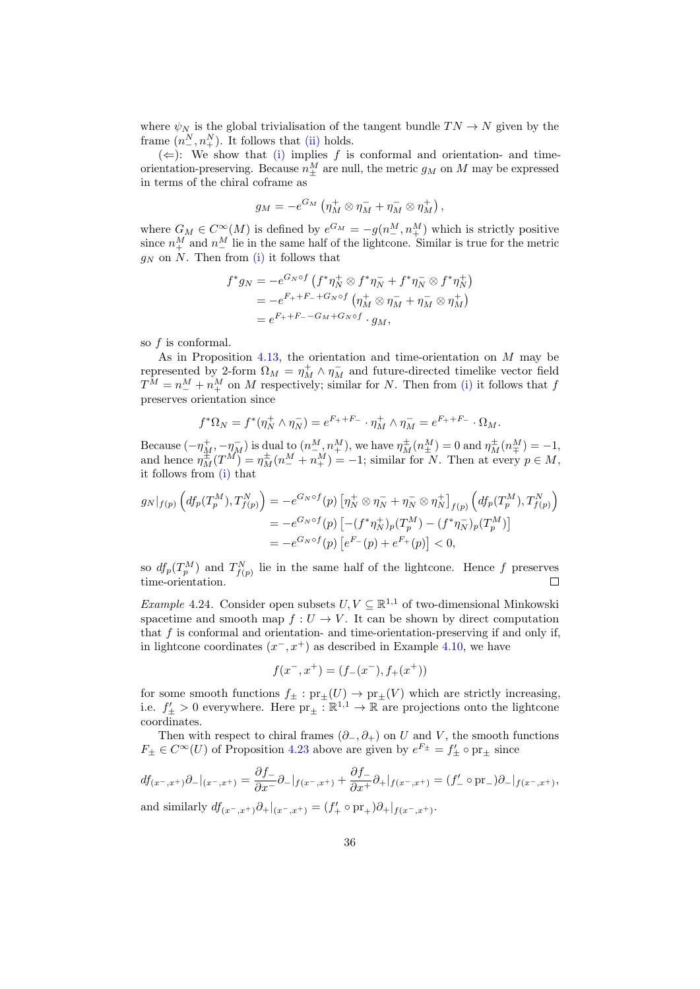where  $\psi_N$  is the global trivialisation of the tangent bundle  $TN \rightarrow N$  given by the frame  $(n_{-}^N, n_{+}^N)$ . It follows that [\(ii\)](#page-34-3) holds.

 $(\Leftarrow):$  We show that [\(i\)](#page-34-2) implies f is conformal and orientation- and timeorientation-preserving. Because  $n_{\pm}^M$  are null, the metric  $g_M$  on M may be expressed in terms of the chiral coframe as

$$
g_M = -e^{G_M} \left( \eta_M^+ \otimes \eta_M^- + \eta_M^- \otimes \eta_M^+ \right),
$$

where  $G_M \in C^{\infty}(M)$  is defined by  $e^{G_M} = -g(n^M_-, n^M_+)$  which is strictly positive since  $n_{+}^{M}$  and  $n_{-}^{M}$  lie in the same half of the lightcone. Similar is true for the metric  $g_N$  on N. Then from [\(i\)](#page-34-2) it follows that

$$
f^*g_N = -e^{G_N \circ f} \left( f^* \eta_N^+ \otimes f^* \eta_N^- + f^* \eta_N^- \otimes f^* \eta_N^+ \right)
$$
  
= 
$$
-e^{F_+ + F_- + G_N \circ f} \left( \eta_M^+ \otimes \eta_M^- + \eta_M^- \otimes \eta_M^+ \right)
$$
  
= 
$$
e^{F_+ + F_- - G_M + G_N \circ f} \cdot g_M,
$$

so f is conformal.

As in Proposition [4.13,](#page-30-0) the orientation and time-orientation on  $M$  may be represented by 2-form  $\Omega_M = \eta_M^+ \wedge \eta_M^-$  and future-directed timelike vector field  $T^M = n^M_+ + n^M_+$  on M respectively; similar for N. Then from [\(i\)](#page-34-2) it follows that f preserves orientation since

$$
f^*\Omega_N = f^*(\eta^+_N \wedge \eta^-_N) = e^{F_+ + F_-} \cdot \eta^+_M \wedge \eta^-_M = e^{F_+ + F_-} \cdot \Omega_M.
$$

Because  $(-\eta_M^+,-\eta_M^-)$  is dual to  $(n^M_-,n^M_+)$ , we have  $\eta_M^{\pm}(n^M_{\pm})=0$  and  $\eta_M^{\pm}(n^M_{\mp})=-1$ , and hence  $\eta_M^{\pm}(T^M) = \eta_M^{\pm}(n^M - n^M) = -1$ ; similar for N. Then at every  $p \in M$ , it follows from [\(i\)](#page-34-2) that

$$
g_N|_{f(p)} \left( df_p(T_p^M), T_{f(p)}^N \right) = -e^{G_N \circ f}(p) \left[ \eta_N^+ \otimes \eta_N^- + \eta_N^- \otimes \eta_N^+ \right]_{f(p)} \left( df_p(T_p^M), T_{f(p)}^N \right)
$$
  
=  $-e^{G_N \circ f}(p) \left[ -(f^* \eta_N^+) _p (T_p^M) - (f^* \eta_N^-) _p (T_p^M) \right]$   
=  $-e^{G_N \circ f}(p) \left[ e^F - (p) + e^F + (p) \right] < 0,$ 

so  $df_p(T_p^M)$  and  $T_{f(p)}^N$  lie in the same half of the lightcone. Hence f preserves time-orientation.

*Example* 4.24. Consider open subsets  $U, V \subseteq \mathbb{R}^{1,1}$  of two-dimensional Minkowski spacetime and smooth map  $f: U \to V$ . It can be shown by direct computation that  $f$  is conformal and orientation- and time-orientation-preserving if and only if, in lightcone coordinates  $(x^-, x^+)$  as described in Example [4.10,](#page-29-1) we have

$$
f(x^-, x^+) = (f_-(x^-), f_+(x^+))
$$

for some smooth functions  $f_{\pm} : pr_{\pm}(U) \to pr_{\pm}(V)$  which are strictly increasing, i.e.  $f'_{\pm} > 0$  everywhere. Here  $pr_{\pm} : \mathbb{R}^{1,1} \to \mathbb{R}$  are projections onto the lightcone coordinates.

Then with respect to chiral frames  $(\partial_-, \partial_+)$  on U and V, the smooth functions  $F_{\pm} \in C^{\infty}(U)$  of Proposition [4.23](#page-34-4) above are given by  $e^{F_{\pm}} = f'_{\pm} \circ pr_{\pm}$  since

$$
df_{(x^-,x^+)}\partial_{-}|_{(x^-,x^+)} = \frac{\partial f_{-}}{\partial x} \partial_{-}|_{f(x^-,x^+)} + \frac{\partial f_{-}}{\partial x} \partial_{+}|_{f(x^-,x^+)} = (f'_{-} \circ \text{pr}_{-})\partial_{-}|_{f(x^-,x^+)},
$$
  
and similarly 
$$
df_{(x^-,x^+)}\partial_{+}|_{(x^-,x^+)} = (f'_{+} \circ \text{pr}_{+})\partial_{+}|_{f(x^-,x^+)}.
$$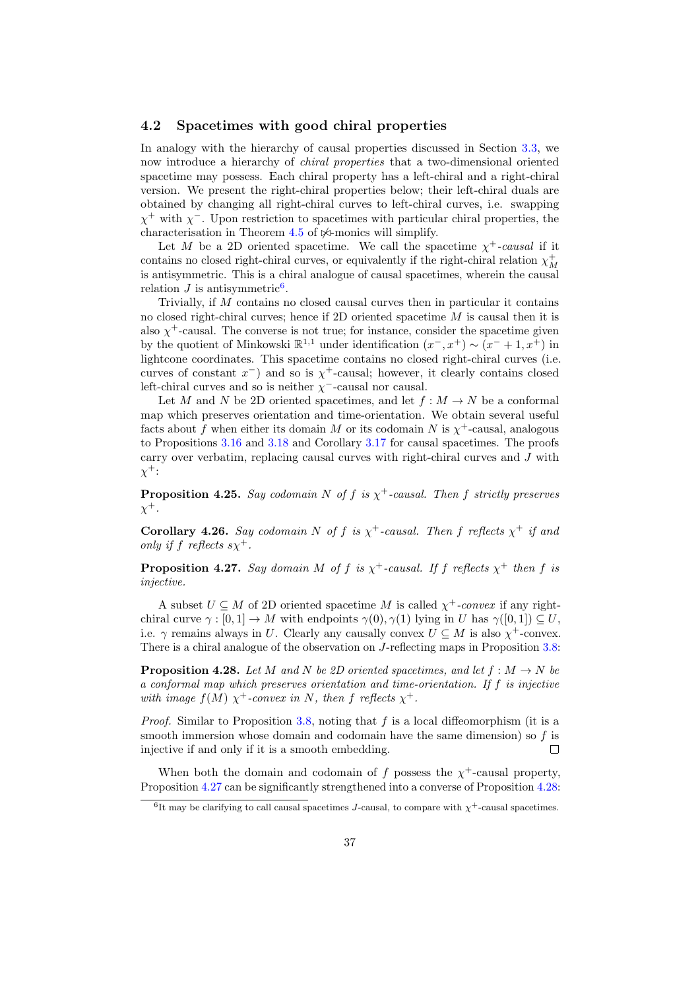## <span id="page-36-0"></span>4.2 Spacetimes with good chiral properties

In analogy with the hierarchy of causal properties discussed in Section [3.3,](#page-19-0) we now introduce a hierarchy of chiral properties that a two-dimensional oriented spacetime may possess. Each chiral property has a left-chiral and a right-chiral version. We present the right-chiral properties below; their left-chiral duals are obtained by changing all right-chiral curves to left-chiral curves, i.e. swapping  $\chi^+$  with  $\chi^-$ . Upon restriction to spacetimes with particular chiral properties, the characterisation in Theorem [4.5](#page-27-1) of  $\Join$ -monics will simplify.

Let M be a 2D oriented spacetime. We call the spacetime  $\chi^+$ -causal if it contains no closed right-chiral curves, or equivalently if the right-chiral relation  $\chi^+_M$ is antisymmetric. This is a chiral analogue of causal spacetimes, wherein the causal relation  $J$  is antisymmetric<sup>[6](#page-36-1)</sup>.

Trivially, if M contains no closed causal curves then in particular it contains no closed right-chiral curves; hence if 2D oriented spacetime M is causal then it is also  $\chi^+$ -causal. The converse is not true; for instance, consider the spacetime given by the quotient of Minkowski  $\mathbb{R}^{1,1}$  under identification  $(x^-, x^+) \sim (x^- + 1, x^+)$  in lightcone coordinates. This spacetime contains no closed right-chiral curves (i.e. curves of constant  $x^-$ ) and so is  $\chi^+$ -causal; however, it clearly contains closed left-chiral curves and so is neither  $\chi$ <sup>-</sup>-causal nor causal.

Let  $M$  and  $N$  be 2D oriented spacetimes, and let  $f : M \to N$  be a conformal map which preserves orientation and time-orientation. We obtain several useful facts about f when either its domain M or its codomain N is  $\chi^+$ -causal, analogous to Propositions [3.16](#page-19-3) and [3.18](#page-20-0) and Corollary [3.17](#page-19-2) for causal spacetimes. The proofs carry over verbatim, replacing causal curves with right-chiral curves and J with  $\chi^{\pm}$ :

**Proposition 4.25.** Say codomain N of f is  $\chi^+$ -causal. Then f strictly preserves  $\chi^+$ .

<span id="page-36-4"></span>**Corollary 4.26.** Say codomain N of f is  $\chi^+$ -causal. Then f reflects  $\chi^+$  if and only if f reflects  $s\chi^+$ .

<span id="page-36-2"></span>**Proposition 4.27.** Say domain M of f is  $\chi^+$ -causal. If f reflects  $\chi^+$  then f is injective.

A subset  $U \subseteq M$  of 2D oriented spacetime M is called  $\chi^+$ -convex if any rightchiral curve  $\gamma : [0, 1] \to M$  with endpoints  $\gamma(0), \gamma(1)$  lying in U has  $\gamma([0, 1]) \subseteq U$ . i.e.  $\gamma$  remains always in U. Clearly any causally convex  $U \subseteq M$  is also  $\chi^+$ -convex. There is a chiral analogue of the observation on J-reflecting maps in Proposition [3.8:](#page-15-0)

<span id="page-36-3"></span>**Proposition 4.28.** Let M and N be 2D oriented spacetimes, and let  $f : M \to N$  be a conformal map which preserves orientation and time-orientation. If f is injective with image  $f(M) \chi^+$ -convex in N, then f reflects  $\chi^+$ .

*Proof.* Similar to Proposition [3.8,](#page-15-0) noting that f is a local diffeomorphism (it is a smooth immersion whose domain and codomain have the same dimension) so  $f$  is injective if and only if it is a smooth embedding.  $\Box$ 

When both the domain and codomain of f possess the  $\chi^+$ -causal property, Proposition [4.27](#page-36-2) can be significantly strengthened into a converse of Proposition [4.28:](#page-36-3)

<span id="page-36-5"></span><span id="page-36-1"></span><sup>&</sup>lt;sup>6</sup>It may be clarifying to call causal spacetimes J-causal, to compare with  $\chi^+$ -causal spacetimes.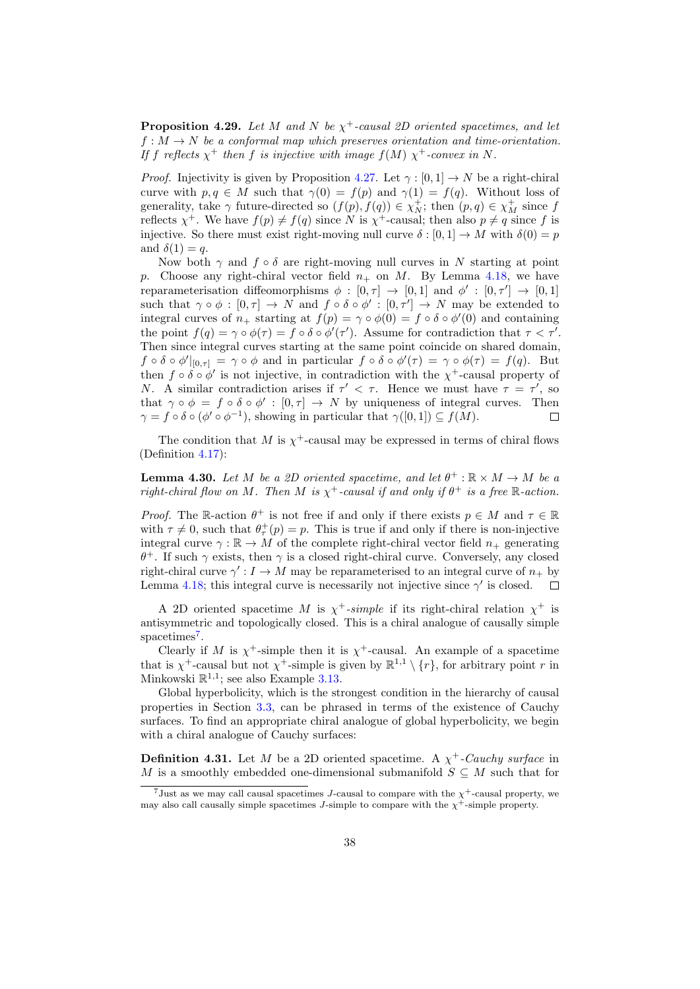**Proposition 4.29.** Let M and N be  $\chi^+$ -causal 2D oriented spacetimes, and let  $f: M \to N$  be a conformal map which preserves orientation and time-orientation. If f reflects  $\chi^+$  then f is injective with image  $f(M)$   $\chi^+$ -convex in N.

*Proof.* Injectivity is given by Proposition [4.27.](#page-36-2) Let  $\gamma : [0, 1] \to N$  be a right-chiral curve with  $p, q \in M$  such that  $\gamma(0) = f(p)$  and  $\gamma(1) = f(q)$ . Without loss of generality, take  $\gamma$  future-directed so  $(f(p), f(q)) \in \chi_N^+$ ; then  $(p, q) \in \chi_M^+$  since  $f$ reflects  $\chi^+$ . We have  $f(p) \neq f(q)$  since N is  $\chi^+$ -causal; then also  $p \neq q$  since f is injective. So there must exist right-moving null curve  $\delta : [0,1] \to M$  with  $\delta(0) = p$ and  $\delta(1) = q$ .

Now both  $\gamma$  and  $f \circ \delta$  are right-moving null curves in N starting at point p. Choose any right-chiral vector field  $n_+$  on M. By Lemma [4.18,](#page-31-1) we have reparameterisation diffeomorphisms  $\phi : [0, \tau] \to [0, 1]$  and  $\phi' : [0, \tau'] \to [0, 1]$ such that  $\gamma \circ \phi : [0, \tau] \to N$  and  $f \circ \delta \circ \phi' : [0, \tau'] \to N$  may be extended to integral curves of  $n_+$  starting at  $f(p) = \gamma \circ \phi(0) = f \circ \delta \circ \phi'(0)$  and containing the point  $f(q) = \gamma \circ \phi(\tau) = f \circ \delta \circ \phi'(\tau')$ . Assume for contradiction that  $\tau < \tau'$ . Then since integral curves starting at the same point coincide on shared domain,  $f \circ \delta \circ \phi' |_{[0,\tau]} = \gamma \circ \phi$  and in particular  $f \circ \delta \circ \phi'(\tau) = \gamma \circ \phi(\tau) = f(q)$ . But then  $f \circ \delta \circ \phi'$  is not injective, in contradiction with the  $\chi^+$ -causal property of N. A similar contradiction arises if  $\tau' < \tau$ . Hence we must have  $\tau = \tau'$ , so that  $\gamma \circ \phi = f \circ \delta \circ \phi' : [0, \tau] \to N$  by uniqueness of integral curves. Then  $\gamma = f \circ \delta \circ (\phi' \circ \phi^{-1}),$  showing in particular that  $\gamma([0,1]) \subseteq f(M)$ .  $\Box$ 

The condition that M is  $\chi^+$ -causal may be expressed in terms of chiral flows (Definition [4.17\)](#page-31-2):

<span id="page-37-1"></span>**Lemma 4.30.** Let M be a 2D oriented spacetime, and let  $\theta^+ : \mathbb{R} \times M \to M$  be a right-chiral flow on M. Then M is  $\chi^+$ -causal if and only if  $\theta^+$  is a free R-action.

*Proof.* The R-action  $\theta^+$  is not free if and only if there exists  $p \in M$  and  $\tau \in \mathbb{R}$ with  $\tau \neq 0$ , such that  $\theta_{\tau}^{+}(p) = p$ . This is true if and only if there is non-injective integral curve  $\gamma : \mathbb{R} \to M$  of the complete right-chiral vector field  $n_+$  generating  $\theta^+$ . If such  $\gamma$  exists, then  $\gamma$  is a closed right-chiral curve. Conversely, any closed right-chiral curve  $\gamma': I \to M$  may be reparameterised to an integral curve of  $n_+$  by Lemma [4.18;](#page-31-1) this integral curve is necessarily not injective since  $\gamma'$  is closed.  $\Box$ 

A 2D oriented spacetime M is  $\chi^+$ -simple if its right-chiral relation  $\chi^+$  is antisymmetric and topologically closed. This is a chiral analogue of causally simple spacetimes<sup>[7](#page-37-0)</sup>.

Clearly if M is  $\chi^+$ -simple then it is  $\chi^+$ -causal. An example of a spacetime that is  $\chi^+$ -causal but not  $\chi^+$ -simple is given by  $\mathbb{R}^{1,1} \setminus \{r\}$ , for arbitrary point r in Minkowski  $\mathbb{R}^{1,1}$ ; see also Example [3.13.](#page-18-2)

Global hyperbolicity, which is the strongest condition in the hierarchy of causal properties in Section [3.3,](#page-19-0) can be phrased in terms of the existence of Cauchy surfaces. To find an appropriate chiral analogue of global hyperbolicity, we begin with a chiral analogue of Cauchy surfaces:

<span id="page-37-2"></span>**Definition 4.31.** Let M be a 2D oriented spacetime. A  $\chi^+$ -Cauchy surface in M is a smoothly embedded one-dimensional submanifold  $S \subseteq M$  such that for

<span id="page-37-0"></span><sup>&</sup>lt;sup>7</sup>Just as we may call causal spacetimes J-causal to compare with the  $\chi^+$ -causal property, we may also call causally simple spacetimes J-simple to compare with the  $\chi^+$ -simple property.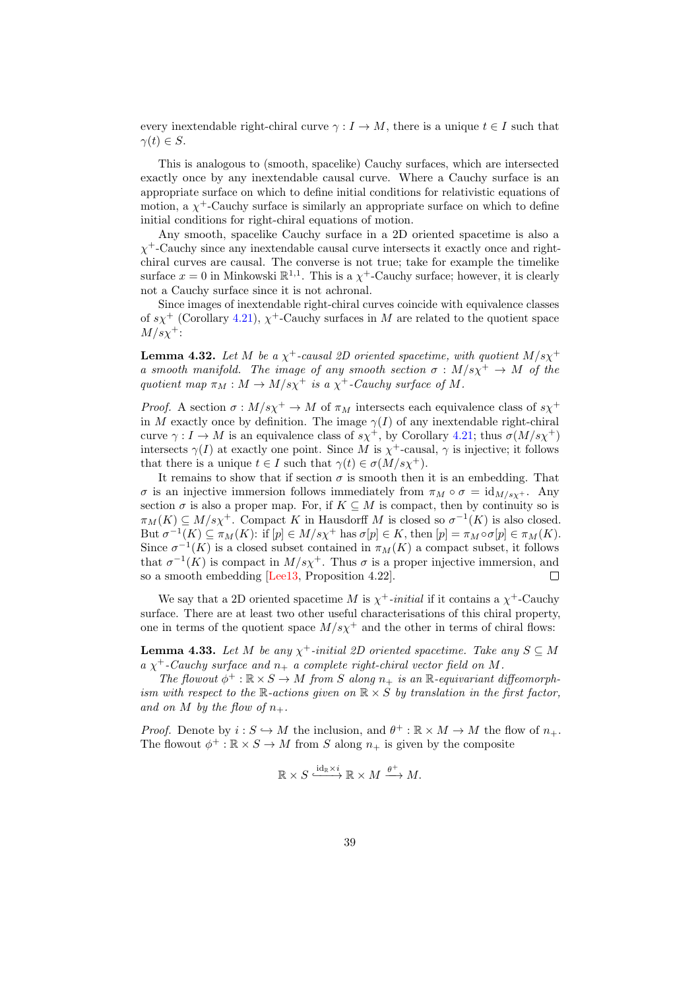every inextendable right-chiral curve  $\gamma : I \to M$ , there is a unique  $t \in I$  such that  $\gamma(t) \in S$ .

This is analogous to (smooth, spacelike) Cauchy surfaces, which are intersected exactly once by any inextendable causal curve. Where a Cauchy surface is an appropriate surface on which to define initial conditions for relativistic equations of motion, a  $\chi^+$ -Cauchy surface is similarly an appropriate surface on which to define initial conditions for right-chiral equations of motion.

Any smooth, spacelike Cauchy surface in a 2D oriented spacetime is also a  $\chi^+$ -Cauchy since any inextendable causal curve intersects it exactly once and rightchiral curves are causal. The converse is not true; take for example the timelike surface  $x = 0$  in Minkowski  $\mathbb{R}^{1,1}$ . This is a  $\chi^+$ -Cauchy surface; however, it is clearly not a Cauchy surface since it is not achronal.

Since images of inextendable right-chiral curves coincide with equivalence classes of  $s\chi^+$  (Corollary [4.21\)](#page-33-0),  $\chi^+$ -Cauchy surfaces in M are related to the quotient space  $M/s\chi^+$ :

<span id="page-38-0"></span>**Lemma 4.32.** Let M be a  $\chi^+$ -causal 2D oriented spacetime, with quotient  $M/s\chi^+$ a smooth manifold. The image of any smooth section  $\sigma : M/s\chi^{+} \to M$  of the quotient map  $\pi_M : M \to M/s\chi^+$  is a  $\chi^+$ -Cauchy surface of M.

*Proof.* A section  $\sigma : M/s\chi^{+} \to M$  of  $\pi_M$  intersects each equivalence class of  $s\chi^{+}$ in M exactly once by definition. The image  $\gamma(I)$  of any inextendable right-chiral curve  $\gamma : I \to M$  is an equivalence class of  $s\chi^+$ , by Corollary [4.21;](#page-33-0) thus  $\sigma(M/s\chi^+)$ intersects  $\gamma(I)$  at exactly one point. Since M is  $\chi^+$ -causal,  $\gamma$  is injective; it follows that there is a unique  $t \in I$  such that  $\gamma(t) \in \sigma(M/s\chi^{+}).$ 

It remains to show that if section  $\sigma$  is smooth then it is an embedding. That σ is an injective immersion follows immediately from  $\pi_M \circ \sigma = id_{M/s_X +}$ . Any section  $\sigma$  is also a proper map. For, if  $K \subseteq M$  is compact, then by continuity so is  $\pi_M(K) \subseteq M/s\chi^+$ . Compact K in Hausdorff M is closed so  $\sigma^{-1}(K)$  is also closed. But  $\sigma^{-1}(K) \subseteq \pi_M(K)$ : if  $[p] \in M/s\chi^+$  has  $\sigma[p] \in K$ , then  $[p] = \pi_M \circ \sigma[p] \in \pi_M(K)$ . Since  $\sigma^{-1}(K)$  is a closed subset contained in  $\pi_M(K)$  a compact subset, it follows that  $\sigma^{-1}(K)$  is compact in  $M/s\chi^{+}$ . Thus  $\sigma$  is a proper injective immersion, and so a smooth embedding [\[Lee13,](#page-51-5) Proposition 4.22].  $\Box$ 

We say that a 2D oriented spacetime M is  $\chi^+$ -initial if it contains a  $\chi^+$ -Cauchy surface. There are at least two other useful characterisations of this chiral property, one in terms of the quotient space  $M/s\chi^{+}$  and the other in terms of chiral flows:

**Lemma 4.33.** Let M be any  $\chi^+$ -initial 2D oriented spacetime. Take any  $S \subseteq M$  $a \chi^+$ -Cauchy surface and  $n_+$  a complete right-chiral vector field on M.

The flowout  $\phi^+ : \mathbb{R} \times S \to M$  from S along  $n_+$  is an  $\mathbb{R}$ -equivariant diffeomorphism with respect to the R-actions given on  $\mathbb{R} \times S$  by translation in the first factor, and on M by the flow of  $n_+$ .

*Proof.* Denote by  $i : S \hookrightarrow M$  the inclusion, and  $\theta^+ : \mathbb{R} \times M \to M$  the flow of  $n_+$ . The flowout  $\phi^+ : \mathbb{R} \times S \to M$  from S along  $n_+$  is given by the composite

$$
\mathbb{R} \times S \xrightarrow{\mathrm{id}_{\mathbb{R}} \times i} \mathbb{R} \times M \xrightarrow{\theta^+} M.
$$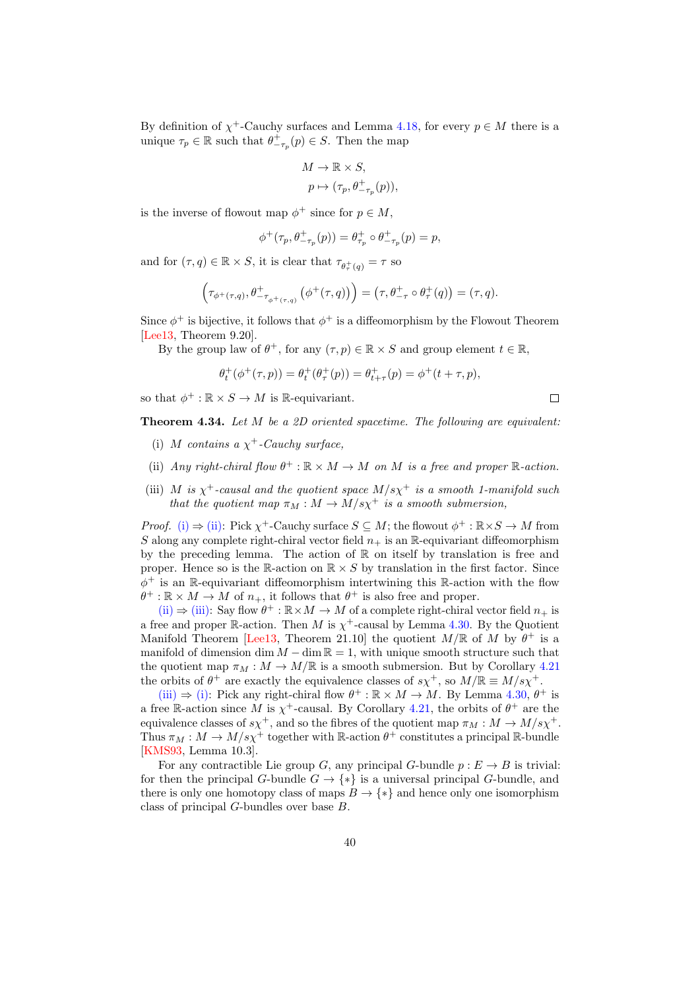By definition of  $\chi^+$ -Cauchy surfaces and Lemma [4.18,](#page-31-1) for every  $p \in M$  there is a unique  $\tau_p \in \mathbb{R}$  such that  $\theta_{-\tau_p}^+(p) \in S$ . Then the map

$$
\begin{aligned} M &\rightarrow \mathbb{R} \times S, \\ p &\mapsto (\tau_p, \theta_{-\tau_p}^+(p)), \end{aligned}
$$

is the inverse of flowout map  $\phi^+$  since for  $p \in M$ ,

$$
\phi^+(\tau_p,\theta^+_{-\tau_p}(p))=\theta^+_{\tau_p}\circ\theta^+_{-\tau_p}(p)=p,
$$

and for  $(\tau, q) \in \mathbb{R} \times S$ , it is clear that  $\tau_{\theta^+_{\tau}(q)} = \tau$  so

$$
\left(\tau_{\phi^+(\tau,q)},\theta^+_{-\tau_{\phi^+(\tau,q)}}\left(\phi^+(\tau,q)\right)\right)=\left(\tau,\theta^+_{-\tau}\circ\theta^+_{\tau}(q)\right)=(\tau,q).
$$

Since  $\phi^+$  is bijective, it follows that  $\phi^+$  is a diffeomorphism by the Flowout Theorem [\[Lee13,](#page-51-5) Theorem 9.20].

By the group law of  $\theta^+$ , for any  $(\tau, p) \in \mathbb{R} \times S$  and group element  $t \in \mathbb{R}$ ,

$$
\theta_t^+ (\phi^+(\tau,p)) = \theta_t^+ (\theta_\tau^+(p)) = \theta_{t+\tau}^+(p) = \phi^+(t+\tau,p),
$$

so that  $\phi^+ : \mathbb{R} \times S \to M$  is  $\mathbb{R}$ -equivariant.

<span id="page-39-3"></span>**Theorem 4.34.** Let  $M$  be a 2D oriented spacetime. The following are equivalent:

 $\Box$ 

- <span id="page-39-0"></span>(i) M contains a  $\chi^+$ -Cauchy surface,
- <span id="page-39-1"></span>(ii) Any right-chiral flow  $\theta^+ : \mathbb{R} \times M \to M$  on M is a free and proper  $\mathbb{R}$ -action.
- <span id="page-39-2"></span>(iii) M is  $\chi^+$ -causal and the quotient space  $M/s\chi^+$  is a smooth 1-manifold such that the quotient map  $\pi_M : M \to M/s\chi^+$  is a smooth submersion,

*Proof.* [\(i\)](#page-39-0)  $\Rightarrow$  [\(ii\):](#page-39-1) Pick  $\chi^+$ -Cauchy surface  $S \subseteq M$ ; the flowout  $\phi^+ : \mathbb{R} \times S \to M$  from S along any complete right-chiral vector field  $n_+$  is an R-equivariant diffeomorphism by the preceding lemma. The action of  $\mathbb R$  on itself by translation is free and proper. Hence so is the R-action on  $\mathbb{R} \times S$  by translation in the first factor. Since  $\phi^+$  is an R-equivariant diffeomorphism intertwining this R-action with the flow  $\theta^+ : \mathbb{R} \times M \to M$  of  $n_+$ , it follows that  $\theta^+$  is also free and proper.

[\(ii\)](#page-39-1)  $\Rightarrow$  [\(iii\):](#page-39-2) Say flow  $\theta^+ : \mathbb{R} \times M \to M$  of a complete right-chiral vector field  $n_+$  is a free and proper R-action. Then M is  $\chi^+$ -causal by Lemma [4.30.](#page-37-1) By the Quotient Manifold Theorem [\[Lee13,](#page-51-5) Theorem 21.10] the quotient  $M/\mathbb{R}$  of M by  $\theta^+$  is a manifold of dimension dim  $M - \dim \mathbb{R} = 1$ , with unique smooth structure such that the quotient map  $\pi_M : M \to M/\mathbb{R}$  is a smooth submersion. But by Corollary [4.21](#page-33-0) the orbits of  $\theta^+$  are exactly the equivalence classes of  $s\chi^+$ , so  $M/\mathbb{R} \equiv M/s\chi^+$ .

[\(iii\)](#page-39-2)  $\Rightarrow$  [\(i\):](#page-39-0) Pick any right-chiral flow  $\theta^+$ :  $\mathbb{R} \times M \rightarrow M$ . By Lemma [4.30,](#page-37-1)  $\theta^+$  is a free R-action since M is  $\chi^+$ -causal. By Corollary [4.21,](#page-33-0) the orbits of  $\theta^+$  are the equivalence classes of  $s\chi^+$ , and so the fibres of the quotient map  $\pi_M : M \to M/s\chi^+$ . Thus  $\pi_M : M \to M/s\chi^+$  together with R-action  $\theta^+$  constitutes a principal R-bundle [\[KMS93,](#page-51-10) Lemma 10.3].

For any contractible Lie group G, any principal G-bundle  $p : E \to B$  is trivial: for then the principal G-bundle  $G \to \{*\}$  is a universal principal G-bundle, and there is only one homotopy class of maps  $B \to {\ast}$  and hence only one isomorphism class of principal G-bundles over base B.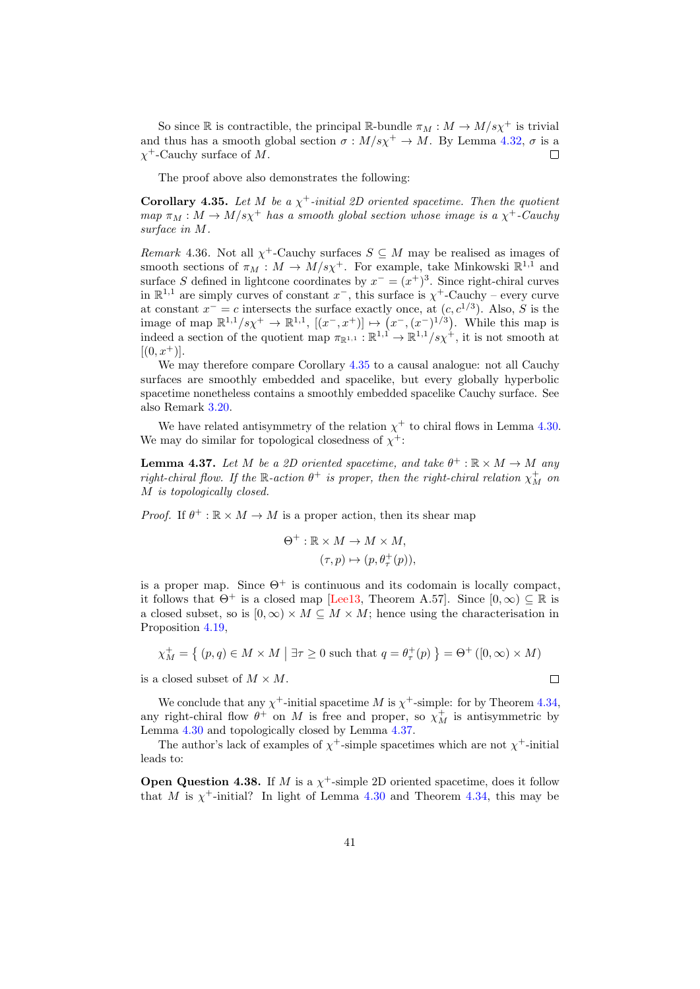So since R is contractible, the principal R-bundle  $\pi_M : M \to M/s\chi^+$  is trivial and thus has a smooth global section  $\sigma : M/s\chi^{+} \to M$ . By Lemma [4.32,](#page-38-0)  $\sigma$  is a  $\chi^+$ -Cauchy surface of M.  $\Box$ 

The proof above also demonstrates the following:

<span id="page-40-0"></span>**Corollary 4.35.** Let M be a  $\chi^+$ -initial 2D oriented spacetime. Then the quotient  $map \pi_M : M \to M/s\chi^+$  has a smooth global section whose image is a  $\chi^+$ -Cauchy surface in M.

*Remark* 4.36. Not all  $\chi^+$ -Cauchy surfaces  $S \subseteq M$  may be realised as images of smooth sections of  $\pi_M : M \to M/s\chi^+$ . For example, take Minkowski  $\mathbb{R}^{1,1}$  and surface S defined in lightcone coordinates by  $x^{-} = (x^{+})^3$ . Since right-chiral curves in  $\mathbb{R}^{1,1}$  are simply curves of constant  $x^-$ , this surface is  $\chi^+$ -Cauchy – every curve at constant  $x^- = c$  intersects the surface exactly once, at  $(c, c^{1/3})$ . Also, S is the image of map  $\mathbb{R}^{1,1}/s\chi^{+} \to \mathbb{R}^{1,1}$ ,  $[(x^{-},x^{+})] \mapsto (x^{-},(x^{-})^{1/3})$ . While this map is indeed a section of the quotient map  $\pi_{\mathbb{R}^{1,1}} : \mathbb{R}^{1,1} \to \mathbb{R}^{1,1}/s\chi^+,$  it is not smooth at  $[(0, x^+)]$ .

We may therefore compare Corollary [4.35](#page-40-0) to a causal analogue: not all Cauchy surfaces are smoothly embedded and spacelike, but every globally hyperbolic spacetime nonetheless contains a smoothly embedded spacelike Cauchy surface. See also Remark [3.20.](#page-20-1)

We have related antisymmetry of the relation  $\chi^+$  to chiral flows in Lemma [4.30.](#page-37-1) We may do similar for topological closedness of  $\chi^+$ :

<span id="page-40-1"></span>**Lemma 4.37.** Let M be a 2D oriented spacetime, and take  $\theta^+ : \mathbb{R} \times M \to M$  any right-chiral flow. If the R-action  $\theta^+$  is proper, then the right-chiral relation  $\chi_M^+$  on M is topologically closed.

*Proof.* If  $\theta^+ : \mathbb{R} \times M \to M$  is a proper action, then its shear map

$$
\Theta^+ : \mathbb{R} \times M \to M \times M,
$$

$$
(\tau, p) \mapsto (p, \theta^+_{\tau}(p)),
$$

is a proper map. Since  $\Theta^+$  is continuous and its codomain is locally compact, it follows that  $\Theta^+$  is a closed map [\[Lee13,](#page-51-5) Theorem A.57]. Since  $[0,\infty) \subseteq \mathbb{R}$  is a closed subset, so is  $[0, \infty) \times M \subseteq M \times M$ ; hence using the characterisation in Proposition [4.19,](#page-33-1)

$$
\chi_M^+ = \{ (p, q) \in M \times M \mid \exists \tau \ge 0 \text{ such that } q = \theta_\tau^+(p) \} = \Theta^+([0, \infty) \times M)
$$

 $\Box$ 

is a closed subset of  $M \times M$ .

We conclude that any  $\chi^+$ -initial spacetime M is  $\chi^+$ -simple: for by Theorem [4.34,](#page-39-3) any right-chiral flow  $\theta^+$  on M is free and proper, so  $\chi_M^+$  is antisymmetric by Lemma [4.30](#page-37-1) and topologically closed by Lemma [4.37.](#page-40-1)

The author's lack of examples of  $\chi^+$ -simple spacetimes which are not  $\chi^+$ -initial leads to:

<span id="page-40-2"></span>**Open Question 4.38.** If M is a  $\chi^+$ -simple 2D oriented spacetime, does it follow that M is  $\chi^+$ -initial? In light of Lemma [4.30](#page-37-1) and Theorem [4.34,](#page-39-3) this may be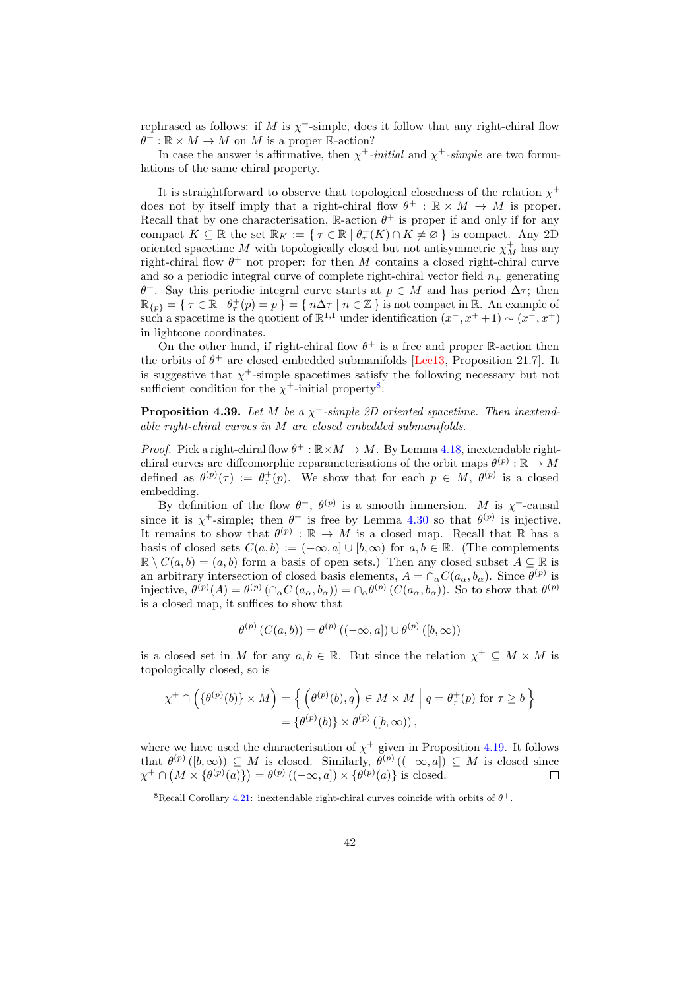rephrased as follows: if M is  $\chi^+$ -simple, does it follow that any right-chiral flow  $\theta^+ : \mathbb{R} \times M \to M$  on M is a proper  $\mathbb{R}$ -action?

In case the answer is affirmative, then  $\chi^+$ -initial and  $\chi^+$ -simple are two formulations of the same chiral property.

It is straightforward to observe that topological closedness of the relation  $\chi^+$ does not by itself imply that a right-chiral flow  $\theta^+$ :  $\mathbb{R} \times M \to M$  is proper. Recall that by one characterisation,  $\mathbb{R}$ -action  $\theta^+$  is proper if and only if for any compact  $K \subseteq \mathbb{R}$  the set  $\mathbb{R}_K := \{ \tau \in \mathbb{R} \mid \theta_\tau^+(K) \cap K \neq \emptyset \}$  is compact. Any 2D oriented spacetime  $M$  with topologically closed but not antisymmetric  $\chi_M^+$  has any right-chiral flow  $\theta^+$  not proper: for then M contains a closed right-chiral curve and so a periodic integral curve of complete right-chiral vector field  $n_{+}$  generating θ<sup>+</sup>. Say this periodic integral curve starts at  $p ∈ M$  and has period  $Δτ$ ; then  $\mathbb{R}_{\{p\}} = \{ \tau \in \mathbb{R} \mid \theta_{\tau}^{+}(p) = p \} = \{ n\Delta\tau \mid n \in \mathbb{Z} \}$  is not compact in  $\mathbb{R}$ . An example of such a spacetime is the quotient of  $\mathbb{R}^{1,1}$  under identification  $(x^-, x^+ + 1) \sim (x^-, x^+)$ in lightcone coordinates.

On the other hand, if right-chiral flow  $\theta^+$  is a free and proper R-action then the orbits of  $\theta^+$  are closed embedded submanifolds [\[Lee13,](#page-51-5) Proposition 21.7]. It is suggestive that  $\chi^+$ -simple spacetimes satisfy the following necessary but not sufficient condition for the  $\chi^+$ -initial property<sup>[8](#page-41-0)</sup>:

**Proposition 4.39.** Let M be a  $\chi^+$ -simple 2D oriented spacetime. Then inextendable right-chiral curves in M are closed embedded submanifolds.

*Proof.* Pick a right-chiral flow  $\theta^+ : \mathbb{R} \times M \to M$ . By Lemma [4.18,](#page-31-1) inextendable rightchiral curves are diffeomorphic reparameterisations of the orbit maps  $\theta^{(p)} : \mathbb{R} \to M$ defined as  $\theta^{(p)}(\tau) := \theta_{\tau}^{+}(p)$ . We show that for each  $p \in M$ ,  $\theta^{(p)}$  is a closed embedding.

By definition of the flow  $\theta^+$ ,  $\theta^{(p)}$  is a smooth immersion. M is  $\chi^+$ -causal since it is  $\chi^+$ -simple; then  $\theta^+$  is free by Lemma [4.30](#page-37-1) so that  $\theta^{(p)}$  is injective. It remains to show that  $\theta^{(p)} : \mathbb{R} \to M$  is a closed map. Recall that  $\mathbb R$  has a basis of closed sets  $C(a, b) := (-\infty, a] \cup [b, \infty)$  for  $a, b \in \mathbb{R}$ . (The complements  $\mathbb{R} \setminus C(a, b) = (a, b)$  form a basis of open sets.) Then any closed subset  $A \subseteq \mathbb{R}$  is an arbitrary intersection of closed basis elements,  $A = \bigcap_{\alpha} C(a_{\alpha}, b_{\alpha})$ . Since  $\theta^{(p)}$  is injective,  $\theta^{(p)}(A) = \theta^{(p)}(\cap_{\alpha} C(a_{\alpha}, b_{\alpha})) = \cap_{\alpha} \theta^{(p)}(C(a_{\alpha}, b_{\alpha}))$ . So to show that  $\theta^{(p)}$ is a closed map, it suffices to show that

$$
\theta^{(p)}\left(C(a,b)\right) = \theta^{(p)}\left((-\infty,a]\right) \cup \theta^{(p)}\left([b,\infty)\right)
$$

is a closed set in M for any  $a, b \in \mathbb{R}$ . But since the relation  $\chi^+ \subseteq M \times M$  is topologically closed, so is

$$
\chi^{+} \cap \left( \{ \theta^{(p)}(b) \} \times M \right) = \left\{ \left( \theta^{(p)}(b), q \right) \in M \times M \middle| q = \theta_{\tau}^{+}(p) \text{ for } \tau \ge b \right\}
$$

$$
= \{ \theta^{(p)}(b) \} \times \theta^{(p)}([b, \infty)),
$$

where we have used the characterisation of  $\chi^+$  given in Proposition [4.19.](#page-33-1) It follows that  $\theta^{(p)}([b,\infty)) \subseteq M$  is closed. Similarly,  $\theta^{(p)}((-\infty,a]) \subseteq M$  is closed since  $\chi^+ \cap (M \times {\theta^{(p)}(a)}$  =  $\theta^{(p)}((-\infty, a]) \times {\theta^{(p)}(a)}$  is closed.  $\Box$ 

<span id="page-41-0"></span><sup>&</sup>lt;sup>8</sup>Recall Corollary [4.21:](#page-33-0) inextendable right-chiral curves coincide with orbits of  $\theta^+$ .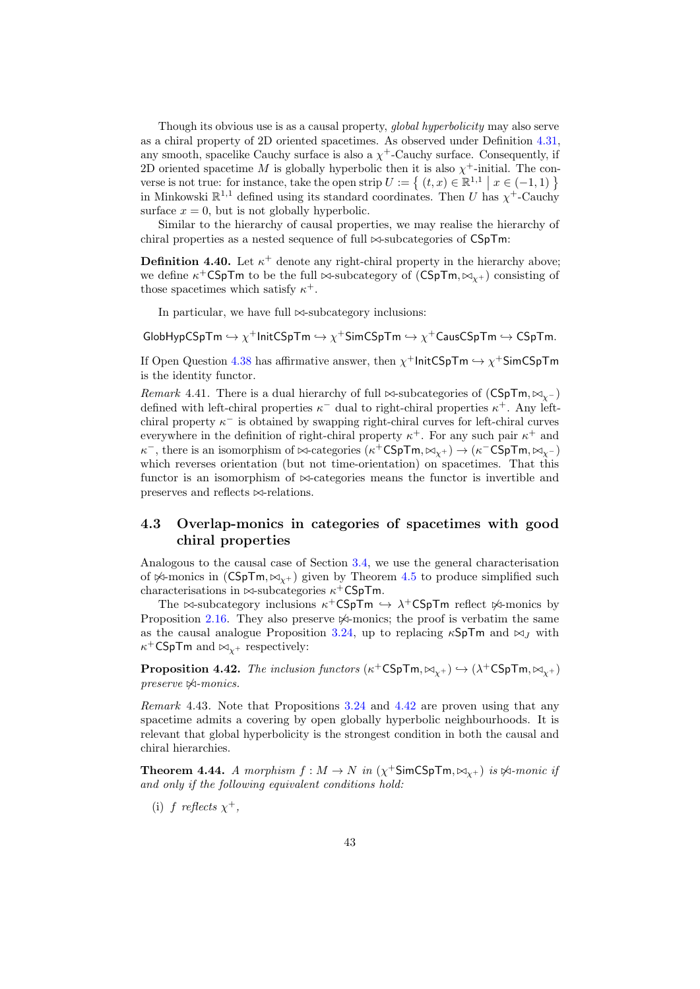Though its obvious use is as a causal property, global hyperbolicity may also serve as a chiral property of 2D oriented spacetimes. As observed under Definition [4.31,](#page-37-2) any smooth, spacelike Cauchy surface is also a  $\chi^+$ -Cauchy surface. Consequently, if 2D oriented spacetime M is globally hyperbolic then it is also  $\chi^+$ -initial. The converse is not true: for instance, take the open strip  $U := \{ (t, x) \in \mathbb{R}^{1,1} \mid x \in (-1,1) \}$ in Minkowski  $\mathbb{R}^{1,1}$  defined using its standard coordinates. Then U has  $\chi^+$ -Cauchy surface  $x = 0$ , but is not globally hyperbolic.

Similar to the hierarchy of causal properties, we may realise the hierarchy of chiral properties as a nested sequence of full  $\bowtie$ -subcategories of CSpTm:

**Definition 4.40.** Let  $\kappa^+$  denote any right-chiral property in the hierarchy above; we define  $\kappa^+$ CSpTm to be the full  $\bowtie$ -subcategory of  $(CSpTm, \bowtie_{\chi^+})$  consisting of those spacetimes which satisfy  $\kappa^+$ .

In particular, we have full  $\bowtie$ -subcategory inclusions:

 $\mathsf{GlobHypCSpTm} \hookrightarrow \chi^+$ InitCSpTm  $\hookrightarrow \chi^+$ SimCSpTm  $\hookrightarrow \chi^+$ CausCSpTm  $\hookrightarrow$  CSpTm.

If Open Question [4.38](#page-40-2) has affirmative answer, then  $\chi^+$ InitCSpTm  $\hookrightarrow \chi^+$ SimCSpTm is the identity functor.

<span id="page-42-3"></span>Remark 4.41. There is a dual hierarchy of full  $\bowtie$ -subcategories of (CSpTm,  $\bowtie_{\sim}$ ) defined with left-chiral properties  $\kappa^-$  dual to right-chiral properties  $\kappa^+$ . Any leftchiral property  $\kappa^-$  is obtained by swapping right-chiral curves for left-chiral curves everywhere in the definition of right-chiral property  $\kappa^+$ . For any such pair  $\kappa^+$  and  $\kappa^-$ , there is an isomorphism of  $\bowtie$ -categories  $(\kappa^+ \mathsf{CSpTm}, \bowtie_{\chi^+}) \to (\kappa^- \mathsf{CSpTm}, \bowtie_{\chi^-})$ which reverses orientation (but not time-orientation) on spacetimes. That this functor is an isomorphism of  $\bowtie$ -categories means the functor is invertible and preserves and reflects  $\bowtie$ -relations.

### <span id="page-42-0"></span>4.3 Overlap-monics in categories of spacetimes with good chiral properties

Analogous to the causal case of Section [3.4,](#page-22-0) we use the general characterisation of  $\cancel{\times}$ -monics in (CSpTm,  $\bowtie_{\gamma+}$ ) given by Theorem [4.5](#page-27-1) to produce simplified such characterisations in  $\bowtie$ -subcategories  $\kappa^+$ CSpTm.

The  $\bowtie$ -subcategory inclusions  $\kappa^+$ CSpTm  $\hookrightarrow \lambda^+$ CSpTm reflect  $\Join$ -monics by Proposition [2.16.](#page-10-0) They also preserve  $\mathbb{A}$ -monics; the proof is verbatim the same as the causal analogue Proposition [3.24,](#page-22-1) up to replacing  $\kappa$ SpTm and  $\bowtie_J$  with  $\kappa^+$ CSpTm and  $\bowtie_{\chi^+}$  respectively:

<span id="page-42-1"></span>**Proposition 4.42.** The inclusion functors  $(\kappa^+ \mathsf{CSpTm}, \bowtie_{\chi^+}) \hookrightarrow (\lambda^+ \mathsf{CSpTm}, \bowtie_{\chi^+})$  $preserve \ntriangle\text{-}monics.$ 

Remark 4.43. Note that Propositions [3.24](#page-22-1) and [4.42](#page-42-1) are proven using that any spacetime admits a covering by open globally hyperbolic neighbourhoods. It is relevant that global hyperbolicity is the strongest condition in both the causal and chiral hierarchies.

**Theorem 4.44.** A morphism  $f : M \to N$  in  $(\chi^+$ SimCSpTm,  $\bowtie_{\chi^+})$  is  $\Join$ -monic if and only if the following equivalent conditions hold:

<span id="page-42-2"></span>(i) f reflects  $\chi^+$ ,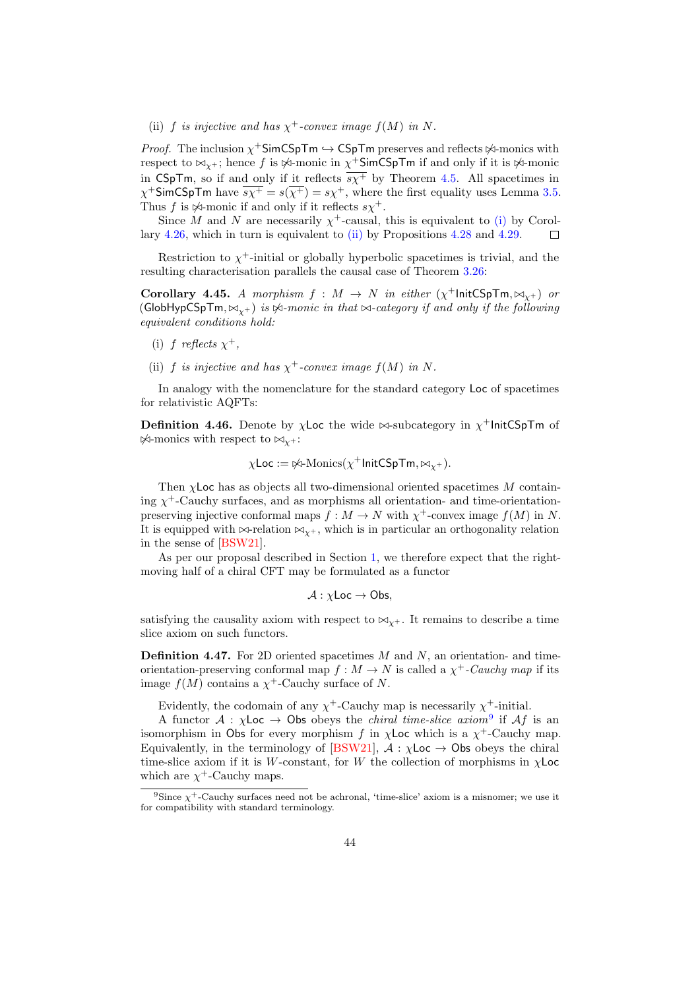<span id="page-43-0"></span>(ii) f is injective and has  $\chi^+$ -convex image  $f(M)$  in N.

*Proof.* The inclusion  $\chi^+$ SimCSpTm  $\hookrightarrow$  CSpTm preserves and reflects  $\not\!\!\prec$ -monics with respect to  $\bowtie_{\chi^+}$ ; hence  $f$  is  $\not\!\!\!\!\nleftrightarrow$ -monic in  $\chi^+$ SimCSpTm if and only if it is  $\not\!\!\!\nleftrightarrow$ -monic in CSpTm, so if and only if it reflects  $\overline{s}\chi^{+}$  by Theorem [4.5.](#page-27-1) All spacetimes in  $\chi^+$ SimCSpTm have  $\overline{s\chi^+} = s(\overline{\chi^+}) = s\chi^+$ , where the first equality uses Lemma [3.5.](#page-13-1) Thus f is  $\mathcal{A}$ -monic if and only if it reflects  $s\chi^+$ .

Since M and N are necessarily  $\chi^+$ -causal, this is equivalent to [\(i\)](#page-42-2) by Corollary [4.26,](#page-36-4) which in turn is equivalent to [\(ii\)](#page-43-0) by Propositions [4.28](#page-36-3) and [4.29.](#page-36-5) П

Restriction to  $\chi^+$ -initial or globally hyperbolic spacetimes is trivial, and the resulting characterisation parallels the causal case of Theorem [3.26:](#page-23-1)

<span id="page-43-2"></span>Corollary 4.45. A morphism  $f : M \to N$  in either  $(\chi^+$ InitCSpTm, $\bowtie_{\chi^+})$  or (GlobHypCSpTm,  $\bowtie_{\mathbf{v}}$ ) is  $\Join$ -monic in that  $\bowtie$ -category if and only if the following equivalent conditions hold:

- (i) f reflects  $\chi^+$ ,
- (ii) f is injective and has  $\chi^+$ -convex image  $f(M)$  in N.

In analogy with the nomenclature for the standard category Loc of spacetimes for relativistic AQFTs:

**Definition 4.46.** Denote by  $\chi$ Loc the wide  $\bowtie$ -subcategory in  $\chi^+$ InitCSpTm of  $\cancel{\mathsf{p}}$ -monics with respect to  $\bowtie_{\mathsf{Y}^+}$ :

$$
\chi\mathsf{Loc}:=\not\!\!\!\!\times\!\!\!\!\!\sim\!\!\!\!\text{\rm Monics}(\chi^+\mathsf{InitCSpTm},\bowtie_{\chi^+}).
$$

Then  $\chi$ Loc has as objects all two-dimensional oriented spacetimes M containing  $\chi^+$ -Cauchy surfaces, and as morphisms all orientation- and time-orientationpreserving injective conformal maps  $f : M \to N$  with  $\chi^+$ -convex image  $f(M)$  in N. It is equipped with  $\bowtie$ -relation  $\bowtie_{\mathcal{V}^+}$ , which is in particular an orthogonality relation in the sense of [\[BSW21\]](#page-50-0).

As per our proposal described in Section [1,](#page-1-0) we therefore expect that the rightmoving half of a chiral CFT may be formulated as a functor

$$
\mathcal{A} : \chi\mathsf{Loc}\to\mathsf{Obs},
$$

satisfying the causality axiom with respect to  $\bowtie_{x^+}$ . It remains to describe a time slice axiom on such functors.

**Definition 4.47.** For 2D oriented spacetimes  $M$  and  $N$ , an orientation- and timeorientation-preserving conformal map  $f : M \to N$  is called a  $\chi^+$ -Cauchy map if its image  $f(M)$  contains a  $\chi^+$ -Cauchy surface of N.

Evidently, the codomain of any  $\chi^+$ -Cauchy map is necessarily  $\chi^+$ -initial.

A functor  $A : \chi$ Loc  $\to$  Obs obeys the *chiral time-slice axiom*<sup>[9](#page-43-1)</sup> if  $Af$  is an isomorphism in Obs for every morphism f in  $\chi$ Loc which is a  $\chi^+$ -Cauchy map. Equivalently, in the terminology of [\[BSW21\]](#page-50-0),  $A : \chi$ Loc  $\rightarrow$  Obs obeys the chiral time-slice axiom if it is W-constant, for W the collection of morphisms in  $\chi$ Loc which are  $\chi^+$ -Cauchy maps.

<span id="page-43-1"></span><sup>&</sup>lt;sup>9</sup>Since  $\chi^+$ -Cauchy surfaces need not be achronal, 'time-slice' axiom is a misnomer; we use it for compatibility with standard terminology.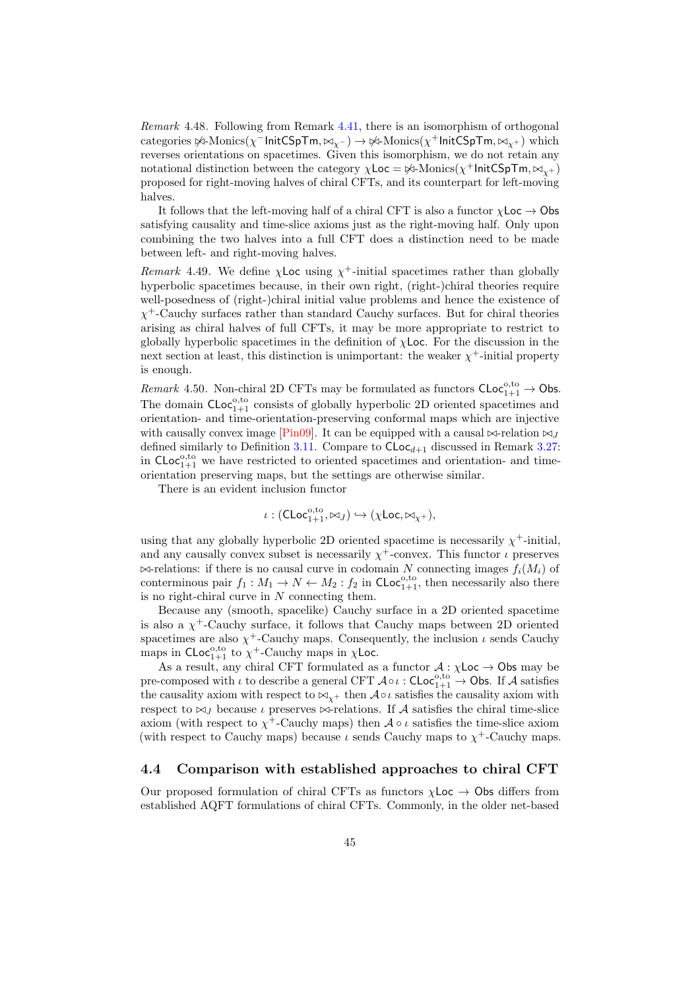Remark 4.48. Following from Remark [4.41,](#page-42-3) there is an isomorphism of orthogonal categories  $\forall$ i-Monics( $\chi$ <sup>-</sup>InitCSpTm,  $\bowtie_{\chi^-}$ )  $\rightarrow$   $\forall$ i-Monics( $\chi^+$ InitCSpTm,  $\bowtie_{\chi^+}$ ) which reverses orientations on spacetimes. Given this isomorphism, we do not retain any notational distinction between the category  $\chi$ Loc =  $\not\approx$ -Monics( $\chi^+$ InitCSpTm, $\bowtie_{\chi^+}$ ) proposed for right-moving halves of chiral CFTs, and its counterpart for left-moving halves.

It follows that the left-moving half of a chiral CFT is also a functor  $\chi$ Loc  $\rightarrow$  Obs satisfying causality and time-slice axioms just as the right-moving half. Only upon combining the two halves into a full CFT does a distinction need to be made between left- and right-moving halves.

Remark 4.49. We define  $\chi$ Loc using  $\chi^+$ -initial spacetimes rather than globally hyperbolic spacetimes because, in their own right, (right-)chiral theories require well-posedness of (right-)chiral initial value problems and hence the existence of  $\chi^+$ -Cauchy surfaces rather than standard Cauchy surfaces. But for chiral theories arising as chiral halves of full CFTs, it may be more appropriate to restrict to globally hyperbolic spacetimes in the definition of  $\chi$ **Loc.** For the discussion in the next section at least, this distinction is unimportant: the weaker  $\chi^+$ -initial property is enough.

Remark 4.50. Non-chiral 2D CFTs may be formulated as functors  $\mathsf{CLoc}_{1+1}^{0,\mathrm{to}} \to \mathsf{Obs}$ . The domain  $CLoc_{1+1}^{0,\text{to}}$  consists of globally hyperbolic 2D oriented spacetimes and orientation- and time-orientation-preserving conformal maps which are injective with causally convex image [\[Pin09\]](#page-51-1). It can be equipped with a causal  $\bowtie$ -relation  $\bowtie$ *j* defined similarly to Definition [3.11.](#page-17-3) Compare to  $\mathsf{CLoc}_{d+1}$  discussed in Remark [3.27:](#page-24-0) in  $CLoc_{1+1}^{0,\text{to}}$  we have restricted to oriented spacetimes and orientation- and timeorientation preserving maps, but the settings are otherwise similar.

There is an evident inclusion functor

 $\iota:({\sf CLoc}_{1+1}^{{\rm o}, {\rm to}}, \bowtie_J) \hookrightarrow (\chi {\sf Loc}, \bowtie_{\chi^+}),$ 

using that any globally hyperbolic 2D oriented spacetime is necessarily  $\chi^+$ -initial, and any causally convex subset is necessarily  $\chi^+$ -convex. This functor  $\iota$  preserves  $\bowtie$ -relations: if there is no causal curve in codomain N connecting images  $f_i(M_i)$  of conterminous pair  $f_1: M_1 \to N \leftarrow M_2: f_2$  in  $\mathsf{CLoc}_{1+1}^{\circ,\mathrm{to}}$ , then necessarily also there is no right-chiral curve in  $N$  connecting them.

Because any (smooth, spacelike) Cauchy surface in a 2D oriented spacetime is also a  $\chi^+$ -Cauchy surface, it follows that Cauchy maps between 2D oriented spacetimes are also  $\chi^+$ -Cauchy maps. Consequently, the inclusion  $\iota$  sends Cauchy maps in  $CLoc_{1+1}^{0,\text{to}}$  to  $\chi^+$ -Cauchy maps in  $\chi$ Loc.

As a result, any chiral CFT formulated as a functor  $\mathcal{A} : \chi$ Loc  $\rightarrow$  Obs may be pre-composed with  $\iota$  to describe a general CFT  $\mathcal{A} \circ \iota$ : CLoc<sub>1+1</sub>  $\rightarrow$  Obs. If A satisfies the causality axiom with respect to  $\bowtie_{\chi^+}$  then  $\mathcal{A} \circ \iota$  satisfies the causality axiom with respect to  $\bowtie$ <sub>J</sub> because *ι* preserves  $\bowtie$ -relations. If A satisfies the chiral time-slice axiom (with respect to  $\chi^+$ -Cauchy maps) then  $\mathcal{A} \circ \iota$  satisfies the time-slice axiom (with respect to Cauchy maps) because  $\iota$  sends Cauchy maps to  $\chi^+$ -Cauchy maps.

### <span id="page-44-0"></span>4.4 Comparison with established approaches to chiral CFT

Our proposed formulation of chiral CFTs as functors  $\chi$ Loc  $\rightarrow$  Obs differs from established AQFT formulations of chiral CFTs. Commonly, in the older net-based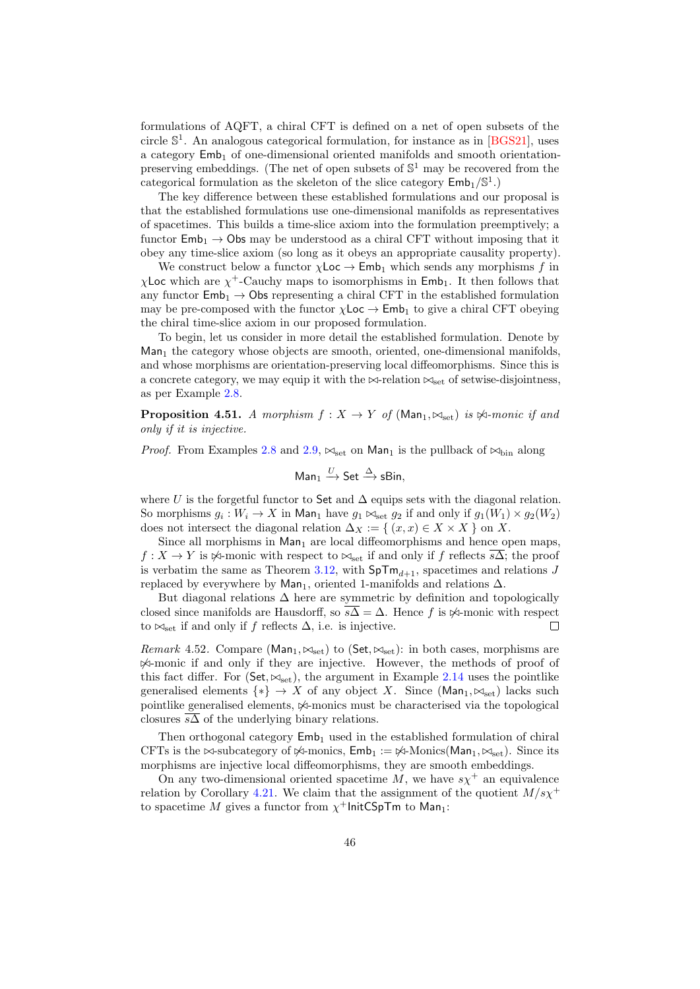formulations of AQFT, a chiral CFT is defined on a net of open subsets of the circle  $\mathbb{S}^1$ . An analogous categorical formulation, for instance as in [\[BGS21\]](#page-50-3), uses a category  $Emb_1$  of one-dimensional oriented manifolds and smooth orientationpreserving embeddings. (The net of open subsets of  $\mathbb{S}^1$  may be recovered from the categorical formulation as the skeleton of the slice category  $\textsf{Emb}_1/\mathbb{S}^1$ .)

The key difference between these established formulations and our proposal is that the established formulations use one-dimensional manifolds as representatives of spacetimes. This builds a time-slice axiom into the formulation preemptively; a functor  $Emb_1 \rightarrow Obs$  may be understood as a chiral CFT without imposing that it obey any time-slice axiom (so long as it obeys an appropriate causality property).

We construct below a functor  $\chi$ Loc  $\to$  Emb<sub>1</sub> which sends any morphisms f in  $\chi$ Loc which are  $\chi^+$ -Cauchy maps to isomorphisms in Emb<sub>1</sub>. It then follows that any functor  $\mathsf{Emb}_1 \to \mathsf{Obs}$  representing a chiral CFT in the established formulation may be pre-composed with the functor  $\chi$ Loc  $\rightarrow$  Emb<sub>1</sub> to give a chiral CFT obeying the chiral time-slice axiom in our proposed formulation.

To begin, let us consider in more detail the established formulation. Denote by  $Man<sub>1</sub>$  the category whose objects are smooth, oriented, one-dimensional manifolds, and whose morphisms are orientation-preserving local diffeomorphisms. Since this is a concrete category, we may equip it with the  $\bowtie$ -relation  $\bowtie_{\text{set}}$  of setwise-disjointness. as per Example [2.8.](#page-8-0)

<span id="page-45-0"></span>**Proposition 4.51.** A morphism  $f : X \to Y$  of  $(\text{Man}_1, \bowtie_{\text{set}})$  is  $\Join$ -monic if and only if it is injective.

*Proof.* From Examples [2.8](#page-8-0) and [2.9,](#page-8-2)  $\bowtie_{\text{set}}$  on Man<sub>1</sub> is the pullback of  $\bowtie_{\text{bin}}$  along

$$
\mathsf{Man}_1 \xrightarrow{U} \mathsf{Set} \xrightarrow{\Delta} \mathsf{sBin},
$$

where U is the forgetful functor to Set and  $\Delta$  equips sets with the diagonal relation. So morphisms  $g_i: W_i \to X$  in Man<sub>1</sub> have  $g_1 \bowtie_{\text{set}} g_2$  if and only if  $g_1(W_1) \times g_2(W_2)$ does not intersect the diagonal relation  $\Delta_X := \{ (x, x) \in X \times X \}$  on X.

Since all morphisms in  $Man_1$  are local diffeomorphisms and hence open maps,  $f: X \to Y$  is  $\not\approx$ -monic with respect to  $\bowtie_{\text{set}}$  if and only if f reflects  $\overline{s\Delta}$ ; the proof is verbatim the same as Theorem [3.12,](#page-17-2) with  $\text{SpTm}_{d+1}$ , spacetimes and relations J replaced by everywhere by Man<sub>1</sub>, oriented 1-manifolds and relations  $\Delta$ .

But diagonal relations  $\Delta$  here are symmetric by definition and topologically closed since manifolds are Hausdorff, so  $s\overline{\Delta} = \Delta$ . Hence f is  $\not\approx$ -monic with respect to  $\bowtie_{\text{set}}$  if and only if f reflects  $\Delta$ , i.e. is injective.  $\Box$ 

*Remark* 4.52. Compare (Man<sub>1</sub>,  $\bowtie_{\text{set}}$ ) to (Set,  $\bowtie_{\text{set}}$ ): in both cases, morphisms are 6./-monic if and only if they are injective. However, the methods of proof of this fact differ. For ( $Set, \bowtie_{set}$ ), the argument in Example [2.14](#page-10-1) uses the pointlike generalised elements  $\{*\} \rightarrow X$  of any object X. Since (Man<sub>1</sub>, $\bowtie_{\text{set}}$ ) lacks such pointlike generalised elements,  $\frac{1}{2}$ -monics must be characterised via the topological closures  $\overline{s\Delta}$  of the underlying binary relations.

Then orthogonal category  $\mathsf{Emb}_1$  used in the established formulation of chiral CFTs is the  $\bowtie$ -subcategory of  $\Join$ -monics,  $\mathsf{Emb}_1 := \Join$ -Monics(Man<sub>1</sub>,  $\bowtie_{\mathsf{set}}$ ). Since its morphisms are injective local diffeomorphisms, they are smooth embeddings.

On any two-dimensional oriented spacetime M, we have  $s\chi^+$  an equivalence relation by Corollary [4.21.](#page-33-0) We claim that the assignment of the quotient  $M/s\chi^+$ to spacetime  $M$  gives a functor from  $\chi^+$ InitCSpTm to Man<sub>1</sub>: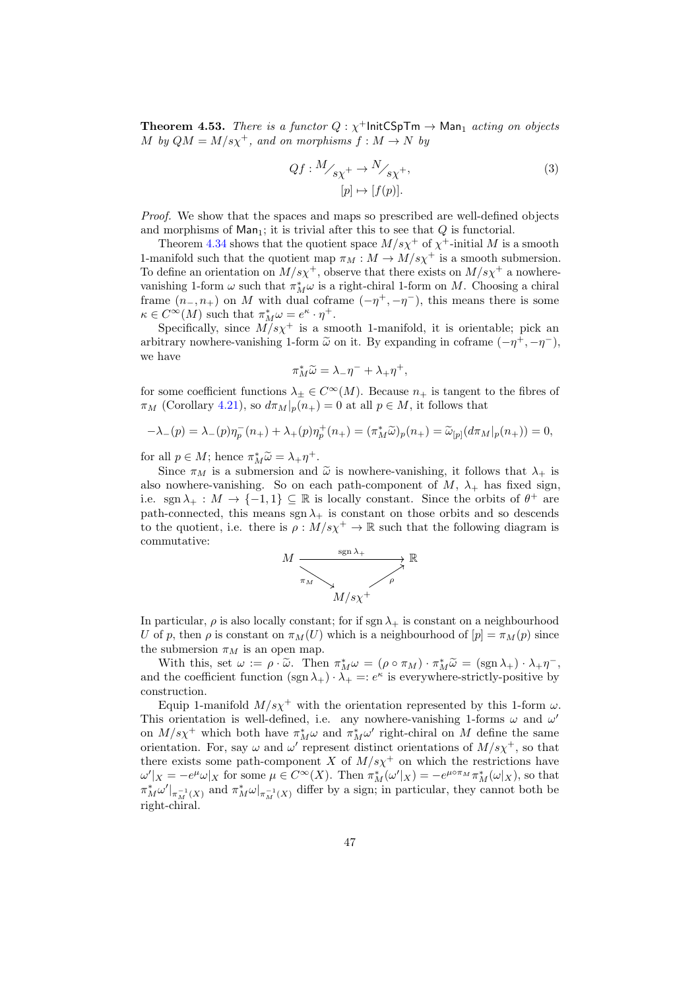**Theorem 4.53.** There is a functor  $Q : \chi^+$ InitCSpTm  $\rightarrow$  Man<sub>1</sub> acting on objects M by  $QM = M/s\chi^{+}$ , and on morphisms  $f : M \to N$  by

<span id="page-46-0"></span>
$$
Qf: M/_{s\chi^{+}} \to N/_{s\chi^{+}},
$$
  
[p]  $\mapsto [f(p)].$  (3)

Proof. We show that the spaces and maps so prescribed are well-defined objects and morphisms of  $Man_1$ ; it is trivial after this to see that  $Q$  is functorial.

Theorem [4.34](#page-39-3) shows that the quotient space  $M/s\chi^{+}$  of  $\chi^{+}$ -initial M is a smooth 1-manifold such that the quotient map  $\pi_M : M \to M/s\chi^+$  is a smooth submersion. To define an orientation on  $M/s\chi^+$ , observe that there exists on  $M/s\chi^+$  a nowherevanishing 1-form  $\omega$  such that  $\pi_M^*\omega$  is a right-chiral 1-form on M. Choosing a chiral frame  $(n_-, n_+)$  on M with dual coframe  $(-\eta^+, -\eta^-)$ , this means there is some  $\kappa \in C^{\infty}(M)$  such that  $\pi_M^*\omega = e^{\kappa} \cdot \eta^+$ .

Specifically, since  $\overrightarrow{M}/s\chi^{+}$  is a smooth 1-manifold, it is orientable; pick an arbitrary nowhere-vanishing 1-form  $\tilde{\omega}$  on it. By expanding in coframe  $(-\eta^+, -\eta^-)$ , we have

$$
\pi_M^* \widetilde{\omega} = \lambda_- \eta^- + \lambda_+ \eta^+,
$$

for some coefficient functions  $\lambda_{\pm} \in C^{\infty}(M)$ . Because  $n_{+}$  is tangent to the fibres of  $\pi_M$  (Corollary [4.21\)](#page-33-0), so  $d\pi_M|_p(n_+) = 0$  at all  $p \in M$ , it follows that

$$
-\lambda_{-}(p) = \lambda_{-}(p)\eta_{p}^{-}(n_{+}) + \lambda_{+}(p)\eta_{p}^{+}(n_{+}) = (\pi_{M}^{*}\tilde{\omega})_{p}(n_{+}) = \tilde{\omega}_{[p]}(d\pi_{M}|_{p}(n_{+})) = 0,
$$

for all  $p \in M$ ; hence  $\pi_M^* \tilde{\omega} = \lambda_+ \eta^+$ .<br>Since  $\pi_M$  is a submersion and

Since  $\pi_M$  is a submersion and  $\tilde{\omega}$  is nowhere-vanishing, it follows that  $\lambda_+$  is also nowhere-vanishing. So on each path-component of  $M$ ,  $\lambda_+$  has fixed sign, i.e. sgn  $\lambda_+ : M \to \{-1,1\} \subseteq \mathbb{R}$  is locally constant. Since the orbits of  $\theta^+$  are path-connected, this means sgn  $\lambda_+$  is constant on those orbits and so descends to the quotient, i.e. there is  $\rho: M/s\chi^{+} \to \mathbb{R}$  such that the following diagram is commutative:



In particular,  $\rho$  is also locally constant; for if sgn  $\lambda_+$  is constant on a neighbourhood U of p, then  $\rho$  is constant on  $\pi_M(U)$  which is a neighbourhood of  $[p] = \pi_M(p)$  since the submersion  $\pi_M$  is an open map.

With this, set  $\omega := \rho \cdot \tilde{\omega}$ . Then  $\pi_M^* \omega = (\rho \circ \pi_M) \cdot \pi_M^* \tilde{\omega} = (\text{sgn } \lambda_+) \cdot \lambda_+ \eta^-$ ,<br>the coefficient function (see ),  $\lambda_+ = \epsilon_K^{\kappa}$  is everywhere strictly positive by and the coefficient function  $(\text{sgn }\lambda_+) \cdot \lambda_+ =: e^{\kappa}$  is everywhere-strictly-positive by construction.

Equip 1-manifold  $M/s\chi^{+}$  with the orientation represented by this 1-form  $\omega$ . This orientation is well-defined, i.e. any nowhere-vanishing 1-forms  $\omega$  and  $\omega'$ on  $M/s\chi^+$  which both have  $\pi_M^*\omega$  and  $\pi_M^*\omega'$  right-chiral on M define the same orientation. For, say  $\omega$  and  $\omega'$  represent distinct orientations of  $M/s\chi^+$ , so that there exists some path-component X of  $M/s\chi^+$  on which the restrictions have  $\omega'|_X = -e^{\mu}\omega|_X$  for some  $\mu \in C^{\infty}(X)$ . Then  $\pi_M^*(\omega'|_X) = -e^{\mu \circ \pi_M} \pi_M^*(\omega|_X)$ , so that  $\pi_M^*\omega'|_{\pi_M^{-1}(X)}$  and  $\pi_M^*\omega|_{\pi_M^{-1}(X)}$  differ by a sign; in particular, they cannot both be right-chiral.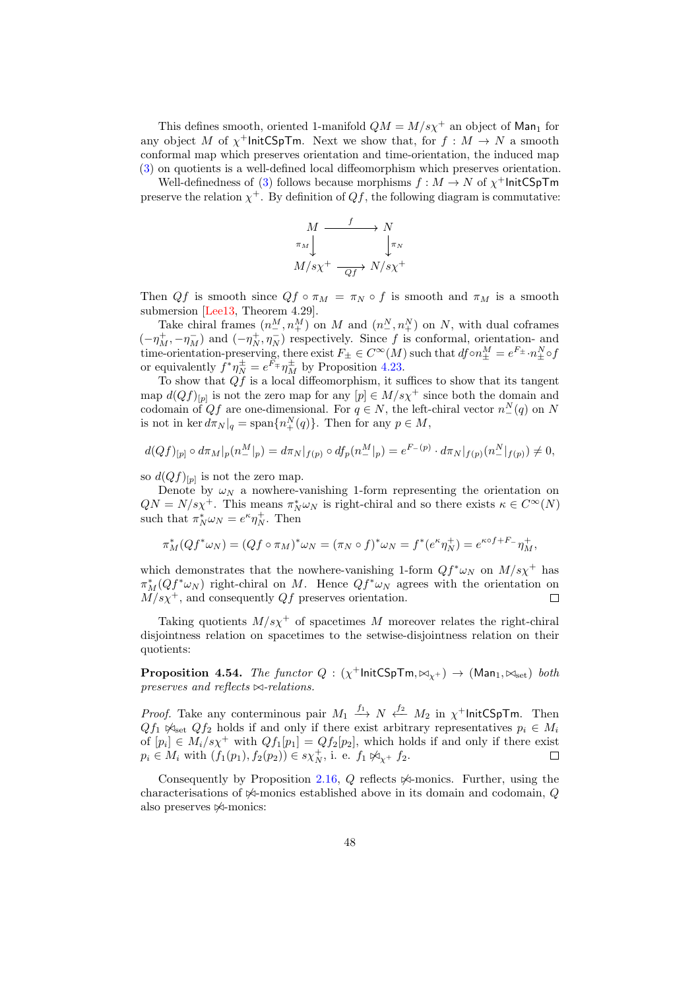This defines smooth, oriented 1-manifold  $QM = M/s\chi^{+}$  an object of Man<sub>1</sub> for any object M of  $\chi^+$ InitCSpTm. Next we show that, for  $f : M \to N$  a smooth conformal map which preserves orientation and time-orientation, the induced map [\(3\)](#page-46-0) on quotients is a well-defined local diffeomorphism which preserves orientation.

Well-definedness of [\(3\)](#page-46-0) follows because morphisms  $f : M \to N$  of  $\chi^+$ InitCSpTm preserve the relation  $\chi^+$ . By definition of  $Qf$ , the following diagram is commutative:

$$
M \xrightarrow{\pi_M} N
$$
  
\n
$$
\pi_M \downarrow \qquad \qquad \downarrow \pi_N
$$
  
\n
$$
M/s\chi^+ \xrightarrow{\phantom{aa}Qf} N/s\chi^+
$$

Then Qf is smooth since  $Qf \circ \pi_M = \pi_N \circ f$  is smooth and  $\pi_M$  is a smooth submersion [\[Lee13,](#page-51-5) Theorem 4.29].

Take chiral frames  $(n_{-}^M, n_{+}^M)$  on M and  $(n_{-}^N, n_{+}^N)$  on N, with dual coframes  $(-\eta_M^+,-\eta_M^-)$  and  $(-\eta_N^+,\eta_N^-)$  respectively. Since f is conformal, orientation- and time-orientation-preserving, there exist  $F_{\pm} \in C^{\infty}(M)$  such that  $df \circ n_{\pm}^M = e^{F_{\pm}} \cdot n_{\pm}^N \circ f$ or equivalently  $f^*\eta_N^{\pm} = e^{F_{\mp}}\eta_M^{\pm}$  by Proposition [4.23.](#page-34-4)

To show that  $\overrightarrow{Qf}$  is a local diffeomorphism, it suffices to show that its tangent map  $d(Qf)_{[p]}$  is not the zero map for any  $[p] \in M/s\chi^+$  since both the domain and codomain of  $Qf$  are one-dimensional. For  $q \in N$ , the left-chiral vector  $n_{-}^{N}(q)$  on N is not in ker  $d\pi_N|_q = \text{span}\{n_+^N(q)\}.$  Then for any  $p \in M$ ,

$$
d(Qf)_{[p]} \circ d\pi_M|_p(n^M_-|_p) = d\pi_N|_{f(p)} \circ df_p(n^M_-|_p) = e^{F_-(p)} \cdot d\pi_N|_{f(p)}(n^N_-|_{f(p)}) \neq 0,
$$

so  $d(Qf)_{[p]}$  is not the zero map.

Denote by  $\omega_N$  a nowhere-vanishing 1-form representing the orientation on  $QN = N/s\chi^{+}$ . This means  $\pi_N^*\omega_N$  is right-chiral and so there exists  $\kappa \in C^{\infty}(N)$ such that  $\pi_N^* \omega_N = e^{\kappa} \eta_N^+$ . Then

$$
\pi_M^*(Qf^*\omega_N) = (Qf \circ \pi_M)^*\omega_N = (\pi_N \circ f)^*\omega_N = f^*(e^{\kappa}\eta_N^+) = e^{\kappa \circ f + F_-}\eta_M^+,
$$

which demonstrates that the nowhere-vanishing 1-form  $Qf^*\omega_N$  on  $M/s\chi^+$  has  $\pi_M^*(Qf^*\omega_N)$  right-chiral on M. Hence  $Qf^*\omega_N$  agrees with the orientation on  $M/s\chi^{+}$ , and consequently Qf preserves orientation.

Taking quotients  $M/s\chi^+$  of spacetimes M moreover relates the right-chiral disjointness relation on spacetimes to the setwise-disjointness relation on their quotients:

<span id="page-47-0"></span>**Proposition 4.54.** The functor  $Q : (\chi^+$ InitCSpTm, $\bowtie_{\chi^+}) \to (\text{Man}_1, \bowtie_{\text{set}})$  both preserves and reflects  $\bowtie$ -relations.

*Proof.* Take any conterminous pair  $M_1 \xrightarrow{f_1} N \xleftarrow{f_2} M_2$  in  $\chi^+$ InitCSpTm. Then  $Qf_1 \not\sim_{\text{set}} Qf_2$  holds if and only if there exist arbitrary representatives  $p_i \in M_i$ of  $[p_i] \in M_i/s\chi^+$  with  $Qf_1[p_1] = Qf_2[p_2]$ , which holds if and only if there exist  $p_i \in M_i$  with  $(f_1(p_1), f_2(p_2)) \in s\chi_N^+$ , i. e.  $f_1 \not\bowtie_{\chi^+} f_2$ .  $\Box$ 

Consequently by Proposition [2.16,](#page-10-0)  $Q$  reflects  $\Join$ -monics. Further, using the characterisations of  $\mathbb{A}$ -monics established above in its domain and codomain, Q also preserves  $\not\!\!\prec$ -monics: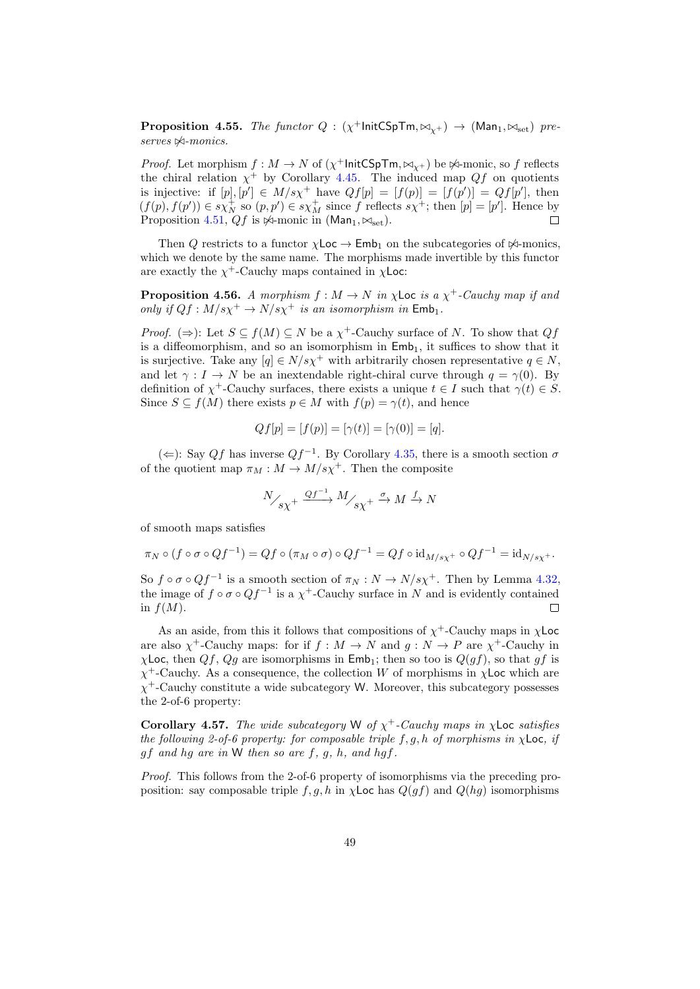**Proposition 4.55.** The functor  $Q : (\chi^+$ InitCSpTm,  $\bowtie_{\chi^+}) \rightarrow (\text{Man}_1, \bowtie_{\text{set}})$  pre $serves \nleftrightarrow -monics.$ 

*Proof.* Let morphism  $f : M \to N$  of  $(\chi^+$ InitCSpTm, $\bowtie_{\chi^+})$  be  $\Join$ -monic, so f reflects the chiral relation  $\chi^+$  by Corollary [4.45.](#page-43-2) The induced map  $Qf$  on quotients is injective: if  $[p], [p'] \in M/s\chi^+$  have  $Qf[p] = [f(p)] = [f(p')] = Qf[p']$ , then  $(f(p), f(p')) \in s\chi_N^+$  so  $(p, p') \in s\chi_M^+$  since f reflects  $s\chi^+$ ; then  $[p] = [p']$ . Hence by Proposition [4.51,](#page-45-0)  $Qf$  is  $\Join$ -monic in (Man<sub>1</sub>,  $\Join_{\rm set}$ ).  $\Box$ 

Then Q restricts to a functor  $\chi$ Loc  $\to$  Emb<sub>1</sub> on the subcategories of  $\not\sim$ -monics, which we denote by the same name. The morphisms made invertible by this functor are exactly the  $\chi^+$ -Cauchy maps contained in  $\chi$ Loc:

<span id="page-48-0"></span>**Proposition 4.56.** A morphism  $f : M \to N$  in  $\chi$ Loc is a  $\chi^+$ -Cauchy map if and only if  $Qf : M/s\chi^{+} \to N/s\chi^{+}$  is an isomorphism in  $\mathsf{Emb}_1$ .

*Proof.*  $(\Rightarrow)$ : Let  $S \subseteq f(M) \subseteq N$  be a  $\chi^+$ -Cauchy surface of N. To show that  $Qf$ is a diffeomorphism, and so an isomorphism in  $\mathsf{Emb}_1$ , it suffices to show that it is surjective. Take any  $[q] \in N/s\chi^+$  with arbitrarily chosen representative  $q \in N$ , and let  $\gamma : I \to N$  be an inextendable right-chiral curve through  $q = \gamma(0)$ . By definition of  $\chi^+$ -Cauchy surfaces, there exists a unique  $t \in I$  such that  $\gamma(t) \in S$ . Since  $S \subseteq f(M)$  there exists  $p \in M$  with  $f(p) = \gamma(t)$ , and hence

$$
Qf[p] = [f(p)] = [\gamma(t)] = [\gamma(0)] = [q].
$$

 $($  ∈): Say Qf has inverse Qf<sup>-1</sup>. By Corollary [4.35,](#page-40-0) there is a smooth section  $\sigma$ of the quotient map  $\pi_M : M \to M/s\chi^+$ . Then the composite

$$
\frac{N}{s\chi^{+}} \xrightarrow{Qf^{-1}} M_{\text{max}}^{+} \xrightarrow{\sigma} M \xrightarrow{f} N
$$

of smooth maps satisfies

$$
\pi_N \circ (f \circ \sigma \circ Qf^{-1}) = Qf \circ (\pi_M \circ \sigma) \circ Qf^{-1} = Qf \circ id_{M/s\chi^+} \circ Qf^{-1} = id_{N/s\chi^+}.
$$

So  $f \circ \sigma \circ Qf^{-1}$  is a smooth section of  $\pi_N : N \to N/s\chi^+$ . Then by Lemma [4.32,](#page-38-0) the image of  $f \circ \sigma \circ Qf^{-1}$  is a  $\chi^+$ -Cauchy surface in N and is evidently contained in  $f(M)$ .  $\Box$ 

As an aside, from this it follows that compositions of  $\chi^+$ -Cauchy maps in  $\chi$ Loc are also  $\chi^+$ -Cauchy maps: for if  $f : M \to N$  and  $g : N \to P$  are  $\chi^+$ -Cauchy in  $\chi$ Loc, then  $Qf$ ,  $Qg$  are isomorphisms in Emb<sub>1</sub>; then so too is  $Q(gf)$ , so that gf is  $\chi^+$ -Cauchy. As a consequence, the collection W of morphisms in  $\chi$ Loc which are  $\chi^+$ -Cauchy constitute a wide subcategory W. Moreover, this subcategory possesses the 2-of-6 property:

Corollary 4.57. The wide subcategory W of  $\chi^+$ -Cauchy maps in  $\chi$ Loc satisfies the following 2-of-6 property: for composable triple  $f, g, h$  of morphisms in  $\chi$ Loc, if  $gf$  and hg are in W then so are  $f, g, h, and hgf.$ 

Proof. This follows from the 2-of-6 property of isomorphisms via the preceding proposition: say composable triple f, g, h in  $\chi$ Loc has  $Q(gf)$  and  $Q(hg)$  isomorphisms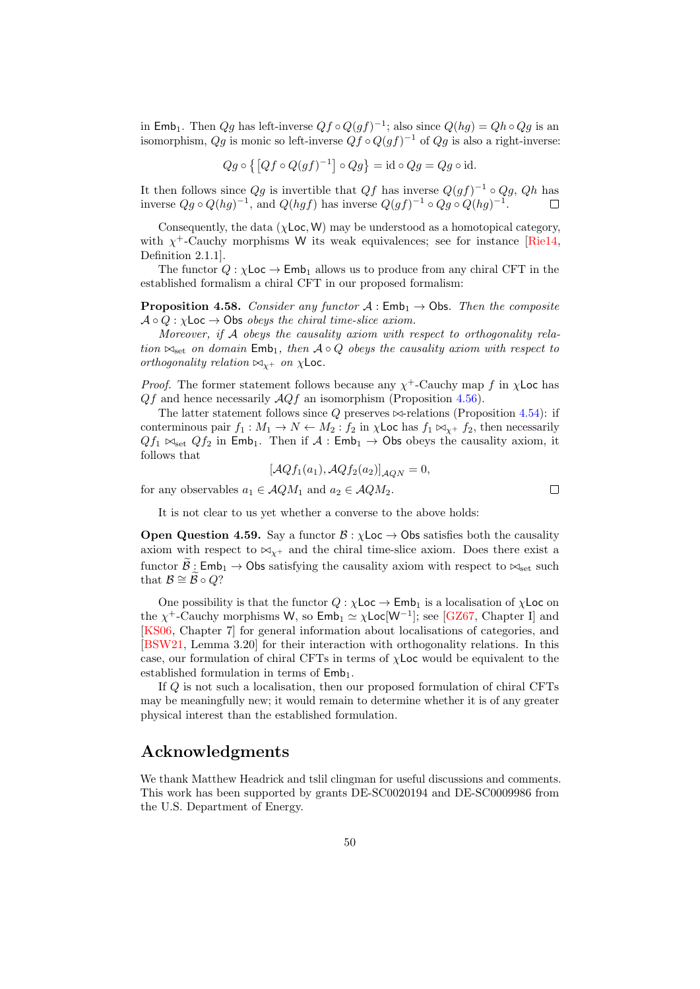in Emb<sub>1</sub>. Then  $Qg$  has left-inverse  $Qf \circ Q(gf)^{-1}$ ; also since  $Q(hg) = Qh \circ Qg$  is an isomorphism,  $Qg$  is monic so left-inverse  $Qf \circ Q(gf)^{-1}$  of  $Qg$  is also a right-inverse:

$$
Qg \circ \{ [Qf \circ Q(gf)^{-1}] \circ Qg \} = id \circ Qg = Qg \circ id.
$$

It then follows since  $Qg$  is invertible that  $Qf$  has inverse  $Q(gf)^{-1} \circ Qg$ ,  $Qh$  has inverse  $Qg \circ Q(hg)^{-1}$ , and  $Q(hgf)$  has inverse  $Q(gf)^{-1} \circ Qg \circ Q(hg)^{-1}$ .  $\Box$ 

Consequently, the data ( $\chi$ **Loc, W**) may be understood as a homotopical category. with  $\chi^+$ -Cauchy morphisms W its weak equivalences; see for instance [\[Rie14,](#page-51-11) Definition 2.1.1].

The functor  $Q : \chi$ Loc  $\rightarrow$  Emb<sub>1</sub> allows us to produce from any chiral CFT in the established formalism a chiral CFT in our proposed formalism:

**Proposition 4.58.** Consider any functor  $A : \mathsf{Emb}_1 \to \mathsf{Obs}$ . Then the composite  $A \circ Q : \chi$ Loc  $\rightarrow$  Obs *obeys the chiral time-slice axiom.* 

Moreover, if A obeys the causality axiom with respect to orthogonality relation  $\bowtie_{\text{set}}$  on domain  $\text{Emb}_1$ , then  $\mathcal{A} \circ Q$  obeys the causality axiom with respect to orthogonality relation  $\bowtie_{x^+}$  on  $\chi$ Loc.

*Proof.* The former statement follows because any  $\chi^+$ -Cauchy map f in  $\chi$ Loc has  $Qf$  and hence necessarily  $AQf$  an isomorphism (Proposition [4.56\)](#page-48-0).

The latter statement follows since  $Q$  preserves  $\bowtie$ -relations (Proposition [4.54\)](#page-47-0): if conterminous pair  $f_1 : M_1 \to N \leftarrow M_2 : f_2$  in  $\chi$ Loc has  $f_1 \bowtie_{\chi^+} f_2$ , then necessarily  $Qf_1 \bowtie_{set} Qf_2$  in Emb<sub>1</sub>. Then if  $A : \mathsf{Emb}_1 \to \mathsf{Obs}$  obeys the causality axiom, it follows that

$$
[\mathcal{A}Qf_1(a_1), \mathcal{A}Qf_2(a_2)]_{\mathcal{A}QN} = 0,
$$

for any observables  $a_1 \in \mathcal{A}QM_1$  and  $a_2 \in \mathcal{A}QM_2$ .

It is not clear to us yet whether a converse to the above holds:

**Open Question 4.59.** Say a functor  $\mathcal{B} : \chi$ Loc  $\rightarrow$  Obs satisfies both the causality axiom with respect to  $\bowtie_{Y^+}$  and the chiral time-slice axiom. Does there exist a functor  $\widetilde{\mathcal{B}}$ : Emb<sub>1</sub>  $\rightarrow$  Obs satisfying the causality axiom with respect to  $\bowtie_{\text{set}}$  such that  $\mathcal{B} \cong \mathcal{B} \circ Q?$ 

One possibility is that the functor  $Q : \chi$ Loc  $\rightarrow$  Emb<sub>1</sub> is a localisation of  $\chi$ Loc on the  $\chi^+$ -Cauchy morphisms W, so  $\textsf{Emb}_1 \simeq \chi \textsf{Loc}[W^{-1}]$ ; see [\[GZ67,](#page-51-12) Chapter I] and [\[KS06,](#page-51-13) Chapter 7] for general information about localisations of categories, and [\[BSW21,](#page-50-0) Lemma 3.20] for their interaction with orthogonality relations. In this case, our formulation of chiral CFTs in terms of  $\chi$ Loc would be equivalent to the established formulation in terms of  $Emb_1$ .

If Q is not such a localisation, then our proposed formulation of chiral CFTs may be meaningfully new; it would remain to determine whether it is of any greater physical interest than the established formulation.

## Acknowledgments

We thank Matthew Headrick and tslil clingman for useful discussions and comments. This work has been supported by grants DE-SC0020194 and DE-SC0009986 from the U.S. Department of Energy.

 $\Box$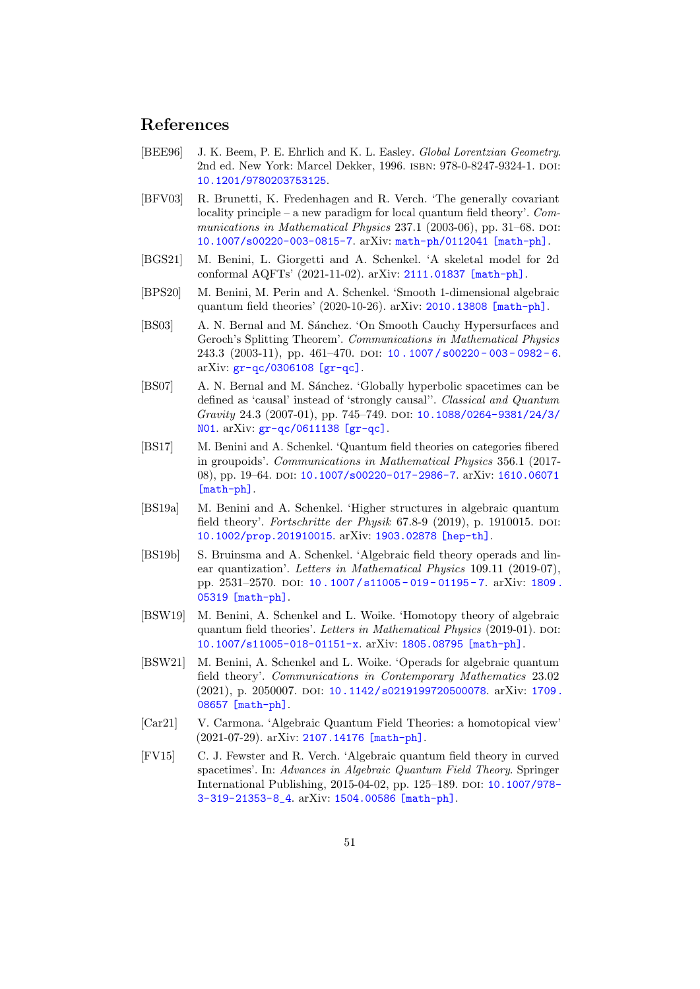## References

- <span id="page-50-10"></span>[BEE96] J. K. Beem, P. E. Ehrlich and K. L. Easley. Global Lorentzian Geometry. 2nd ed. New York: Marcel Dekker, 1996. isbn: 978-0-8247-9324-1. doi: [10.1201/9780203753125](https://doi.org/10.1201/9780203753125).
- <span id="page-50-1"></span>[BFV03] R. Brunetti, K. Fredenhagen and R. Verch. 'The generally covariant locality principle – a new paradigm for local quantum field theory'.  $Com$ munications in Mathematical Physics  $237.1$  (2003-06), pp. 31–68. DOI: [10.1007/s00220-003-0815-7](https://doi.org/10.1007/s00220-003-0815-7). arXiv: [math-ph/0112041 \[math-ph\]](https://arxiv.org/abs/math-ph/0112041).
- <span id="page-50-3"></span>[BGS21] M. Benini, L. Giorgetti and A. Schenkel. 'A skeletal model for 2d conformal AQFTs' (2021-11-02). arXiv: [2111.01837 \[math-ph\]](https://arxiv.org/abs/2111.01837).
- <span id="page-50-5"></span>[BPS20] M. Benini, M. Perin and A. Schenkel. 'Smooth 1-dimensional algebraic quantum field theories' (2020-10-26). arXiv: [2010.13808 \[math-ph\]](https://arxiv.org/abs/2010.13808).
- <span id="page-50-11"></span>[BS03] A. N. Bernal and M. Sánchez. 'On Smooth Cauchy Hypersurfaces and Geroch's Splitting Theorem'. Communications in Mathematical Physics 243.3 (2003-11), pp. 461-470. DOI:  $10.1007 / s00220 - 003 - 0982 - 6$ . arXiv: [gr-qc/0306108 \[gr-qc\]](https://arxiv.org/abs/gr-qc/0306108).
- <span id="page-50-12"></span>[BS07] A. N. Bernal and M. Sánchez. 'Globally hyperbolic spacetimes can be defined as 'causal' instead of 'strongly causal''. Classical and Quantum Gravity 24.3 (2007-01), pp. 745-749. DOI: [10.1088/0264-9381/24/3/](https://doi.org/10.1088/0264-9381/24/3/N01) [N01](https://doi.org/10.1088/0264-9381/24/3/N01). arXiv: [gr-qc/0611138 \[gr-qc\]](https://arxiv.org/abs/gr-qc/0611138).
- <span id="page-50-4"></span>[BS17] M. Benini and A. Schenkel. 'Quantum field theories on categories fibered in groupoids'. Communications in Mathematical Physics 356.1 (2017- 08), pp. 19–64. DOI: [10.1007/s00220-017-2986-7](https://doi.org/10.1007/s00220-017-2986-7). arXiv: [1610.06071](https://arxiv.org/abs/1610.06071) [\[math-ph\]](https://arxiv.org/abs/1610.06071).
- <span id="page-50-7"></span>[BS19a] M. Benini and A. Schenkel. 'Higher structures in algebraic quantum field theory'. Fortschritte der Physik 67.8-9 (2019), p. 1910015. DOI: [10.1002/prop.201910015](https://doi.org/10.1002/prop.201910015). arXiv: [1903.02878 \[hep-th\]](https://arxiv.org/abs/1903.02878).
- <span id="page-50-8"></span>[BS19b] S. Bruinsma and A. Schenkel. 'Algebraic field theory operads and linear quantization'. Letters in Mathematical Physics 109.11 (2019-07), pp. 2531-2570. DOI: 10.1007/s11005-019-01195-7. arXiv: 1809. [05319 \[math-ph\]](https://arxiv.org/abs/1809.05319).
- <span id="page-50-6"></span>[BSW19] M. Benini, A. Schenkel and L. Woike. 'Homotopy theory of algebraic quantum field theories'. Letters in Mathematical Physics  $(2019-01)$ . DOI: [10.1007/s11005-018-01151-x](https://doi.org/10.1007/s11005-018-01151-x). arXiv: [1805.08795 \[math-ph\]](https://arxiv.org/abs/1805.08795).
- <span id="page-50-0"></span>[BSW21] M. Benini, A. Schenkel and L. Woike. 'Operads for algebraic quantum field theory'. Communications in Contemporary Mathematics 23.02 (2021), p. 2050007. DOI: [10.1142/s0219199720500078](https://doi.org/10.1142/s0219199720500078). arXiv: [1709.](https://arxiv.org/abs/1709.08657) [08657 \[math-ph\]](https://arxiv.org/abs/1709.08657).
- <span id="page-50-9"></span>[Car21] V. Carmona. 'Algebraic Quantum Field Theories: a homotopical view' (2021-07-29). arXiv: [2107.14176 \[math-ph\]](https://arxiv.org/abs/2107.14176).
- <span id="page-50-2"></span>[FV15] C. J. Fewster and R. Verch. 'Algebraic quantum field theory in curved spacetimes'. In: Advances in Algebraic Quantum Field Theory. Springer International Publishing, 2015-04-02, pp. 125-189. DOI: [10.1007/978-](https://doi.org/10.1007/978-3-319-21353-8_4) [3-319-21353-8\\_4](https://doi.org/10.1007/978-3-319-21353-8_4). arXiv: [1504.00586 \[math-ph\]](https://arxiv.org/abs/1504.00586).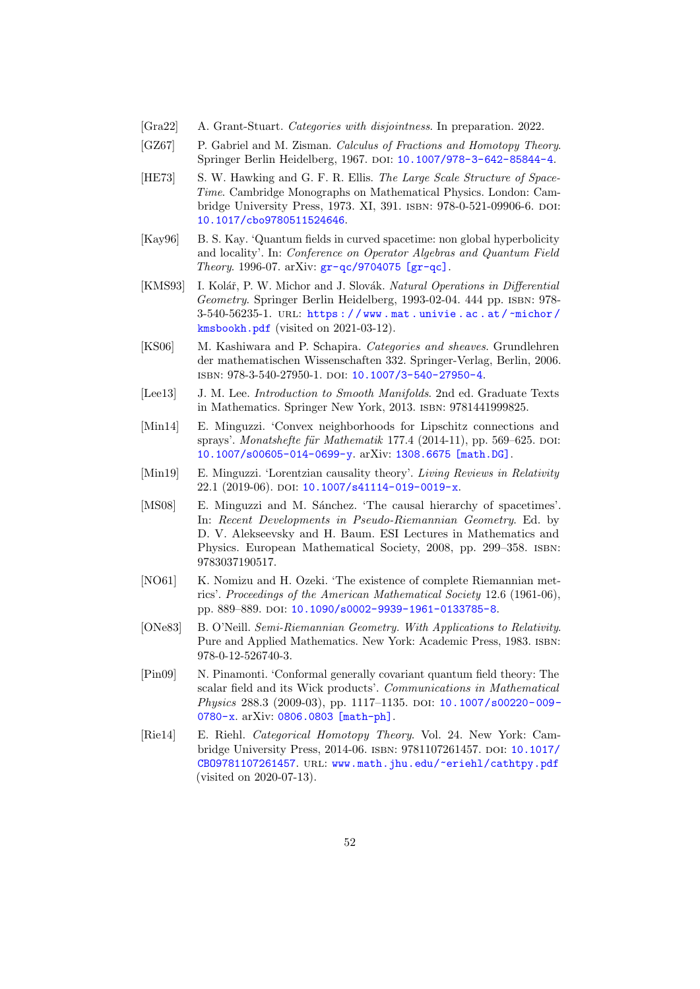- <span id="page-51-2"></span>[Gra22] A. Grant-Stuart. Categories with disjointness. In preparation. 2022.
- <span id="page-51-12"></span>[GZ67] P. Gabriel and M. Zisman. Calculus of Fractions and Homotopy Theory. Springer Berlin Heidelberg, 1967. DOI: [10.1007/978-3-642-85844-4](https://doi.org/10.1007/978-3-642-85844-4).
- <span id="page-51-3"></span>[HE73] S. W. Hawking and G. F. R. Ellis. The Large Scale Structure of Space-Time. Cambridge Monographs on Mathematical Physics. London: Cambridge University Press, 1973. XI, 391. ISBN: 978-0-521-09906-6. DOI: [10.1017/cbo9780511524646](https://doi.org/10.1017/cbo9780511524646).
- <span id="page-51-0"></span>[Kay96] B. S. Kay. 'Quantum fields in curved spacetime: non global hyperbolicity and locality'. In: Conference on Operator Algebras and Quantum Field Theory. 1996-07. arXiv: [gr-qc/9704075 \[gr-qc\]](https://arxiv.org/abs/gr-qc/9704075).
- <span id="page-51-10"></span>[KMS93] I. Kolář, P. W. Michor and J. Slovák. Natural Operations in Differential Geometry. Springer Berlin Heidelberg, 1993-02-04. 444 pp. ISBN: 978-3-540-56235-1. url: [https : / / www . mat . univie . ac . at /](https://www.mat.univie.ac.at/~michor/kmsbookh.pdf) ~michor / [kmsbookh.pdf](https://www.mat.univie.ac.at/~michor/kmsbookh.pdf) (visited on 2021-03-12).
- <span id="page-51-13"></span>[KS06] M. Kashiwara and P. Schapira. Categories and sheaves. Grundlehren der mathematischen Wissenschaften 332. Springer-Verlag, Berlin, 2006. isbn: 978-3-540-27950-1. doi: [10.1007/3-540-27950-4](https://doi.org/10.1007/3-540-27950-4).
- <span id="page-51-5"></span>[Lee13] J. M. Lee. *Introduction to Smooth Manifolds*. 2nd ed. Graduate Texts in Mathematics. Springer New York, 2013. isbn: 9781441999825.
- <span id="page-51-8"></span>[Min14] E. Minguzzi. 'Convex neighborhoods for Lipschitz connections and sprays'. Monatshefte für Mathematik 177.4 (2014-11), pp. 569–625. DOI: [10.1007/s00605-014-0699-y](https://doi.org/10.1007/s00605-014-0699-y). arXiv: [1308.6675 \[math.DG\]](https://arxiv.org/abs/1308.6675).
- <span id="page-51-7"></span>[Min19] E. Minguzzi. 'Lorentzian causality theory'. Living Reviews in Relativity 22.1 (2019-06). DOI: [10.1007/s41114-019-0019-x](https://doi.org/10.1007/s41114-019-0019-x).
- <span id="page-51-6"></span>[MS08] E. Minguzzi and M. Sánchez. 'The causal hierarchy of spacetimes'. In: Recent Developments in Pseudo-Riemannian Geometry. Ed. by D. V. Alekseevsky and H. Baum. ESI Lectures in Mathematics and Physics. European Mathematical Society, 2008, pp. 299–358. isbn: 9783037190517.
- <span id="page-51-9"></span>[NO61] K. Nomizu and H. Ozeki. 'The existence of complete Riemannian metrics'. Proceedings of the American Mathematical Society 12.6 (1961-06), pp. 889-889. doi: [10.1090/s0002-9939-1961-0133785-8](https://doi.org/10.1090/s0002-9939-1961-0133785-8).
- <span id="page-51-4"></span>[ONe83] B. O'Neill. Semi-Riemannian Geometry. With Applications to Relativity. Pure and Applied Mathematics. New York: Academic Press, 1983. isbn: 978-0-12-526740-3.
- <span id="page-51-1"></span>[Pin09] N. Pinamonti. 'Conformal generally covariant quantum field theory: The scalar field and its Wick products'. Communications in Mathematical Physics 288.3 (2009-03), pp. 1117-1135. DOI: 10.1007/s00220-009-[0780-x](https://doi.org/10.1007/s00220-009-0780-x). arXiv: [0806.0803 \[math-ph\]](https://arxiv.org/abs/0806.0803).
- <span id="page-51-11"></span>[Rie14] E. Riehl. Categorical Homotopy Theory. Vol. 24. New York: Cam-bridge University Press, 2014-06. ISBN: 9781107261457. DOI: [10.1017/](https://doi.org/10.1017/CBO9781107261457) [CBO9781107261457](https://doi.org/10.1017/CBO9781107261457). url: <www.math.jhu.edu/~eriehl/cathtpy.pdf> (visited on 2020-07-13).